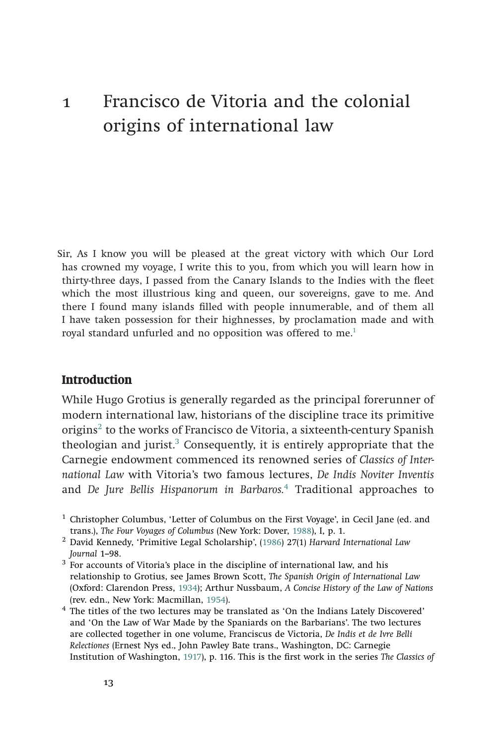# <span id="page-0-0"></span>1 Francisco de Vitoria and the colonial origins of international law

Sir, As I know you will be pleased at the great victory with which Our Lord has crowned my voyage, I write this to you, from which you will learn how in thirty-three days, I passed from the Canary Islands to the Indies with the fleet which the most illustrious king and queen, our sovereigns, gave to me. And there I found many islands filled with people innumerable, and of them all I have taken possession for their highnesses, by proclamation made and with royal standard unfurled and no opposition was offered to me.<sup>1</sup>

# **Introduction**

While Hugo Grotius is generally regarded as the principal forerunner of modern international law, historians of the discipline trace its primitive origins<sup>2</sup> to the works of Francisco de Vitoria, a sixteenth-century Spanish theologian and jurist. $3$  Consequently, it is entirely appropriate that the Carnegie endowment commenced its renowned series of *Classics of International Law* with Vitoria's two famous lectures, *De Indis Noviter Inventis* and *De Jure Bellis Hispanorum in Barbaros.*<sup>4</sup> Traditional approaches to

 $1$  Christopher Columbus, 'Letter of Columbus on the First Voyage', in Cecil Jane (ed. and trans.), *The Four Voyages of Columbus* (New York: Dover, 1988), I, p. 1.

<sup>2</sup> David Kennedy, 'Primitive Legal Scholarship', (1986) 27(1) *Harvard International Law Journal* 1-98.

<sup>&</sup>lt;sup>3</sup> For accounts of Vitoria's place in the discipline of international law, and his relationship to Grotius, see James Brown Scott, *The Spanish Origin of International Law* (Oxford: Clarendon Press, 1934); Arthur Nussbaum, *A Concise History of the Law of Nations* (rev. edn., New York: Macmillan, 1954).

<sup>&</sup>lt;sup>4</sup> The titles of the two lectures may be translated as 'On the Indians Lately Discovered' and 'On the Law of War Made by the Spaniards on the Barbarians'. The two lectures are collected together in one volume, Franciscus de Victoria, *De Indis et de Ivre Belli Relectiones* (Ernest Nys ed., John Pawley Bate trans., Washington, DC: Carnegie Institution of Washington, 1917), p. 116. This is the first work in the series *The Classics of*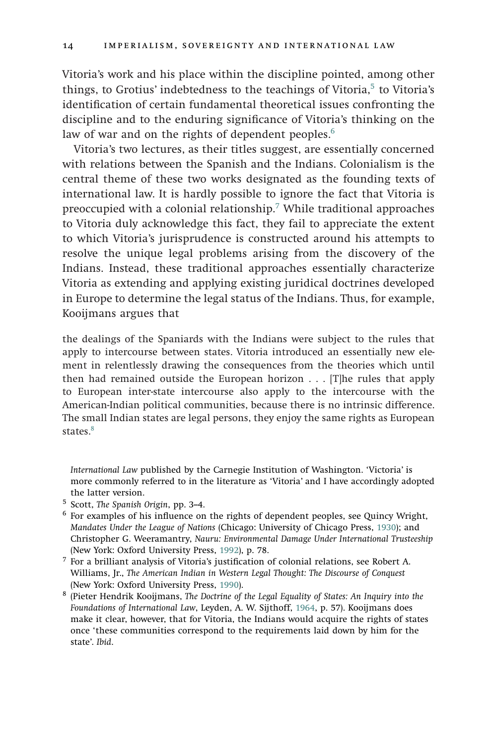Vitoria's work and his place within the discipline pointed, among other things, to Grotius' indebtedness to the teachings of Vitoria, $5$  to Vitoria's identification of certain fundamental theoretical issues confronting the discipline and to the enduring significance of Vitoria's thinking on the law of war and on the rights of dependent peoples.<sup>6</sup>

Vitoria's two lectures, as their titles suggest, are essentially concerned with relations between the Spanish and the Indians. Colonialism is the central theme of these two works designated as the founding texts of international law. It is hardly possible to ignore the fact that Vitoria is preoccupied with a colonial relationship.7 While traditional approaches to Vitoria duly acknowledge this fact, they fail to appreciate the extent to which Vitoria's jurisprudence is constructed around his attempts to resolve the unique legal problems arising from the discovery of the Indians. Instead, these traditional approaches essentially characterize Vitoria as extending and applying existing juridical doctrines developed in Europe to determine the legal status of the Indians. Thus, for example, Kooijmans argues that

the dealings of the Spaniards with the Indians were subject to the rules that apply to intercourse between states. Vitoria introduced an essentially new element in relentlessly drawing the consequences from the theories which until then had remained outside the European horizon . . . [T]he rules that apply to European inter-state intercourse also apply to the intercourse with the American-Indian political communities, because there is no intrinsic difference. The small Indian states are legal persons, they enjoy the same rights as European states.<sup>8</sup>

*International Law* published by the Carnegie Institution of Washington. 'Victoria' is more commonly referred to in the literature as 'Vitoria' and I have accordingly adopted the latter version.

- <sup>5</sup> Scott, *The Spanish Origin*, pp. 3-4.
- <sup>6</sup> For examples of his influence on the rights of dependent peoples, see Quincy Wright, *Mandates Under the League of Nations* (Chicago: University of Chicago Press, 1930); and Christopher G. Weeramantry, *Nauru: Environmental Damage Under International Trusteeship* (New York: Oxford University Press, 1992), p. 78.
- <sup>7</sup> For a brilliant analysis of Vitoria's justification of colonial relations, see Robert A. Williams, Jr., *The American Indian in Western Legal Thought: The Discourse of Conquest* (New York: Oxford University Press, 1990).
- <sup>8</sup> (Pieter Hendrik Kooijmans, *The Doctrine of the Legal Equality of States: An Inquiry into the Foundations of International Law*, Leyden, A. W. Sijthoff, 1964, p. 57). Kooijmans does make it clear, however, that for Vitoria, the Indians would acquire the rights of states once 'these communities correspond to the requirements laid down by him for the state'. *Ibid*.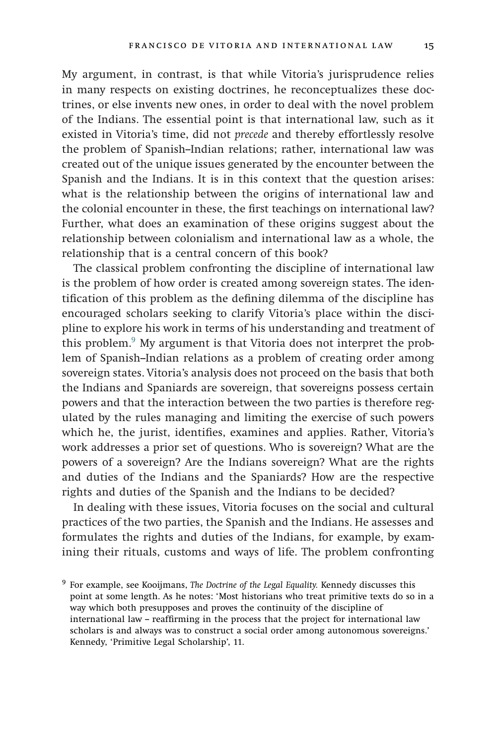My argument, in contrast, is that while Vitoria's jurisprudence relies in many respects on existing doctrines, he reconceptualizes these doctrines, or else invents new ones, in order to deal with the novel problem of the Indians. The essential point is that international law, such as it existed in Vitoria's time, did not *precede* and thereby effortlessly resolve the problem of Spanish-Indian relations; rather, international law was created out of the unique issues generated by the encounter between the Spanish and the Indians. It is in this context that the question arises: what is the relationship between the origins of international law and the colonial encounter in these, the first teachings on international law? Further, what does an examination of these origins suggest about the relationship between colonialism and international law as a whole, the relationship that is a central concern of this book?

The classical problem confronting the discipline of international law is the problem of how order is created among sovereign states. The identification of this problem as the defining dilemma of the discipline has encouraged scholars seeking to clarify Vitoria's place within the discipline to explore his work in terms of his understanding and treatment of this problem.<sup>9</sup> My argument is that Vitoria does not interpret the problem of Spanish-Indian relations as a problem of creating order among sovereign states. Vitoria's analysis does not proceed on the basis that both the Indians and Spaniards are sovereign, that sovereigns possess certain powers and that the interaction between the two parties is therefore regulated by the rules managing and limiting the exercise of such powers which he, the jurist, identifies, examines and applies. Rather, Vitoria's work addresses a prior set of questions. Who is sovereign? What are the powers of a sovereign? Are the Indians sovereign? What are the rights and duties of the Indians and the Spaniards? How are the respective rights and duties of the Spanish and the Indians to be decided?

In dealing with these issues, Vitoria focuses on the social and cultural practices of the two parties, the Spanish and the Indians. He assesses and formulates the rights and duties of the Indians, for example, by examining their rituals, customs and ways of life. The problem confronting

<sup>9</sup> For example, see Kooijmans, *The Doctrine of the Legal Equality.* Kennedy discusses this point at some length. As he notes: 'Most historians who treat primitive texts do so in a way which both presupposes and proves the continuity of the discipline of international law - reaffirming in the process that the project for international law scholars is and always was to construct a social order among autonomous sovereigns.' Kennedy, 'Primitive Legal Scholarship', 11.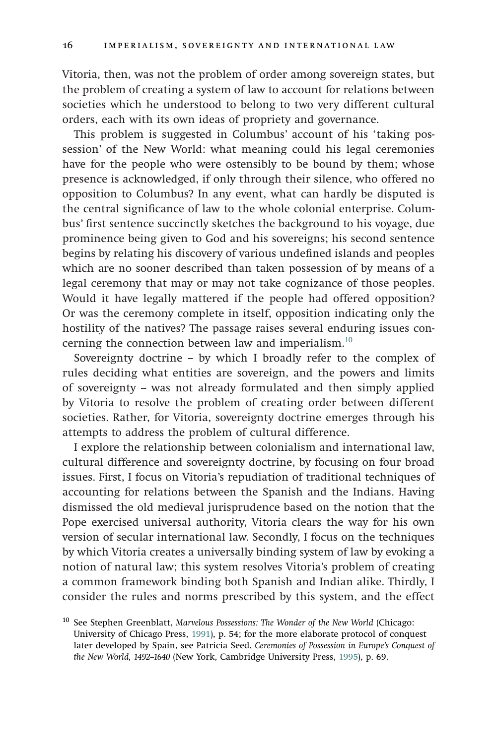Vitoria, then, was not the problem of order among sovereign states, but the problem of creating a system of law to account for relations between societies which he understood to belong to two very different cultural orders, each with its own ideas of propriety and governance.

This problem is suggested in Columbus' account of his 'taking possession' of the New World: what meaning could his legal ceremonies have for the people who were ostensibly to be bound by them; whose presence is acknowledged, if only through their silence, who offered no opposition to Columbus? In any event, what can hardly be disputed is the central significance of law to the whole colonial enterprise. Columbus' first sentence succinctly sketches the background to his voyage, due prominence being given to God and his sovereigns; his second sentence begins by relating his discovery of various undefined islands and peoples which are no sooner described than taken possession of by means of a legal ceremony that may or may not take cognizance of those peoples. Would it have legally mattered if the people had offered opposition? Or was the ceremony complete in itself, opposition indicating only the hostility of the natives? The passage raises several enduring issues concerning the connection between law and imperialism.<sup>10</sup>

Sovereignty doctrine  $-$  by which I broadly refer to the complex of rules deciding what entities are sovereign, and the powers and limits of sovereignty - was not already formulated and then simply applied by Vitoria to resolve the problem of creating order between different societies. Rather, for Vitoria, sovereignty doctrine emerges through his attempts to address the problem of cultural difference.

I explore the relationship between colonialism and international law, cultural difference and sovereignty doctrine, by focusing on four broad issues. First, I focus on Vitoria's repudiation of traditional techniques of accounting for relations between the Spanish and the Indians. Having dismissed the old medieval jurisprudence based on the notion that the Pope exercised universal authority, Vitoria clears the way for his own version of secular international law. Secondly, I focus on the techniques by which Vitoria creates a universally binding system of law by evoking a notion of natural law; this system resolves Vitoria's problem of creating a common framework binding both Spanish and Indian alike. Thirdly, I consider the rules and norms prescribed by this system, and the effect

<sup>10</sup> See Stephen Greenblatt, *Marvelous Possessions: The Wonder of the New World* (Chicago: University of Chicago Press, 1991), p. 54; for the more elaborate protocol of conquest later developed by Spain, see Patricia Seed, *Ceremonies of Possession in Europe's Conquest of the New World, 1492--1640* (New York, Cambridge University Press, 1995), p. 69.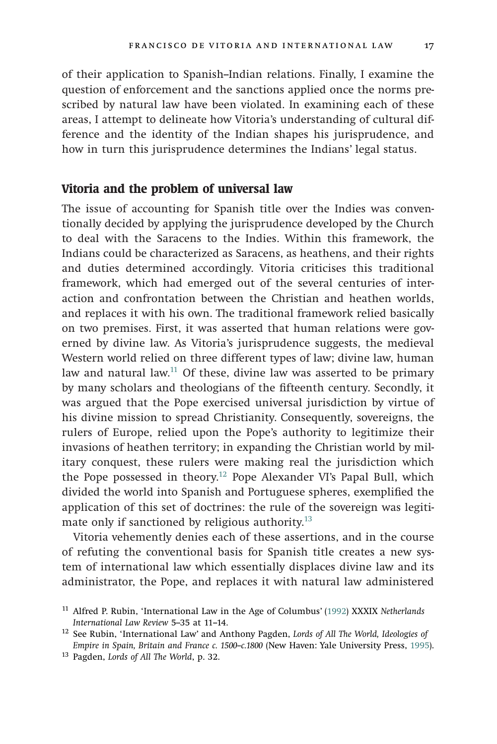of their application to Spanish--Indian relations. Finally, I examine the question of enforcement and the sanctions applied once the norms prescribed by natural law have been violated. In examining each of these areas, I attempt to delineate how Vitoria's understanding of cultural difference and the identity of the Indian shapes his jurisprudence, and how in turn this jurisprudence determines the Indians' legal status.

### **Vitoria and the problem of universal law**

The issue of accounting for Spanish title over the Indies was conventionally decided by applying the jurisprudence developed by the Church to deal with the Saracens to the Indies. Within this framework, the Indians could be characterized as Saracens, as heathens, and their rights and duties determined accordingly. Vitoria criticises this traditional framework, which had emerged out of the several centuries of interaction and confrontation between the Christian and heathen worlds, and replaces it with his own. The traditional framework relied basically on two premises. First, it was asserted that human relations were governed by divine law. As Vitoria's jurisprudence suggests, the medieval Western world relied on three different types of law; divine law, human law and natural law. $11$  Of these, divine law was asserted to be primary by many scholars and theologians of the fifteenth century. Secondly, it was argued that the Pope exercised universal jurisdiction by virtue of his divine mission to spread Christianity. Consequently, sovereigns, the rulers of Europe, relied upon the Pope's authority to legitimize their invasions of heathen territory; in expanding the Christian world by military conquest, these rulers were making real the jurisdiction which the Pope possessed in theory.<sup>12</sup> Pope Alexander VI's Papal Bull, which divided the world into Spanish and Portuguese spheres, exemplified the application of this set of doctrines: the rule of the sovereign was legitimate only if sanctioned by religious authority. $^{13}$ 

Vitoria vehemently denies each of these assertions, and in the course of refuting the conventional basis for Spanish title creates a new system of international law which essentially displaces divine law and its administrator, the Pope, and replaces it with natural law administered

<sup>11</sup> Alfred P. Rubin, 'International Law in the Age of Columbus' (1992) XXXIX *Netherlands* International Law Review 5-35 at 11-14.

<sup>12</sup> See Rubin, 'International Law' and Anthony Pagden, *Lords of All The World, Ideologies of Empire in Spain, Britain and France c. 1500--c.1800* (New Haven: Yale University Press, 1995).

<sup>13</sup> Pagden, *Lords of All The World*, p. 32.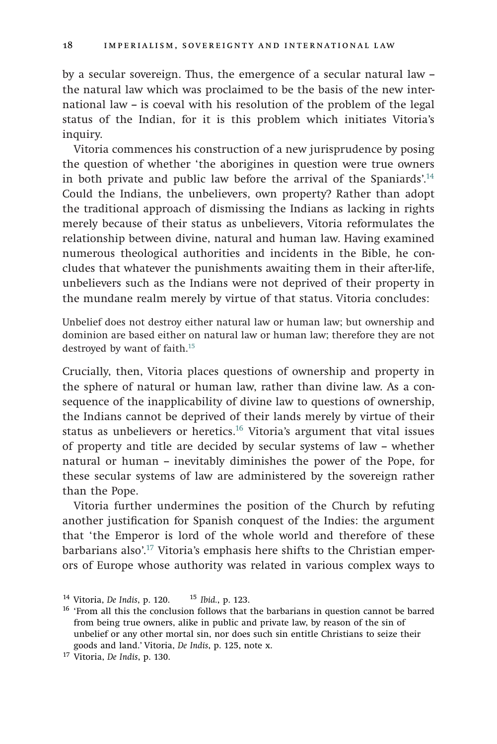18

by a secular sovereign. Thus, the emergence of a secular natural law  $$ the natural law which was proclaimed to be the basis of the new international law - is coeval with his resolution of the problem of the legal status of the Indian, for it is this problem which initiates Vitoria's inquiry.

Vitoria commences his construction of a new jurisprudence by posing the question of whether 'the aborigines in question were true owners in both private and public law before the arrival of the Spaniards'.<sup>14</sup> Could the Indians, the unbelievers, own property? Rather than adopt the traditional approach of dismissing the Indians as lacking in rights merely because of their status as unbelievers, Vitoria reformulates the relationship between divine, natural and human law. Having examined numerous theological authorities and incidents in the Bible, he concludes that whatever the punishments awaiting them in their after-life, unbelievers such as the Indians were not deprived of their property in the mundane realm merely by virtue of that status. Vitoria concludes:

Unbelief does not destroy either natural law or human law; but ownership and dominion are based either on natural law or human law; therefore they are not destroyed by want of faith.<sup>15</sup>

Crucially, then, Vitoria places questions of ownership and property in the sphere of natural or human law, rather than divine law. As a consequence of the inapplicability of divine law to questions of ownership, the Indians cannot be deprived of their lands merely by virtue of their status as unbelievers or heretics.<sup>16</sup> Vitoria's argument that vital issues of property and title are decided by secular systems of law - whether natural or human - inevitably diminishes the power of the Pope, for these secular systems of law are administered by the sovereign rather than the Pope.

Vitoria further undermines the position of the Church by refuting another justification for Spanish conquest of the Indies: the argument that 'the Emperor is lord of the whole world and therefore of these barbarians also'.<sup>17</sup> Vitoria's emphasis here shifts to the Christian emperors of Europe whose authority was related in various complex ways to

<sup>14</sup> Vitoria, *De Indis*, p. 120. <sup>15</sup> *Ibid.*, p. 123.

<sup>&</sup>lt;sup>16</sup> 'From all this the conclusion follows that the barbarians in question cannot be barred from being true owners, alike in public and private law, by reason of the sin of unbelief or any other mortal sin, nor does such sin entitle Christians to seize their goods and land.' Vitoria, *De Indis*, p. 125, note x.

<sup>17</sup> Vitoria, *De Indis*, p. 130.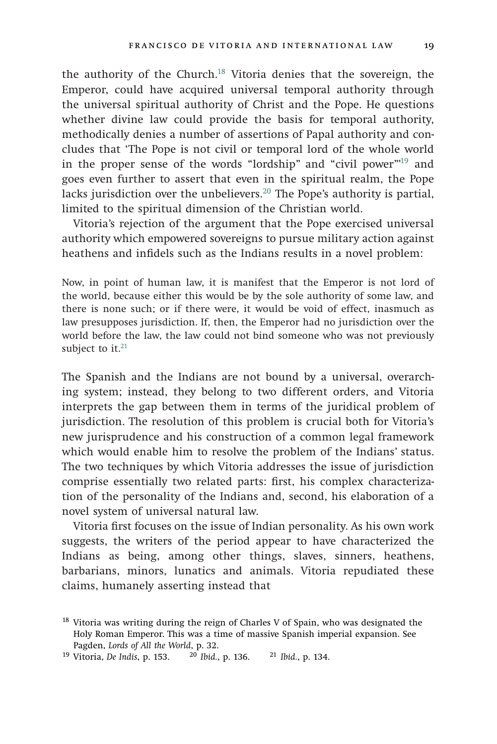the authority of the Church.18 Vitoria denies that the sovereign, the Emperor, could have acquired universal temporal authority through the universal spiritual authority of Christ and the Pope. He questions whether divine law could provide the basis for temporal authority, methodically denies a number of assertions of Papal authority and concludes that 'The Pope is not civil or temporal lord of the whole world in the proper sense of the words "lordship" and "civil power"<sup>19</sup> and goes even further to assert that even in the spiritual realm, the Pope lacks jurisdiction over the unbelievers.<sup>20</sup> The Pope's authority is partial, limited to the spiritual dimension of the Christian world.

Vitoria's rejection of the argument that the Pope exercised universal authority which empowered sovereigns to pursue military action against heathens and infidels such as the Indians results in a novel problem:

Now, in point of human law, it is manifest that the Emperor is not lord of the world, because either this would be by the sole authority of some law, and there is none such; or if there were, it would be void of effect, inasmuch as law presupposes jurisdiction. If, then, the Emperor had no jurisdiction over the world before the law, the law could not bind someone who was not previously subject to it. $21$ 

The Spanish and the Indians are not bound by a universal, overarching system; instead, they belong to two different orders, and Vitoria interprets the gap between them in terms of the juridical problem of jurisdiction. The resolution of this problem is crucial both for Vitoria's new jurisprudence and his construction of a common legal framework which would enable him to resolve the problem of the Indians' status. The two techniques by which Vitoria addresses the issue of jurisdiction comprise essentially two related parts: first, his complex characterization of the personality of the Indians and, second, his elaboration of a novel system of universal natural law.

Vitoria first focuses on the issue of Indian personality. As his own work suggests, the writers of the period appear to have characterized the Indians as being, among other things, slaves, sinners, heathens, barbarians, minors, lunatics and animals. Vitoria repudiated these claims, humanely asserting instead that

<sup>&</sup>lt;sup>18</sup> Vitoria was writing during the reign of Charles V of Spain, who was designated the Holy Roman Emperor. This was a time of massive Spanish imperial expansion. See Pagden, *Lords of All the World*, p. 32.

<sup>19</sup> Vitoria, *De Indis*, p. 153. <sup>20</sup> *Ibid.*, p. 136. <sup>21</sup> *Ibid.*, p. 134.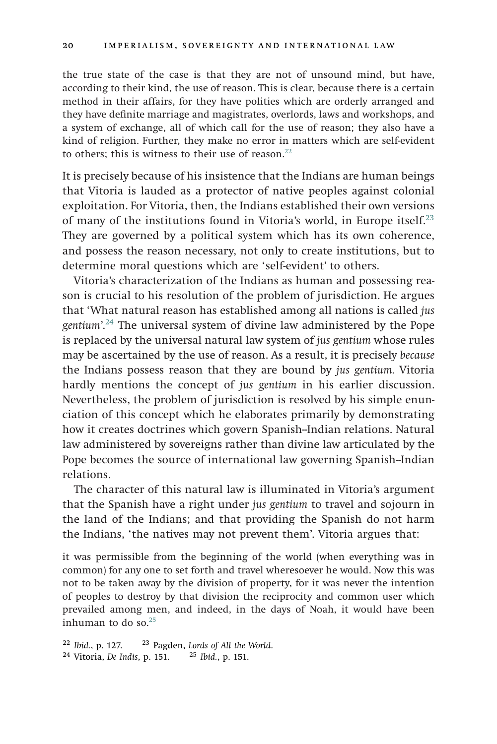the true state of the case is that they are not of unsound mind, but have, according to their kind, the use of reason. This is clear, because there is a certain method in their affairs, for they have polities which are orderly arranged and they have definite marriage and magistrates, overlords, laws and workshops, and a system of exchange, all of which call for the use of reason; they also have a kind of religion. Further, they make no error in matters which are self-evident to others; this is witness to their use of reason. $22$ 

It is precisely because of his insistence that the Indians are human beings that Vitoria is lauded as a protector of native peoples against colonial exploitation. For Vitoria, then, the Indians established their own versions of many of the institutions found in Vitoria's world, in Europe itself.<sup>23</sup> They are governed by a political system which has its own coherence, and possess the reason necessary, not only to create institutions, but to determine moral questions which are 'self-evident' to others.

Vitoria's characterization of the Indians as human and possessing reason is crucial to his resolution of the problem of jurisdiction. He argues that 'What natural reason has established among all nations is called *jus gentium*'.<sup>24</sup> The universal system of divine law administered by the Pope is replaced by the universal natural law system of *jus gentium* whose rules may be ascertained by the use of reason. As a result, it is precisely *because* the Indians possess reason that they are bound by *jus gentium.* Vitoria hardly mentions the concept of *jus gentium* in his earlier discussion. Nevertheless, the problem of jurisdiction is resolved by his simple enunciation of this concept which he elaborates primarily by demonstrating how it creates doctrines which govern Spanish--Indian relations. Natural law administered by sovereigns rather than divine law articulated by the Pope becomes the source of international law governing Spanish--Indian relations.

The character of this natural law is illuminated in Vitoria's argument that the Spanish have a right under *jus gentium* to travel and sojourn in the land of the Indians; and that providing the Spanish do not harm the Indians, 'the natives may not prevent them'. Vitoria argues that:

it was permissible from the beginning of the world (when everything was in common) for any one to set forth and travel wheresoever he would. Now this was not to be taken away by the division of property, for it was never the intention of peoples to destroy by that division the reciprocity and common user which prevailed among men, and indeed, in the days of Noah, it would have been inhuman to do so. $25$ 

<sup>22</sup> *Ibid.*, p. 127. <sup>23</sup> Pagden, *Lords of All the World*. <sup>24</sup> Vitoria, *De Indis*, p. 151. <sup>25</sup> *Ibid.*, p. 151.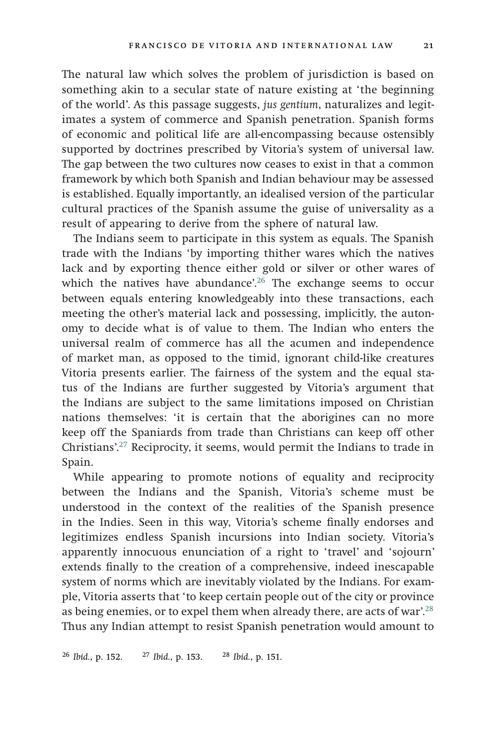The natural law which solves the problem of jurisdiction is based on something akin to a secular state of nature existing at 'the beginning of the world'. As this passage suggests, *jus gentium*, naturalizes and legitimates a system of commerce and Spanish penetration. Spanish forms of economic and political life are all-encompassing because ostensibly supported by doctrines prescribed by Vitoria's system of universal law. The gap between the two cultures now ceases to exist in that a common framework by which both Spanish and Indian behaviour may be assessed is established. Equally importantly, an idealised version of the particular cultural practices of the Spanish assume the guise of universality as a result of appearing to derive from the sphere of natural law.

The Indians seem to participate in this system as equals. The Spanish trade with the Indians 'by importing thither wares which the natives lack and by exporting thence either gold or silver or other wares of which the natives have abundance'.<sup>26</sup> The exchange seems to occur between equals entering knowledgeably into these transactions, each meeting the other's material lack and possessing, implicitly, the autonomy to decide what is of value to them. The Indian who enters the universal realm of commerce has all the acumen and independence of market man, as opposed to the timid, ignorant child-like creatures Vitoria presents earlier. The fairness of the system and the equal status of the Indians are further suggested by Vitoria's argument that the Indians are subject to the same limitations imposed on Christian nations themselves: 'it is certain that the aborigines can no more keep off the Spaniards from trade than Christians can keep off other Christians'.27 Reciprocity, it seems, would permit the Indians to trade in Spain.

While appearing to promote notions of equality and reciprocity between the Indians and the Spanish, Vitoria's scheme must be understood in the context of the realities of the Spanish presence in the Indies. Seen in this way, Vitoria's scheme finally endorses and legitimizes endless Spanish incursions into Indian society. Vitoria's apparently innocuous enunciation of a right to 'travel' and 'sojourn' extends finally to the creation of a comprehensive, indeed inescapable system of norms which are inevitably violated by the Indians. For example, Vitoria asserts that 'to keep certain people out of the city or province as being enemies, or to expel them when already there, are acts of war'.28 Thus any Indian attempt to resist Spanish penetration would amount to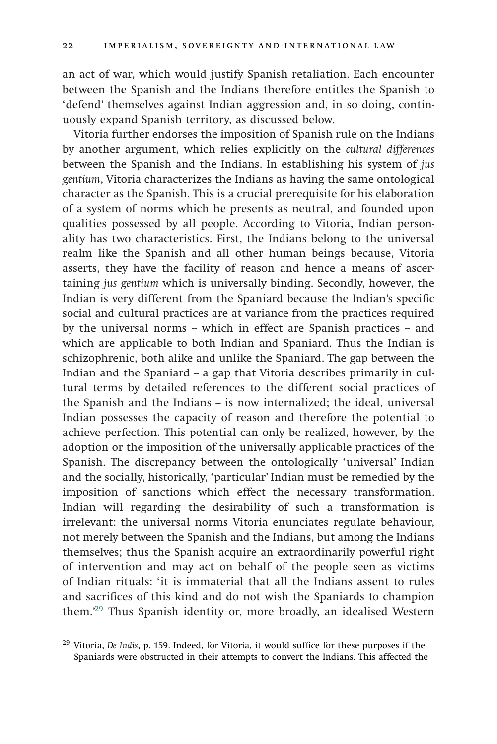an act of war, which would justify Spanish retaliation. Each encounter between the Spanish and the Indians therefore entitles the Spanish to 'defend' themselves against Indian aggression and, in so doing, continuously expand Spanish territory, as discussed below.

Vitoria further endorses the imposition of Spanish rule on the Indians by another argument, which relies explicitly on the *cultural differences* between the Spanish and the Indians. In establishing his system of *jus gentium*, Vitoria characterizes the Indians as having the same ontological character as the Spanish. This is a crucial prerequisite for his elaboration of a system of norms which he presents as neutral, and founded upon qualities possessed by all people. According to Vitoria, Indian personality has two characteristics. First, the Indians belong to the universal realm like the Spanish and all other human beings because, Vitoria asserts, they have the facility of reason and hence a means of ascertaining *jus gentium* which is universally binding. Secondly, however, the Indian is very different from the Spaniard because the Indian's specific social and cultural practices are at variance from the practices required by the universal norms -- which in effect are Spanish practices -- and which are applicable to both Indian and Spaniard. Thus the Indian is schizophrenic, both alike and unlike the Spaniard. The gap between the Indian and the Spaniard  $-$  a gap that Vitoria describes primarily in cultural terms by detailed references to the different social practices of the Spanish and the Indians - is now internalized; the ideal, universal Indian possesses the capacity of reason and therefore the potential to achieve perfection. This potential can only be realized, however, by the adoption or the imposition of the universally applicable practices of the Spanish. The discrepancy between the ontologically 'universal' Indian and the socially, historically, 'particular' Indian must be remedied by the imposition of sanctions which effect the necessary transformation. Indian will regarding the desirability of such a transformation is irrelevant: the universal norms Vitoria enunciates regulate behaviour, not merely between the Spanish and the Indians, but among the Indians themselves; thus the Spanish acquire an extraordinarily powerful right of intervention and may act on behalf of the people seen as victims of Indian rituals: 'it is immaterial that all the Indians assent to rules and sacrifices of this kind and do not wish the Spaniards to champion them.'29 Thus Spanish identity or, more broadly, an idealised Western

<sup>29</sup> Vitoria, *De Indis*, p. 159. Indeed, for Vitoria, it would suffice for these purposes if the Spaniards were obstructed in their attempts to convert the Indians. This affected the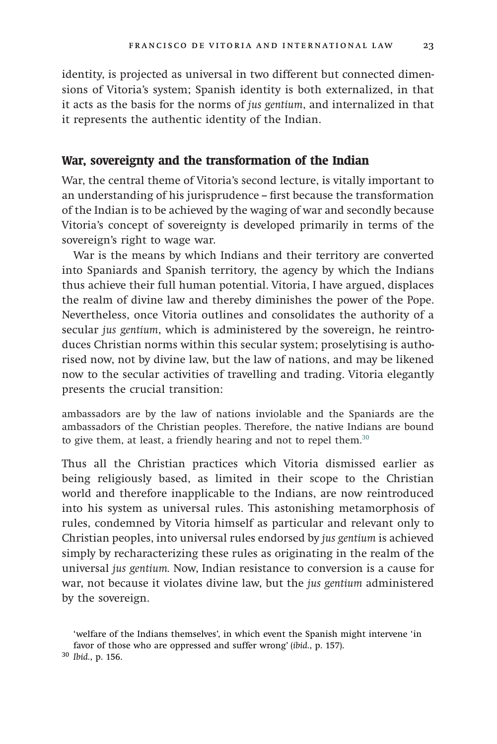identity, is projected as universal in two different but connected dimensions of Vitoria's system; Spanish identity is both externalized, in that it acts as the basis for the norms of *jus gentium*, and internalized in that it represents the authentic identity of the Indian.

# **War, sovereignty and the transformation of the Indian**

War, the central theme of Vitoria's second lecture, is vitally important to an understanding of his jurisprudence - first because the transformation of the Indian is to be achieved by the waging of war and secondly because Vitoria's concept of sovereignty is developed primarily in terms of the sovereign's right to wage war.

War is the means by which Indians and their territory are converted into Spaniards and Spanish territory, the agency by which the Indians thus achieve their full human potential. Vitoria, I have argued, displaces the realm of divine law and thereby diminishes the power of the Pope. Nevertheless, once Vitoria outlines and consolidates the authority of a secular *jus gentium*, which is administered by the sovereign, he reintroduces Christian norms within this secular system; proselytising is authorised now, not by divine law, but the law of nations, and may be likened now to the secular activities of travelling and trading. Vitoria elegantly presents the crucial transition:

ambassadors are by the law of nations inviolable and the Spaniards are the ambassadors of the Christian peoples. Therefore, the native Indians are bound to give them, at least, a friendly hearing and not to repel them.<sup>30</sup>

Thus all the Christian practices which Vitoria dismissed earlier as being religiously based, as limited in their scope to the Christian world and therefore inapplicable to the Indians, are now reintroduced into his system as universal rules. This astonishing metamorphosis of rules, condemned by Vitoria himself as particular and relevant only to Christian peoples, into universal rules endorsed by *jus gentium* is achieved simply by recharacterizing these rules as originating in the realm of the universal *jus gentium.* Now, Indian resistance to conversion is a cause for war, not because it violates divine law, but the *jus gentium* administered by the sovereign.

<sup>&#</sup>x27;welfare of the Indians themselves', in which event the Spanish might intervene 'in favor of those who are oppressed and suffer wrong' (*ibid.*, p. 157).

<sup>30</sup> *Ibid.*, p. 156.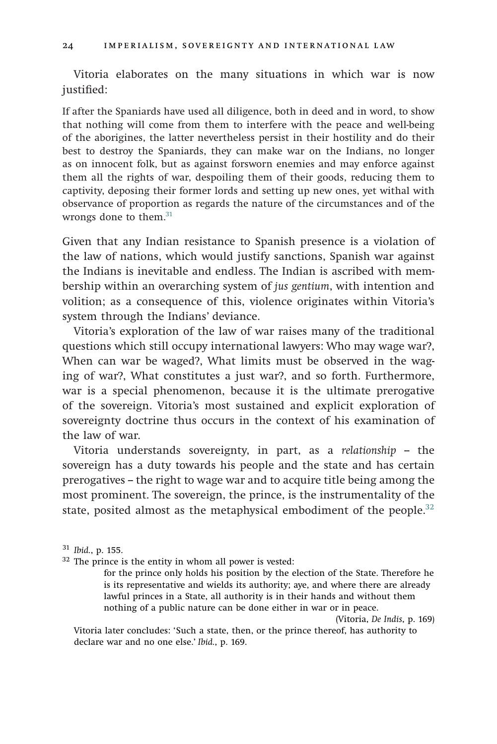Vitoria elaborates on the many situations in which war is now justified:

If after the Spaniards have used all diligence, both in deed and in word, to show that nothing will come from them to interfere with the peace and well-being of the aborigines, the latter nevertheless persist in their hostility and do their best to destroy the Spaniards, they can make war on the Indians, no longer as on innocent folk, but as against forsworn enemies and may enforce against them all the rights of war, despoiling them of their goods, reducing them to captivity, deposing their former lords and setting up new ones, yet withal with observance of proportion as regards the nature of the circumstances and of the wrongs done to them.<sup>31</sup>

Given that any Indian resistance to Spanish presence is a violation of the law of nations, which would justify sanctions, Spanish war against the Indians is inevitable and endless. The Indian is ascribed with membership within an overarching system of *jus gentium*, with intention and volition; as a consequence of this, violence originates within Vitoria's system through the Indians' deviance.

Vitoria's exploration of the law of war raises many of the traditional questions which still occupy international lawyers: Who may wage war?, When can war be waged?, What limits must be observed in the waging of war?, What constitutes a just war?, and so forth. Furthermore, war is a special phenomenon, because it is the ultimate prerogative of the sovereign. Vitoria's most sustained and explicit exploration of sovereignty doctrine thus occurs in the context of his examination of the law of war.

Vitoria understands sovereignty, in part, as a *relationship* - the sovereign has a duty towards his people and the state and has certain prerogatives - the right to wage war and to acquire title being among the most prominent. The sovereign, the prince, is the instrumentality of the state, posited almost as the metaphysical embodiment of the people. $32$ 

for the prince only holds his position by the election of the State. Therefore he is its representative and wields its authority; aye, and where there are already lawful princes in a State, all authority is in their hands and without them nothing of a public nature can be done either in war or in peace.

(Vitoria, *De Indis*, p. 169)

Vitoria later concludes: 'Such a state, then, or the prince thereof, has authority to declare war and no one else.' *Ibid.*, p. 169.

<sup>31</sup> *Ibid.*, p. 155.

<sup>&</sup>lt;sup>32</sup> The prince is the entity in whom all power is vested: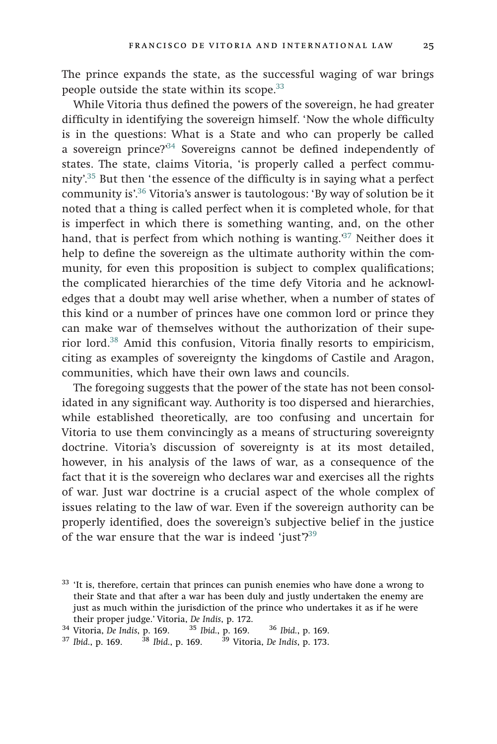The prince expands the state, as the successful waging of war brings people outside the state within its scope.<sup>33</sup>

While Vitoria thus defined the powers of the sovereign, he had greater difficulty in identifying the sovereign himself. 'Now the whole difficulty is in the questions: What is a State and who can properly be called a sovereign prince?'34 Sovereigns cannot be defined independently of states. The state, claims Vitoria, 'is properly called a perfect community'.35 But then 'the essence of the difficulty is in saying what a perfect community is'.<sup>36</sup> Vitoria's answer is tautologous: 'By way of solution be it noted that a thing is called perfect when it is completed whole, for that is imperfect in which there is something wanting, and, on the other hand, that is perfect from which nothing is wanting.<sup>37</sup> Neither does it help to define the sovereign as the ultimate authority within the community, for even this proposition is subject to complex qualifications; the complicated hierarchies of the time defy Vitoria and he acknowledges that a doubt may well arise whether, when a number of states of this kind or a number of princes have one common lord or prince they can make war of themselves without the authorization of their superior lord.38 Amid this confusion, Vitoria finally resorts to empiricism, citing as examples of sovereignty the kingdoms of Castile and Aragon, communities, which have their own laws and councils.

The foregoing suggests that the power of the state has not been consolidated in any significant way. Authority is too dispersed and hierarchies, while established theoretically, are too confusing and uncertain for Vitoria to use them convincingly as a means of structuring sovereignty doctrine. Vitoria's discussion of sovereignty is at its most detailed, however, in his analysis of the laws of war, as a consequence of the fact that it is the sovereign who declares war and exercises all the rights of war. Just war doctrine is a crucial aspect of the whole complex of issues relating to the law of war. Even if the sovereign authority can be properly identified, does the sovereign's subjective belief in the justice of the war ensure that the war is indeed 'just'?<sup>39</sup>

<sup>&</sup>lt;sup>33</sup> 'It is, therefore, certain that princes can punish enemies who have done a wrong to their State and that after a war has been duly and justly undertaken the enemy are just as much within the jurisdiction of the prince who undertakes it as if he were their proper judge.' Vitoria, *De Indis*, p. 172.

<sup>34</sup> Vitoria, *De Indis*, p. 169. <sup>35</sup> *Ibid.*, p. 169. <sup>36</sup> *Ibid.*, p. 169.

<sup>37</sup> *Ibid.*, p. 169. <sup>38</sup> *Ibid.*, p. 169. <sup>39</sup> Vitoria, *De Indis*, p. 173.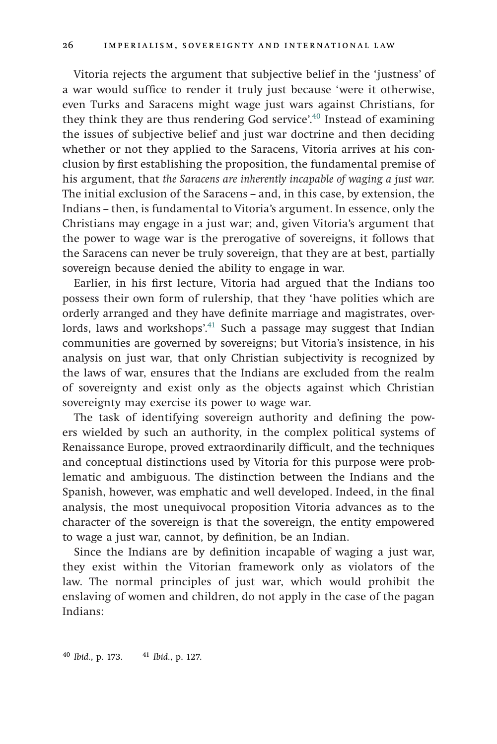Vitoria rejects the argument that subjective belief in the 'justness' of a war would suffice to render it truly just because 'were it otherwise, even Turks and Saracens might wage just wars against Christians, for they think they are thus rendering God service'. $40$  Instead of examining the issues of subjective belief and just war doctrine and then deciding whether or not they applied to the Saracens, Vitoria arrives at his conclusion by first establishing the proposition, the fundamental premise of his argument, that *the Saracens are inherently incapable of waging a just war.* The initial exclusion of the Saracens - and, in this case, by extension, the Indians -- then, is fundamental to Vitoria's argument. In essence, only the Christians may engage in a just war; and, given Vitoria's argument that the power to wage war is the prerogative of sovereigns, it follows that the Saracens can never be truly sovereign, that they are at best, partially sovereign because denied the ability to engage in war.

Earlier, in his first lecture, Vitoria had argued that the Indians too possess their own form of rulership, that they 'have polities which are orderly arranged and they have definite marriage and magistrates, overlords, laws and workshops'.<sup>41</sup> Such a passage may suggest that Indian communities are governed by sovereigns; but Vitoria's insistence, in his analysis on just war, that only Christian subjectivity is recognized by the laws of war, ensures that the Indians are excluded from the realm of sovereignty and exist only as the objects against which Christian sovereignty may exercise its power to wage war.

The task of identifying sovereign authority and defining the powers wielded by such an authority, in the complex political systems of Renaissance Europe, proved extraordinarily difficult, and the techniques and conceptual distinctions used by Vitoria for this purpose were problematic and ambiguous. The distinction between the Indians and the Spanish, however, was emphatic and well developed. Indeed, in the final analysis, the most unequivocal proposition Vitoria advances as to the character of the sovereign is that the sovereign, the entity empowered to wage a just war, cannot, by definition, be an Indian.

Since the Indians are by definition incapable of waging a just war, they exist within the Vitorian framework only as violators of the law. The normal principles of just war, which would prohibit the enslaving of women and children, do not apply in the case of the pagan Indians: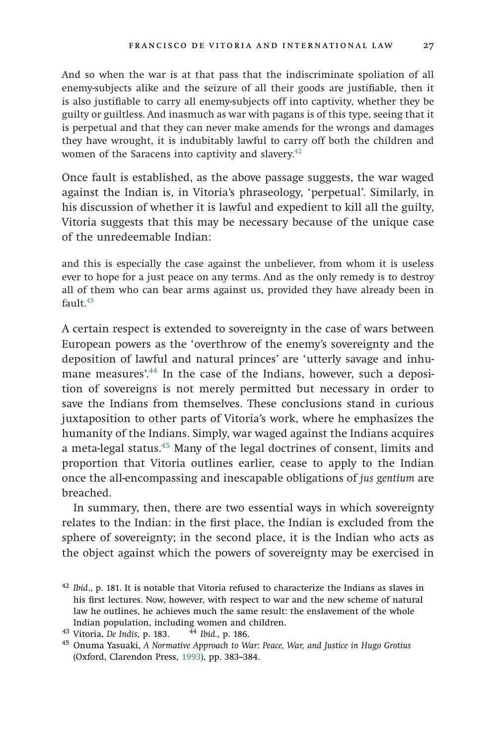And so when the war is at that pass that the indiscriminate spoliation of all enemy-subjects alike and the seizure of all their goods are justifiable, then it is also justifiable to carry all enemy-subjects off into captivity, whether they be guilty or guiltless. And inasmuch as war with pagans is of this type, seeing that it is perpetual and that they can never make amends for the wrongs and damages they have wrought, it is indubitably lawful to carry off both the children and women of the Saracens into captivity and slavery.<sup>42</sup>

Once fault is established, as the above passage suggests, the war waged against the Indian is, in Vitoria's phraseology, 'perpetual'. Similarly, in his discussion of whether it is lawful and expedient to kill all the guilty, Vitoria suggests that this may be necessary because of the unique case of the unredeemable Indian:

and this is especially the case against the unbeliever, from whom it is useless ever to hope for a just peace on any terms. And as the only remedy is to destroy all of them who can bear arms against us, provided they have already been in  $f_{211}1 + 43$ 

A certain respect is extended to sovereignty in the case of wars between European powers as the 'overthrow of the enemy's sovereignty and the deposition of lawful and natural princes' are 'utterly savage and inhumane measures<sup>',44</sup> In the case of the Indians, however, such a deposition of sovereigns is not merely permitted but necessary in order to save the Indians from themselves. These conclusions stand in curious juxtaposition to other parts of Vitoria's work, where he emphasizes the humanity of the Indians. Simply, war waged against the Indians acquires a meta-legal status.45 Many of the legal doctrines of consent, limits and proportion that Vitoria outlines earlier, cease to apply to the Indian once the all-encompassing and inescapable obligations of *jus gentium* are breached.

In summary, then, there are two essential ways in which sovereignty relates to the Indian: in the first place, the Indian is excluded from the sphere of sovereignty; in the second place, it is the Indian who acts as the object against which the powers of sovereignty may be exercised in

<sup>42</sup> *Ibid*., p. 181. It is notable that Vitoria refused to characterize the Indians as slaves in his first lectures. Now, however, with respect to war and the new scheme of natural law he outlines, he achieves much the same result: the enslavement of the whole Indian population, including women and children.<br>Vitoria,  $De$  Indis, p. 183.  $44$  Ibid., p. 186.

<sup>43</sup> Vitoria, *De Indis*, p. 183. <sup>44</sup> *Ibid.*, p. 186.

<sup>45</sup> Onuma Yasuaki, *A Normative Approach to War: Peace, War, and Justice in Hugo Grotius* (Oxford, Clarendon Press, 1993), pp. 383-384.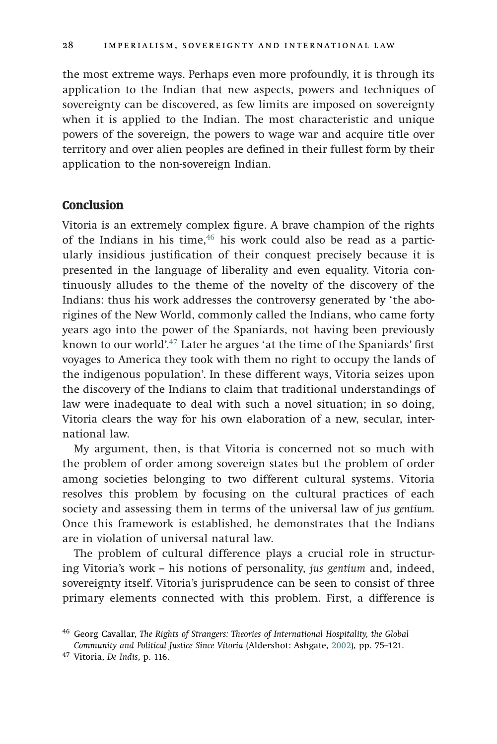the most extreme ways. Perhaps even more profoundly, it is through its application to the Indian that new aspects, powers and techniques of sovereignty can be discovered, as few limits are imposed on sovereignty when it is applied to the Indian. The most characteristic and unique powers of the sovereign, the powers to wage war and acquire title over territory and over alien peoples are defined in their fullest form by their application to the non-sovereign Indian.

#### **Conclusion**

Vitoria is an extremely complex figure. A brave champion of the rights of the Indians in his time, $46$  his work could also be read as a particularly insidious justification of their conquest precisely because it is presented in the language of liberality and even equality. Vitoria continuously alludes to the theme of the novelty of the discovery of the Indians: thus his work addresses the controversy generated by 'the aborigines of the New World, commonly called the Indians, who came forty years ago into the power of the Spaniards, not having been previously known to our world'.47 Later he argues 'at the time of the Spaniards' first voyages to America they took with them no right to occupy the lands of the indigenous population'. In these different ways, Vitoria seizes upon the discovery of the Indians to claim that traditional understandings of law were inadequate to deal with such a novel situation; in so doing, Vitoria clears the way for his own elaboration of a new, secular, international law.

My argument, then, is that Vitoria is concerned not so much with the problem of order among sovereign states but the problem of order among societies belonging to two different cultural systems. Vitoria resolves this problem by focusing on the cultural practices of each society and assessing them in terms of the universal law of *jus gentium.* Once this framework is established, he demonstrates that the Indians are in violation of universal natural law.

The problem of cultural difference plays a crucial role in structuring Vitoria's work -- his notions of personality, *jus gentium* and, indeed, sovereignty itself. Vitoria's jurisprudence can be seen to consist of three primary elements connected with this problem. First, a difference is

<sup>46</sup> Georg Cavallar, *The Rights of Strangers: Theories of International Hospitality, the Global Community and Political Justice Since Vitoria* (Aldershot: Ashgate, 2002), pp. 75--121.

<sup>47</sup> Vitoria, *De Indis*, p. 116.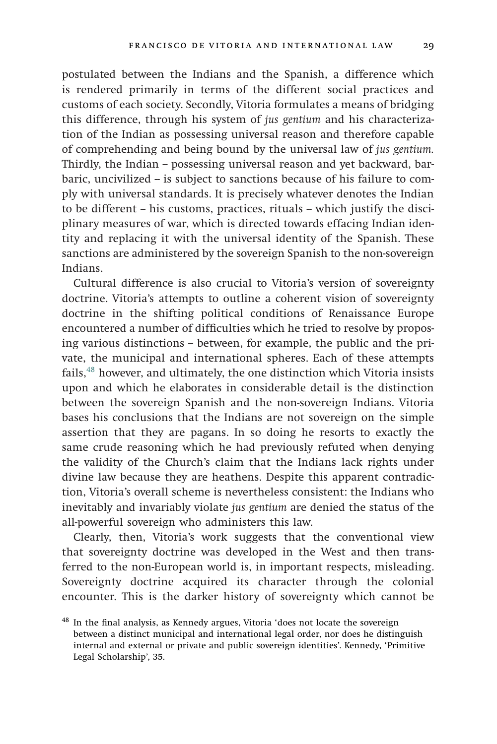postulated between the Indians and the Spanish, a difference which is rendered primarily in terms of the different social practices and customs of each society. Secondly, Vitoria formulates a means of bridging this difference, through his system of *jus gentium* and his characterization of the Indian as possessing universal reason and therefore capable of comprehending and being bound by the universal law of *jus gentium.* Thirdly, the Indian - possessing universal reason and yet backward, barbaric, uncivilized - is subject to sanctions because of his failure to comply with universal standards. It is precisely whatever denotes the Indian to be different – his customs, practices, rituals – which justify the disciplinary measures of war, which is directed towards effacing Indian identity and replacing it with the universal identity of the Spanish. These sanctions are administered by the sovereign Spanish to the non-sovereign Indians.

Cultural difference is also crucial to Vitoria's version of sovereignty doctrine. Vitoria's attempts to outline a coherent vision of sovereignty doctrine in the shifting political conditions of Renaissance Europe encountered a number of difficulties which he tried to resolve by proposing various distinctions -- between, for example, the public and the private, the municipal and international spheres. Each of these attempts fails,<sup>48</sup> however, and ultimately, the one distinction which Vitoria insists upon and which he elaborates in considerable detail is the distinction between the sovereign Spanish and the non-sovereign Indians. Vitoria bases his conclusions that the Indians are not sovereign on the simple assertion that they are pagans. In so doing he resorts to exactly the same crude reasoning which he had previously refuted when denying the validity of the Church's claim that the Indians lack rights under divine law because they are heathens. Despite this apparent contradiction, Vitoria's overall scheme is nevertheless consistent: the Indians who inevitably and invariably violate *jus gentium* are denied the status of the all-powerful sovereign who administers this law.

Clearly, then, Vitoria's work suggests that the conventional view that sovereignty doctrine was developed in the West and then transferred to the non-European world is, in important respects, misleading. Sovereignty doctrine acquired its character through the colonial encounter. This is the darker history of sovereignty which cannot be

<sup>48</sup> In the final analysis, as Kennedy argues, Vitoria 'does not locate the sovereign between a distinct municipal and international legal order, nor does he distinguish internal and external or private and public sovereign identities'. Kennedy, 'Primitive Legal Scholarship', 35.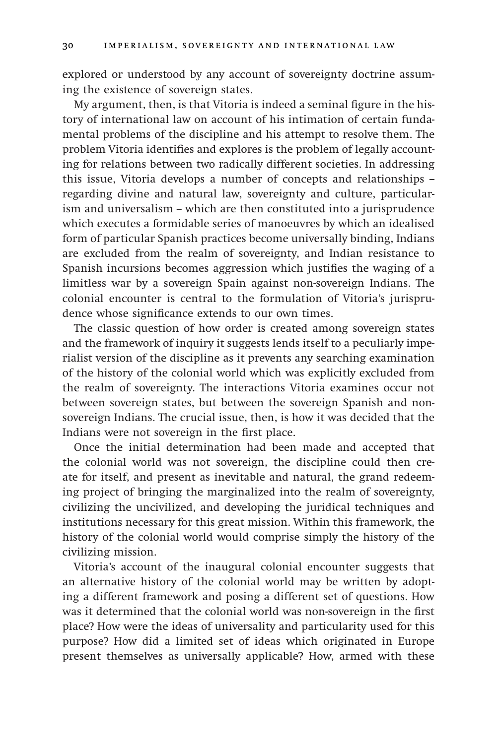explored or understood by any account of sovereignty doctrine assuming the existence of sovereign states.

My argument, then, is that Vitoria is indeed a seminal figure in the history of international law on account of his intimation of certain fundamental problems of the discipline and his attempt to resolve them. The problem Vitoria identifies and explores is the problem of legally accounting for relations between two radically different societies. In addressing this issue, Vitoria develops a number of concepts and relationships regarding divine and natural law, sovereignty and culture, particularism and universalism - which are then constituted into a jurisprudence which executes a formidable series of manoeuvres by which an idealised form of particular Spanish practices become universally binding, Indians are excluded from the realm of sovereignty, and Indian resistance to Spanish incursions becomes aggression which justifies the waging of a limitless war by a sovereign Spain against non-sovereign Indians. The colonial encounter is central to the formulation of Vitoria's jurisprudence whose significance extends to our own times.

The classic question of how order is created among sovereign states and the framework of inquiry it suggests lends itself to a peculiarly imperialist version of the discipline as it prevents any searching examination of the history of the colonial world which was explicitly excluded from the realm of sovereignty. The interactions Vitoria examines occur not between sovereign states, but between the sovereign Spanish and nonsovereign Indians. The crucial issue, then, is how it was decided that the Indians were not sovereign in the first place.

Once the initial determination had been made and accepted that the colonial world was not sovereign, the discipline could then create for itself, and present as inevitable and natural, the grand redeeming project of bringing the marginalized into the realm of sovereignty, civilizing the uncivilized, and developing the juridical techniques and institutions necessary for this great mission. Within this framework, the history of the colonial world would comprise simply the history of the civilizing mission.

Vitoria's account of the inaugural colonial encounter suggests that an alternative history of the colonial world may be written by adopting a different framework and posing a different set of questions. How was it determined that the colonial world was non-sovereign in the first place? How were the ideas of universality and particularity used for this purpose? How did a limited set of ideas which originated in Europe present themselves as universally applicable? How, armed with these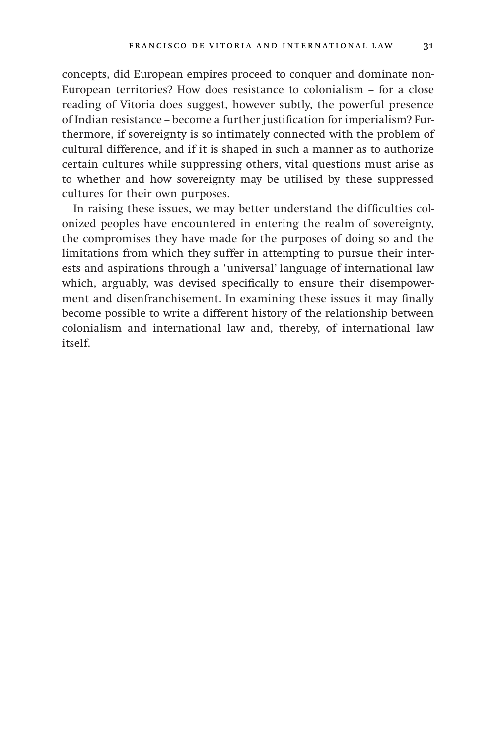concepts, did European empires proceed to conquer and dominate non-European territories? How does resistance to colonialism -- for a close reading of Vitoria does suggest, however subtly, the powerful presence of Indian resistance -- become a further justification for imperialism? Furthermore, if sovereignty is so intimately connected with the problem of cultural difference, and if it is shaped in such a manner as to authorize certain cultures while suppressing others, vital questions must arise as to whether and how sovereignty may be utilised by these suppressed cultures for their own purposes.

In raising these issues, we may better understand the difficulties colonized peoples have encountered in entering the realm of sovereignty, the compromises they have made for the purposes of doing so and the limitations from which they suffer in attempting to pursue their interests and aspirations through a 'universal' language of international law which, arguably, was devised specifically to ensure their disempowerment and disenfranchisement. In examining these issues it may finally become possible to write a different history of the relationship between colonialism and international law and, thereby, of international law itself.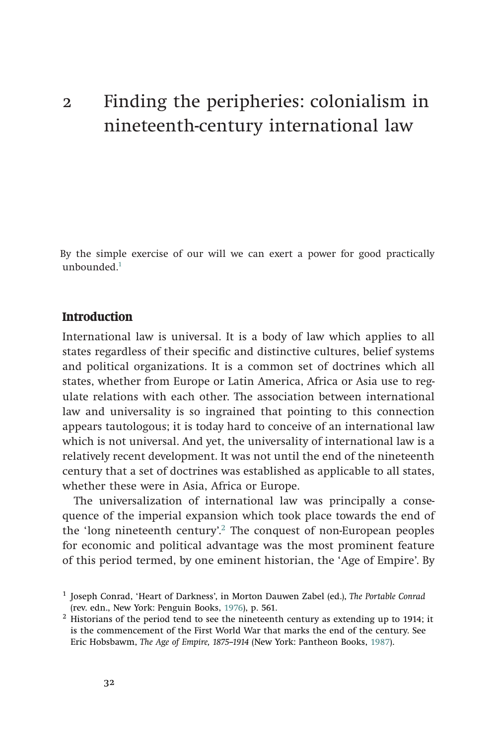# $\mathcal{D}_{\mathcal{L}}$  Finding the peripheries: colonialism in nineteenth-century international law

By the simple exercise of our will we can exert a power for good practically unbounded $<sup>1</sup>$ </sup>

### **Introduction**

International law is universal. It is a body of law which applies to all states regardless of their specific and distinctive cultures, belief systems and political organizations. It is a common set of doctrines which all states, whether from Europe or Latin America, Africa or Asia use to regulate relations with each other. The association between international law and universality is so ingrained that pointing to this connection appears tautologous; it is today hard to conceive of an international law which is not universal. And yet, the universality of international law is a relatively recent development. It was not until the end of the nineteenth century that a set of doctrines was established as applicable to all states, whether these were in Asia, Africa or Europe.

The universalization of international law was principally a consequence of the imperial expansion which took place towards the end of the 'long nineteenth century'.<sup>2</sup> The conquest of non-European peoples for economic and political advantage was the most prominent feature of this period termed, by one eminent historian, the 'Age of Empire'. By

<sup>1</sup> Joseph Conrad, 'Heart of Darkness', in Morton Dauwen Zabel (ed.), *The Portable Conrad* (rev. edn., New York: Penguin Books, 1976), p. 561.

<sup>2</sup> Historians of the period tend to see the nineteenth century as extending up to 1914; it is the commencement of the First World War that marks the end of the century. See Eric Hobsbawm, *The Age of Empire, 1875--1914* (New York: Pantheon Books, 1987).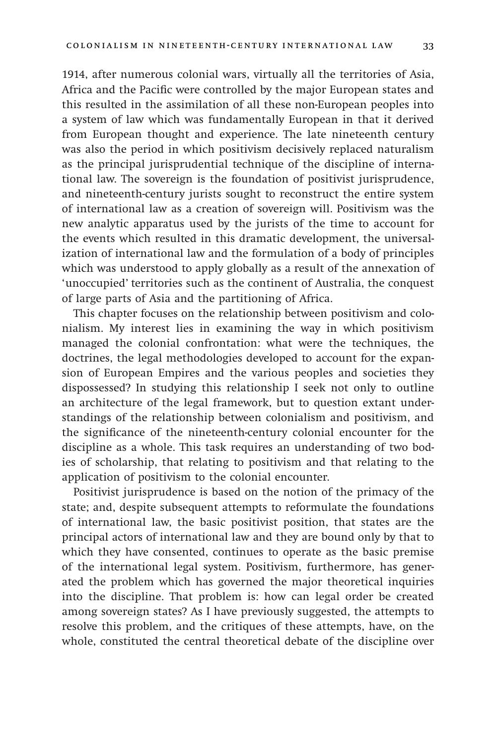1914, after numerous colonial wars, virtually all the territories of Asia, Africa and the Pacific were controlled by the major European states and this resulted in the assimilation of all these non-European peoples into a system of law which was fundamentally European in that it derived from European thought and experience. The late nineteenth century was also the period in which positivism decisively replaced naturalism as the principal jurisprudential technique of the discipline of international law. The sovereign is the foundation of positivist jurisprudence, and nineteenth-century jurists sought to reconstruct the entire system of international law as a creation of sovereign will. Positivism was the new analytic apparatus used by the jurists of the time to account for the events which resulted in this dramatic development, the universalization of international law and the formulation of a body of principles which was understood to apply globally as a result of the annexation of 'unoccupied' territories such as the continent of Australia, the conquest of large parts of Asia and the partitioning of Africa.

This chapter focuses on the relationship between positivism and colonialism. My interest lies in examining the way in which positivism managed the colonial confrontation: what were the techniques, the doctrines, the legal methodologies developed to account for the expansion of European Empires and the various peoples and societies they dispossessed? In studying this relationship I seek not only to outline an architecture of the legal framework, but to question extant understandings of the relationship between colonialism and positivism, and the significance of the nineteenth-century colonial encounter for the discipline as a whole. This task requires an understanding of two bodies of scholarship, that relating to positivism and that relating to the application of positivism to the colonial encounter.

Positivist jurisprudence is based on the notion of the primacy of the state; and, despite subsequent attempts to reformulate the foundations of international law, the basic positivist position, that states are the principal actors of international law and they are bound only by that to which they have consented, continues to operate as the basic premise of the international legal system. Positivism, furthermore, has generated the problem which has governed the major theoretical inquiries into the discipline. That problem is: how can legal order be created among sovereign states? As I have previously suggested, the attempts to resolve this problem, and the critiques of these attempts, have, on the whole, constituted the central theoretical debate of the discipline over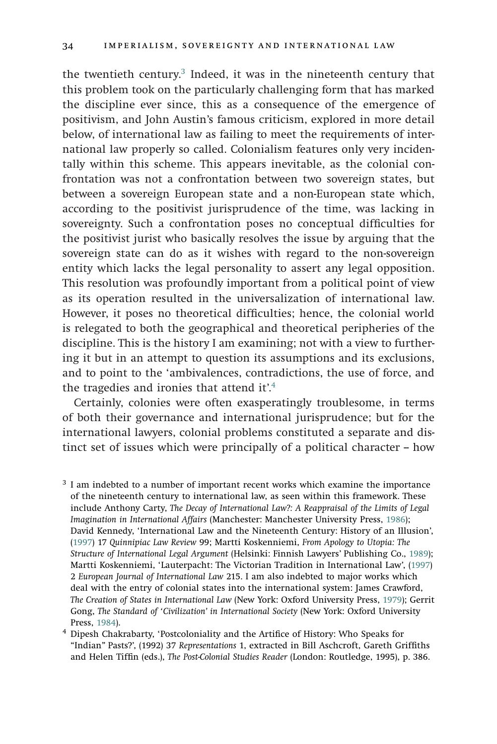the twentieth century.<sup>3</sup> Indeed, it was in the nineteenth century that this problem took on the particularly challenging form that has marked the discipline ever since, this as a consequence of the emergence of positivism, and John Austin's famous criticism, explored in more detail below, of international law as failing to meet the requirements of international law properly so called. Colonialism features only very incidentally within this scheme. This appears inevitable, as the colonial confrontation was not a confrontation between two sovereign states, but between a sovereign European state and a non-European state which, according to the positivist jurisprudence of the time, was lacking in sovereignty. Such a confrontation poses no conceptual difficulties for the positivist jurist who basically resolves the issue by arguing that the sovereign state can do as it wishes with regard to the non-sovereign entity which lacks the legal personality to assert any legal opposition. This resolution was profoundly important from a political point of view as its operation resulted in the universalization of international law. However, it poses no theoretical difficulties; hence, the colonial world is relegated to both the geographical and theoretical peripheries of the discipline. This is the history I am examining; not with a view to furthering it but in an attempt to question its assumptions and its exclusions, and to point to the 'ambivalences, contradictions, the use of force, and the tragedies and ironies that attend it'.<sup>4</sup>

Certainly, colonies were often exasperatingly troublesome, in terms of both their governance and international jurisprudence; but for the international lawyers, colonial problems constituted a separate and distinct set of issues which were principally of a political character - how

 $3$  I am indebted to a number of important recent works which examine the importance of the nineteenth century to international law, as seen within this framework. These include Anthony Carty, *The Decay of International Law?: A Reappraisal of the Limits of Legal Imagination in International Affairs* (Manchester: Manchester University Press, 1986); David Kennedy, 'International Law and the Nineteenth Century: History of an Illusion', (1997) 17 *Quinnipiac Law Review* 99; Martti Koskenniemi, *From Apology to Utopia: The Structure of International Legal Argument* (Helsinki: Finnish Lawyers' Publishing Co., 1989); Martti Koskenniemi, 'Lauterpacht: The Victorian Tradition in International Law', (1997) 2 *European Journal of International Law* 215. I am also indebted to major works which deal with the entry of colonial states into the international system: James Crawford, *The Creation of States in International Law* (New York: Oxford University Press, 1979); Gerrit Gong, *The Standard of 'Civilization' in International Society* (New York: Oxford University Press, 1984).

<sup>4</sup> Dipesh Chakrabarty, 'Postcoloniality and the Artifice of History: Who Speaks for "Indian" Pasts?', (1992) 37 *Representations* 1, extracted in Bill Aschcroft, Gareth Griffiths and Helen Tiffin (eds.), *The Post-Colonial Studies Reader* (London: Routledge, 1995), p. 386.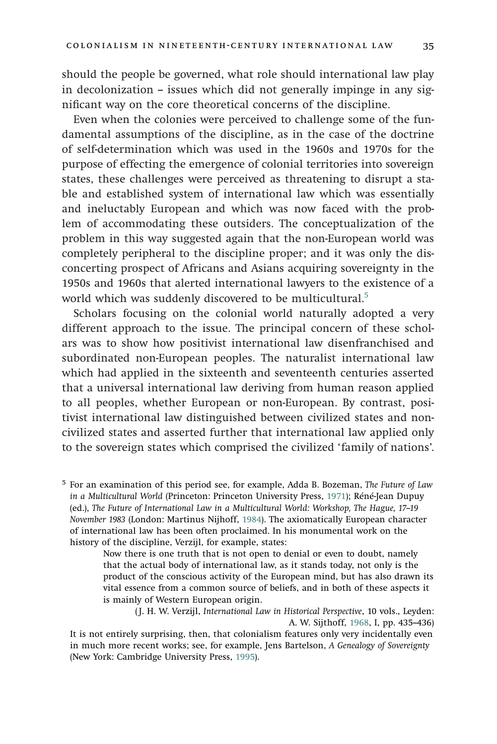should the people be governed, what role should international law play in decolonization -- issues which did not generally impinge in any significant way on the core theoretical concerns of the discipline.

Even when the colonies were perceived to challenge some of the fundamental assumptions of the discipline, as in the case of the doctrine of self-determination which was used in the 1960s and 1970s for the purpose of effecting the emergence of colonial territories into sovereign states, these challenges were perceived as threatening to disrupt a stable and established system of international law which was essentially and ineluctably European and which was now faced with the problem of accommodating these outsiders. The conceptualization of the problem in this way suggested again that the non-European world was completely peripheral to the discipline proper; and it was only the disconcerting prospect of Africans and Asians acquiring sovereignty in the 1950s and 1960s that alerted international lawyers to the existence of a world which was suddenly discovered to be multicultural.<sup>5</sup>

Scholars focusing on the colonial world naturally adopted a very different approach to the issue. The principal concern of these scholars was to show how positivist international law disenfranchised and subordinated non-European peoples. The naturalist international law which had applied in the sixteenth and seventeenth centuries asserted that a universal international law deriving from human reason applied to all peoples, whether European or non-European. By contrast, positivist international law distinguished between civilized states and noncivilized states and asserted further that international law applied only to the sovereign states which comprised the civilized 'family of nations'.

<sup>5</sup> For an examination of this period see, for example, Adda B. Bozeman, *The Future of Law in a Multicultural World* (Princeton: Princeton University Press, 1971); Réné-Jean Dupuy (ed.), *The Future of International Law in a Multicultural World: Workshop, The Hague, 17--19 November 1983* (London: Martinus Nijhoff, 1984). The axiomatically European character of international law has been often proclaimed. In his monumental work on the history of the discipline, Verzijl, for example, states:

> Now there is one truth that is not open to denial or even to doubt, namely that the actual body of international law, as it stands today, not only is the product of the conscious activity of the European mind, but has also drawn its vital essence from a common source of beliefs, and in both of these aspects it is mainly of Western European origin.

( J. H. W. Verzijl, *International Law in Historical Perspective*, 10 vols., Leyden: A. W. Sijthoff, 1968, I, pp. 435-436)

It is not entirely surprising, then, that colonialism features only very incidentally even in much more recent works; see, for example, Jens Bartelson, *A Genealogy of Sovereignty* (New York: Cambridge University Press, 1995).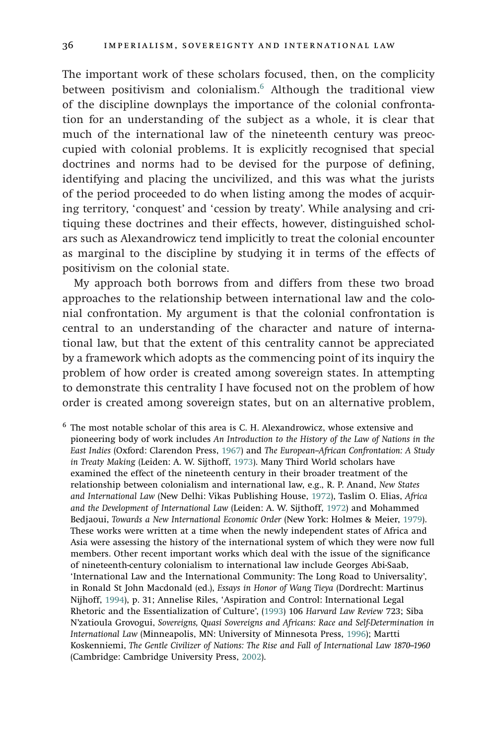The important work of these scholars focused, then, on the complicity between positivism and colonialism.<sup>6</sup> Although the traditional view of the discipline downplays the importance of the colonial confrontation for an understanding of the subject as a whole, it is clear that much of the international law of the nineteenth century was preoccupied with colonial problems. It is explicitly recognised that special doctrines and norms had to be devised for the purpose of defining, identifying and placing the uncivilized, and this was what the jurists of the period proceeded to do when listing among the modes of acquiring territory, 'conquest' and 'cession by treaty'. While analysing and critiquing these doctrines and their effects, however, distinguished scholars such as Alexandrowicz tend implicitly to treat the colonial encounter as marginal to the discipline by studying it in terms of the effects of positivism on the colonial state.

My approach both borrows from and differs from these two broad approaches to the relationship between international law and the colonial confrontation. My argument is that the colonial confrontation is central to an understanding of the character and nature of international law, but that the extent of this centrality cannot be appreciated by a framework which adopts as the commencing point of its inquiry the problem of how order is created among sovereign states. In attempting to demonstrate this centrality I have focused not on the problem of how order is created among sovereign states, but on an alternative problem,

<sup>6</sup> The most notable scholar of this area is C. H. Alexandrowicz, whose extensive and pioneering body of work includes *An Introduction to the History of the Law of Nations in the East Indies* (Oxford: Clarendon Press, 1967) and *The European--African Confrontation: A Study in Treaty Making* (Leiden: A. W. Sijthoff, 1973). Many Third World scholars have examined the effect of the nineteenth century in their broader treatment of the relationship between colonialism and international law, e.g., R. P. Anand, *New States and International Law* (New Delhi: Vikas Publishing House, 1972), Taslim O. Elias, *Africa and the Development of International Law* (Leiden: A. W. Sijthoff, 1972) and Mohammed Bedjaoui, *Towards a New International Economic Order* (New York: Holmes & Meier, 1979). These works were written at a time when the newly independent states of Africa and Asia were assessing the history of the international system of which they were now full members. Other recent important works which deal with the issue of the significance of nineteenth-century colonialism to international law include Georges Abi-Saab, 'International Law and the International Community: The Long Road to Universality', in Ronald St John Macdonald (ed.), *Essays in Honor of Wang Tieya* (Dordrecht: Martinus Nijhoff, 1994), p. 31; Annelise Riles, 'Aspiration and Control: International Legal Rhetoric and the Essentialization of Culture', (1993) 106 *Harvard Law Review* 723; Siba N'zatioula Grovogui, *Sovereigns, Quasi Sovereigns and Africans: Race and Self-Determination in International Law* (Minneapolis, MN: University of Minnesota Press, 1996); Martti Koskenniemi, *The Gentle Civilizer of Nations: The Rise and Fall of International Law 1870--1960* (Cambridge: Cambridge University Press, 2002).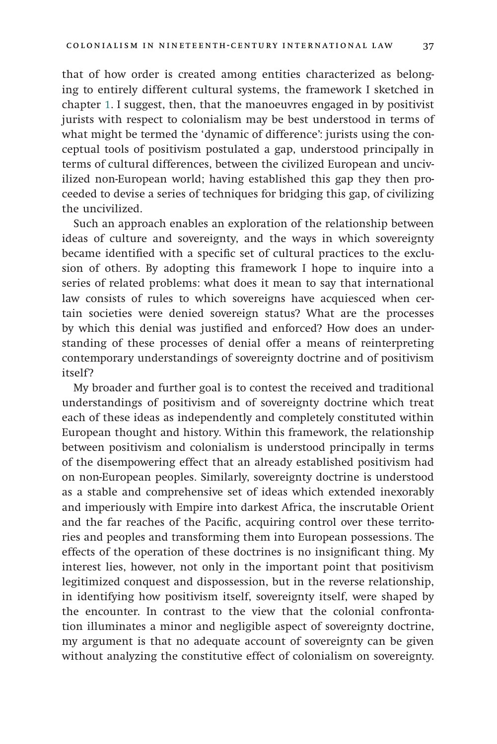that of how order is created among entities characterized as belonging to entirely different cultural systems, the framework I sketched in chapter [1.](#page-0-0) I suggest, then, that the manoeuvres engaged in by positivist jurists with respect to colonialism may be best understood in terms of what might be termed the 'dynamic of difference': jurists using the conceptual tools of positivism postulated a gap, understood principally in terms of cultural differences, between the civilized European and uncivilized non-European world; having established this gap they then proceeded to devise a series of techniques for bridging this gap, of civilizing the uncivilized.

Such an approach enables an exploration of the relationship between ideas of culture and sovereignty, and the ways in which sovereignty became identified with a specific set of cultural practices to the exclusion of others. By adopting this framework I hope to inquire into a series of related problems: what does it mean to say that international law consists of rules to which sovereigns have acquiesced when certain societies were denied sovereign status? What are the processes by which this denial was justified and enforced? How does an understanding of these processes of denial offer a means of reinterpreting contemporary understandings of sovereignty doctrine and of positivism itself?

My broader and further goal is to contest the received and traditional understandings of positivism and of sovereignty doctrine which treat each of these ideas as independently and completely constituted within European thought and history. Within this framework, the relationship between positivism and colonialism is understood principally in terms of the disempowering effect that an already established positivism had on non-European peoples. Similarly, sovereignty doctrine is understood as a stable and comprehensive set of ideas which extended inexorably and imperiously with Empire into darkest Africa, the inscrutable Orient and the far reaches of the Pacific, acquiring control over these territories and peoples and transforming them into European possessions. The effects of the operation of these doctrines is no insignificant thing. My interest lies, however, not only in the important point that positivism legitimized conquest and dispossession, but in the reverse relationship, in identifying how positivism itself, sovereignty itself, were shaped by the encounter. In contrast to the view that the colonial confrontation illuminates a minor and negligible aspect of sovereignty doctrine, my argument is that no adequate account of sovereignty can be given without analyzing the constitutive effect of colonialism on sovereignty.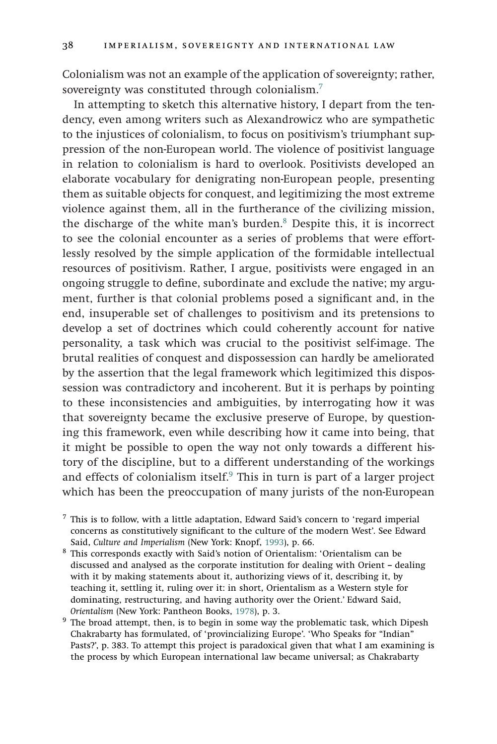Colonialism was not an example of the application of sovereignty; rather, sovereignty was constituted through colonialism.<sup>7</sup>

In attempting to sketch this alternative history, I depart from the tendency, even among writers such as Alexandrowicz who are sympathetic to the injustices of colonialism, to focus on positivism's triumphant suppression of the non-European world. The violence of positivist language in relation to colonialism is hard to overlook. Positivists developed an elaborate vocabulary for denigrating non-European people, presenting them as suitable objects for conquest, and legitimizing the most extreme violence against them, all in the furtherance of the civilizing mission, the discharge of the white man's burden. $8$  Despite this, it is incorrect to see the colonial encounter as a series of problems that were effortlessly resolved by the simple application of the formidable intellectual resources of positivism. Rather, I argue, positivists were engaged in an ongoing struggle to define, subordinate and exclude the native; my argument, further is that colonial problems posed a significant and, in the end, insuperable set of challenges to positivism and its pretensions to develop a set of doctrines which could coherently account for native personality, a task which was crucial to the positivist self-image. The brutal realities of conquest and dispossession can hardly be ameliorated by the assertion that the legal framework which legitimized this dispossession was contradictory and incoherent. But it is perhaps by pointing to these inconsistencies and ambiguities, by interrogating how it was that sovereignty became the exclusive preserve of Europe, by questioning this framework, even while describing how it came into being, that it might be possible to open the way not only towards a different history of the discipline, but to a different understanding of the workings and effects of colonialism itself. $9$  This in turn is part of a larger project which has been the preoccupation of many jurists of the non-European

- $7$  This is to follow, with a little adaptation, Edward Said's concern to 'regard imperial concerns as constitutively significant to the culture of the modern West'. See Edward Said, *Culture and Imperialism* (New York: Knopf, 1993), p. 66.
- <sup>8</sup> This corresponds exactly with Said's notion of Orientalism: 'Orientalism can be discussed and analysed as the corporate institution for dealing with Orient - dealing with it by making statements about it, authorizing views of it, describing it, by teaching it, settling it, ruling over it: in short, Orientalism as a Western style for dominating, restructuring, and having authority over the Orient.' Edward Said, *Orientalism* (New York: Pantheon Books, 1978), p. 3.
- <sup>9</sup> The broad attempt, then, is to begin in some way the problematic task, which Dipesh Chakrabarty has formulated, of 'provincializing Europe'. 'Who Speaks for "Indian" Pasts?', p. 383. To attempt this project is paradoxical given that what I am examining is the process by which European international law became universal; as Chakrabarty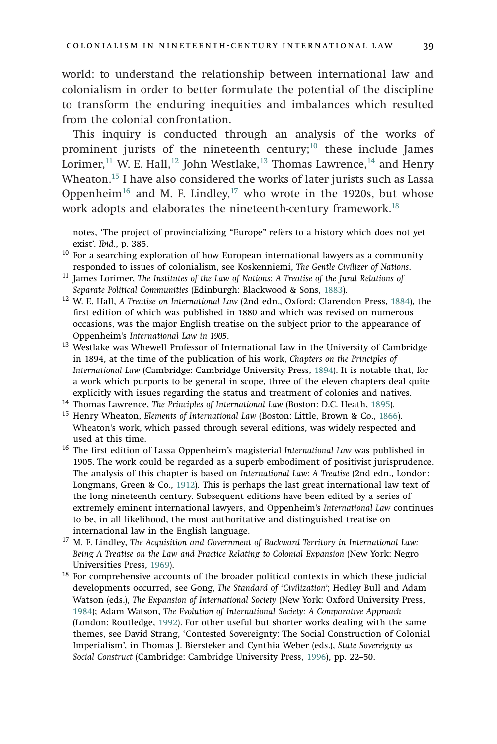world: to understand the relationship between international law and colonialism in order to better formulate the potential of the discipline to transform the enduring inequities and imbalances which resulted from the colonial confrontation.

This inquiry is conducted through an analysis of the works of prominent jurists of the nineteenth century; $10$  these include James Lorimer,<sup>11</sup> W. E. Hall,<sup>12</sup> John Westlake,<sup>13</sup> Thomas Lawrence,<sup>14</sup> and Henry Wheaton.15 I have also considered the works of later jurists such as Lassa Oppenheim<sup>16</sup> and M. F. Lindley,<sup>17</sup> who wrote in the 1920s, but whose work adopts and elaborates the nineteenth-century framework.<sup>18</sup>

notes, 'The project of provincializing "Europe" refers to a history which does not yet exist'. *Ibid*., p. 385.

- $10$  For a searching exploration of how European international lawyers as a community responded to issues of colonialism, see Koskenniemi, *The Gentle Civilizer of Nations*.
- <sup>11</sup> James Lorimer, *The Institutes of the Law of Nations: A Treatise of the Jural Relations of Separate Political Communities* (Edinburgh: Blackwood & Sons, 1883).
- <sup>12</sup> W. E. Hall, *A Treatise on International Law* (2nd edn., Oxford: Clarendon Press, 1884), the first edition of which was published in 1880 and which was revised on numerous occasions, was the major English treatise on the subject prior to the appearance of Oppenheim's *International Law in 1905*.
- <sup>13</sup> Westlake was Whewell Professor of International Law in the University of Cambridge in 1894, at the time of the publication of his work, *Chapters on the Principles of International Law* (Cambridge: Cambridge University Press, 1894). It is notable that, for a work which purports to be general in scope, three of the eleven chapters deal quite explicitly with issues regarding the status and treatment of colonies and natives.
- <sup>14</sup> Thomas Lawrence, *The Principles of International Law* (Boston: D.C. Heath, 1895).
- <sup>15</sup> Henry Wheaton, *Elements of International Law* (Boston: Little, Brown & Co., 1866). Wheaton's work, which passed through several editions, was widely respected and used at this time.

<sup>16</sup> The first edition of Lassa Oppenheim's magisterial *International Law* was published in 1905. The work could be regarded as a superb embodiment of positivist jurisprudence. The analysis of this chapter is based on *International Law: A Treatise* (2nd edn., London: Longmans, Green & Co., 1912). This is perhaps the last great international law text of the long nineteenth century. Subsequent editions have been edited by a series of extremely eminent international lawyers, and Oppenheim's *International Law* continues to be, in all likelihood, the most authoritative and distinguished treatise on international law in the English language.

- <sup>17</sup> M. F. Lindley, *The Acquisition and Government of Backward Territory in International Law: Being A Treatise on the Law and Practice Relating to Colonial Expansion* (New York: Negro Universities Press, 1969).
- <sup>18</sup> For comprehensive accounts of the broader political contexts in which these judicial developments occurred, see Gong, *The Standard of 'Civilization'*; Hedley Bull and Adam Watson (eds.), *The Expansion of International Society* (New York: Oxford University Press, 1984); Adam Watson, *The Evolution of International Society: A Comparative Approach* (London: Routledge, 1992). For other useful but shorter works dealing with the same themes, see David Strang, 'Contested Sovereignty: The Social Construction of Colonial Imperialism', in Thomas J. Biersteker and Cynthia Weber (eds.), *State Sovereignty as Social Construct* (Cambridge: Cambridge University Press, 1996), pp. 22--50.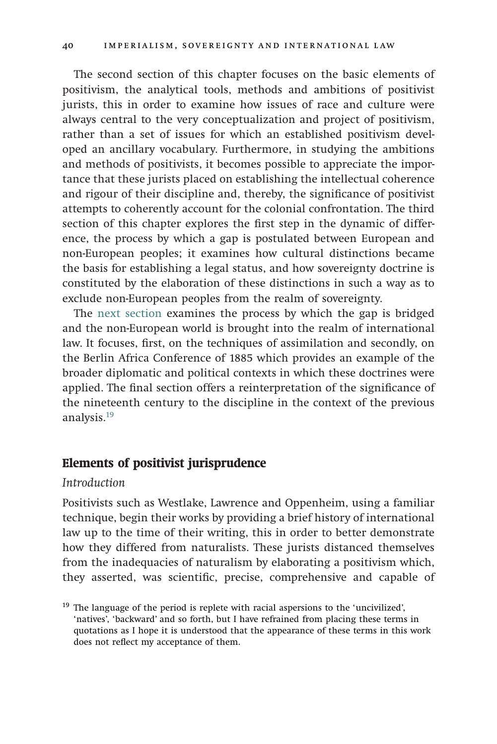The second section of this chapter focuses on the basic elements of positivism, the analytical tools, methods and ambitions of positivist jurists, this in order to examine how issues of race and culture were always central to the very conceptualization and project of positivism, rather than a set of issues for which an established positivism developed an ancillary vocabulary. Furthermore, in studying the ambitions and methods of positivists, it becomes possible to appreciate the importance that these jurists placed on establishing the intellectual coherence and rigour of their discipline and, thereby, the significance of positivist attempts to coherently account for the colonial confrontation. The third section of this chapter explores the first step in the dynamic of difference, the process by which a gap is postulated between European and non-European peoples; it examines how cultural distinctions became the basis for establishing a legal status, and how sovereignty doctrine is constituted by the elaboration of these distinctions in such a way as to exclude non-European peoples from the realm of sovereignty.

The [next section](#page-39-0) examines the process by which the gap is bridged and the non-European world is brought into the realm of international law. It focuses, first, on the techniques of assimilation and secondly, on the Berlin Africa Conference of 1885 which provides an example of the broader diplomatic and political contexts in which these doctrines were applied. The final section offers a reinterpretation of the significance of the nineteenth century to the discipline in the context of the previous analysis.19

# **Elements of positivist jurisprudence**

#### *Introduction*

Positivists such as Westlake, Lawrence and Oppenheim, using a familiar technique, begin their works by providing a brief history of international law up to the time of their writing, this in order to better demonstrate how they differed from naturalists. These jurists distanced themselves from the inadequacies of naturalism by elaborating a positivism which, they asserted, was scientific, precise, comprehensive and capable of

 $19$  The language of the period is replete with racial aspersions to the 'uncivilized', 'natives', 'backward' and so forth, but I have refrained from placing these terms in quotations as I hope it is understood that the appearance of these terms in this work does not reflect my acceptance of them.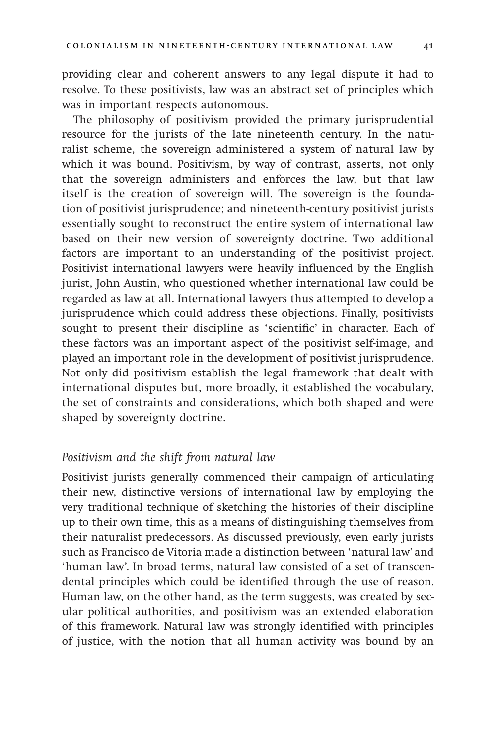providing clear and coherent answers to any legal dispute it had to resolve. To these positivists, law was an abstract set of principles which was in important respects autonomous.

The philosophy of positivism provided the primary jurisprudential resource for the jurists of the late nineteenth century. In the naturalist scheme, the sovereign administered a system of natural law by which it was bound. Positivism, by way of contrast, asserts, not only that the sovereign administers and enforces the law, but that law itself is the creation of sovereign will. The sovereign is the foundation of positivist jurisprudence; and nineteenth-century positivist jurists essentially sought to reconstruct the entire system of international law based on their new version of sovereignty doctrine. Two additional factors are important to an understanding of the positivist project. Positivist international lawyers were heavily influenced by the English jurist, John Austin, who questioned whether international law could be regarded as law at all. International lawyers thus attempted to develop a jurisprudence which could address these objections. Finally, positivists sought to present their discipline as 'scientific' in character. Each of these factors was an important aspect of the positivist self-image, and played an important role in the development of positivist jurisprudence. Not only did positivism establish the legal framework that dealt with international disputes but, more broadly, it established the vocabulary, the set of constraints and considerations, which both shaped and were shaped by sovereignty doctrine.

# *Positivism and the shift from natural law*

Positivist jurists generally commenced their campaign of articulating their new, distinctive versions of international law by employing the very traditional technique of sketching the histories of their discipline up to their own time, this as a means of distinguishing themselves from their naturalist predecessors. As discussed previously, even early jurists such as Francisco de Vitoria made a distinction between 'natural law' and 'human law'. In broad terms, natural law consisted of a set of transcendental principles which could be identified through the use of reason. Human law, on the other hand, as the term suggests, was created by secular political authorities, and positivism was an extended elaboration of this framework. Natural law was strongly identified with principles of justice, with the notion that all human activity was bound by an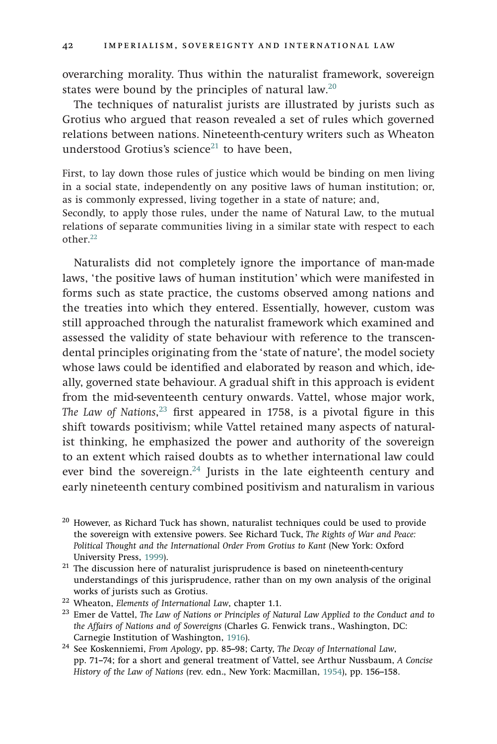overarching morality. Thus within the naturalist framework, sovereign states were bound by the principles of natural law. $20$ 

The techniques of naturalist jurists are illustrated by jurists such as Grotius who argued that reason revealed a set of rules which governed relations between nations. Nineteenth-century writers such as Wheaton understood Grotius's science $^{21}$  to have been.

First, to lay down those rules of justice which would be binding on men living in a social state, independently on any positive laws of human institution; or, as is commonly expressed, living together in a state of nature; and,

Secondly, to apply those rules, under the name of Natural Law, to the mutual relations of separate communities living in a similar state with respect to each other $22$ 

Naturalists did not completely ignore the importance of man-made laws, 'the positive laws of human institution' which were manifested in forms such as state practice, the customs observed among nations and the treaties into which they entered. Essentially, however, custom was still approached through the naturalist framework which examined and assessed the validity of state behaviour with reference to the transcendental principles originating from the 'state of nature', the model society whose laws could be identified and elaborated by reason and which, ideally, governed state behaviour. A gradual shift in this approach is evident from the mid-seventeenth century onwards. Vattel, whose major work, *The Law of Nations*, <sup>23</sup> first appeared in 1758, is a pivotal figure in this shift towards positivism; while Vattel retained many aspects of naturalist thinking, he emphasized the power and authority of the sovereign to an extent which raised doubts as to whether international law could ever bind the sovereign. $24$  Jurists in the late eighteenth century and early nineteenth century combined positivism and naturalism in various

- $21$  The discussion here of naturalist jurisprudence is based on nineteenth-century understandings of this jurisprudence, rather than on my own analysis of the original works of jurists such as Grotius.
- <sup>22</sup> Wheaton, *Elements of International Law*, chapter 1.1.
- <sup>23</sup> Emer de Vattel, *The Law of Nations or Principles of Natural Law Applied to the Conduct and to the Affairs of Nations and of Sovereigns* (Charles G. Fenwick trans., Washington, DC: Carnegie Institution of Washington, 1916).
- <sup>24</sup> See Koskenniemi, *From Apology*, pp. 85-98; Carty, *The Decay of International Law*, pp. 71--74; for a short and general treatment of Vattel, see Arthur Nussbaum, *A Concise History of the Law of Nations* (rev. edn., New York: Macmillan, 1954), pp. 156-158.

<sup>&</sup>lt;sup>20</sup> However, as Richard Tuck has shown, naturalist techniques could be used to provide the sovereign with extensive powers. See Richard Tuck, *The Rights of War and Peace: Political Thought and the International Order From Grotius to Kant* (New York: Oxford University Press, 1999).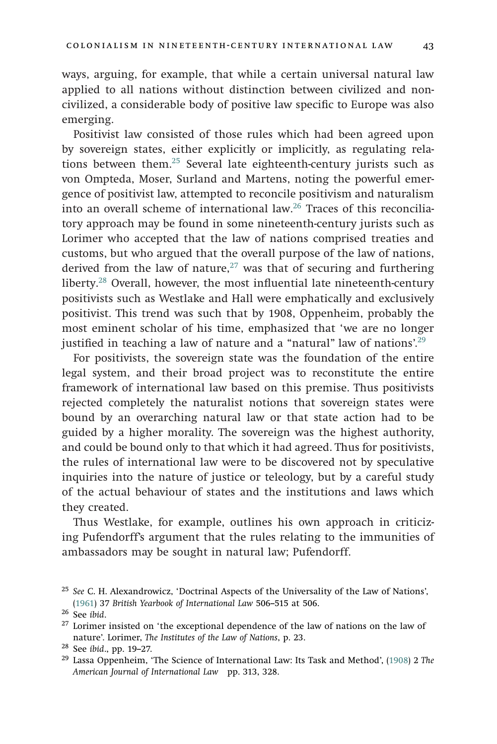ways, arguing, for example, that while a certain universal natural law applied to all nations without distinction between civilized and noncivilized, a considerable body of positive law specific to Europe was also emerging.

Positivist law consisted of those rules which had been agreed upon by sovereign states, either explicitly or implicitly, as regulating relations between them. $25$  Several late eighteenth-century jurists such as von Ompteda, Moser, Surland and Martens, noting the powerful emergence of positivist law, attempted to reconcile positivism and naturalism into an overall scheme of international law.<sup>26</sup> Traces of this reconciliatory approach may be found in some nineteenth-century jurists such as Lorimer who accepted that the law of nations comprised treaties and customs, but who argued that the overall purpose of the law of nations, derived from the law of nature, $27$  was that of securing and furthering liberty.28 Overall, however, the most influential late nineteenth-century positivists such as Westlake and Hall were emphatically and exclusively positivist. This trend was such that by 1908, Oppenheim, probably the most eminent scholar of his time, emphasized that 'we are no longer justified in teaching a law of nature and a "natural" law of nations'.<sup>29</sup>

For positivists, the sovereign state was the foundation of the entire legal system, and their broad project was to reconstitute the entire framework of international law based on this premise. Thus positivists rejected completely the naturalist notions that sovereign states were bound by an overarching natural law or that state action had to be guided by a higher morality. The sovereign was the highest authority, and could be bound only to that which it had agreed. Thus for positivists, the rules of international law were to be discovered not by speculative inquiries into the nature of justice or teleology, but by a careful study of the actual behaviour of states and the institutions and laws which they created.

Thus Westlake, for example, outlines his own approach in criticizing Pufendorff's argument that the rules relating to the immunities of ambassadors may be sought in natural law; Pufendorff.

<sup>25</sup> *See* C. H. Alexandrowicz, 'Doctrinal Aspects of the Universality of the Law of Nations', (1961) 37 *British Yearbook of International Law* 506--515 at 506.

<sup>26</sup> See *ibid*.

<sup>&</sup>lt;sup>27</sup> Lorimer insisted on 'the exceptional dependence of the law of nations on the law of nature'. Lorimer, *The Institutes of the Law of Nations*, p. 23.

<sup>&</sup>lt;sup>28</sup> See *ibid.*, pp. 19-27.

<sup>29</sup> Lassa Oppenheim, 'The Science of International Law: Its Task and Method', (1908) 2 *The American Journal of International Law* pp. 313, 328.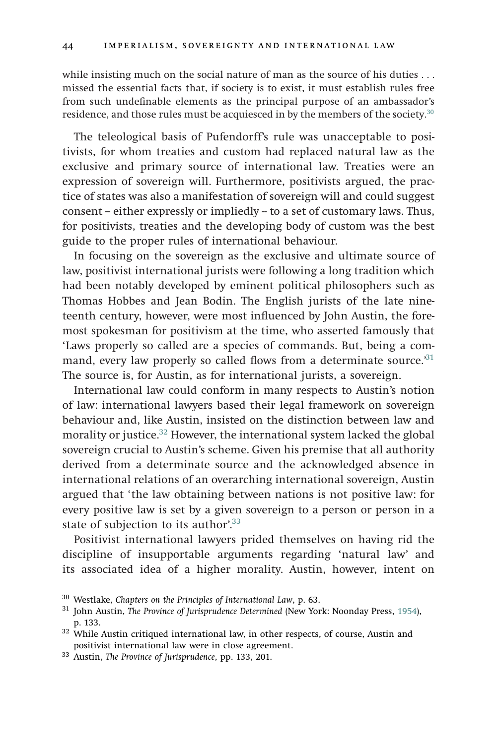while insisting much on the social nature of man as the source of his duties . . . missed the essential facts that, if society is to exist, it must establish rules free from such undefinable elements as the principal purpose of an ambassador's residence, and those rules must be acquiesced in by the members of the society.<sup>30</sup>

The teleological basis of Pufendorff's rule was unacceptable to positivists, for whom treaties and custom had replaced natural law as the exclusive and primary source of international law. Treaties were an expression of sovereign will. Furthermore, positivists argued, the practice of states was also a manifestation of sovereign will and could suggest consent -- either expressly or impliedly -- to a set of customary laws. Thus, for positivists, treaties and the developing body of custom was the best guide to the proper rules of international behaviour.

In focusing on the sovereign as the exclusive and ultimate source of law, positivist international jurists were following a long tradition which had been notably developed by eminent political philosophers such as Thomas Hobbes and Jean Bodin. The English jurists of the late nineteenth century, however, were most influenced by John Austin, the foremost spokesman for positivism at the time, who asserted famously that 'Laws properly so called are a species of commands. But, being a command, every law properly so called flows from a determinate source. $31$ The source is, for Austin, as for international jurists, a sovereign.

International law could conform in many respects to Austin's notion of law: international lawyers based their legal framework on sovereign behaviour and, like Austin, insisted on the distinction between law and morality or justice.<sup>32</sup> However, the international system lacked the global sovereign crucial to Austin's scheme. Given his premise that all authority derived from a determinate source and the acknowledged absence in international relations of an overarching international sovereign, Austin argued that 'the law obtaining between nations is not positive law: for every positive law is set by a given sovereign to a person or person in a state of subjection to its author'.<sup>33</sup>

Positivist international lawyers prided themselves on having rid the discipline of insupportable arguments regarding 'natural law' and its associated idea of a higher morality. Austin, however, intent on

<sup>30</sup> Westlake, *Chapters on the Principles of International Law*, p. 63.

<sup>31</sup> John Austin, *The Province of Jurisprudence Determined* (New York: Noonday Press, 1954), p. 133.

<sup>&</sup>lt;sup>32</sup> While Austin critiqued international law, in other respects, of course, Austin and positivist international law were in close agreement.

<sup>33</sup> Austin, *The Province of Jurisprudence*, pp. 133, 201.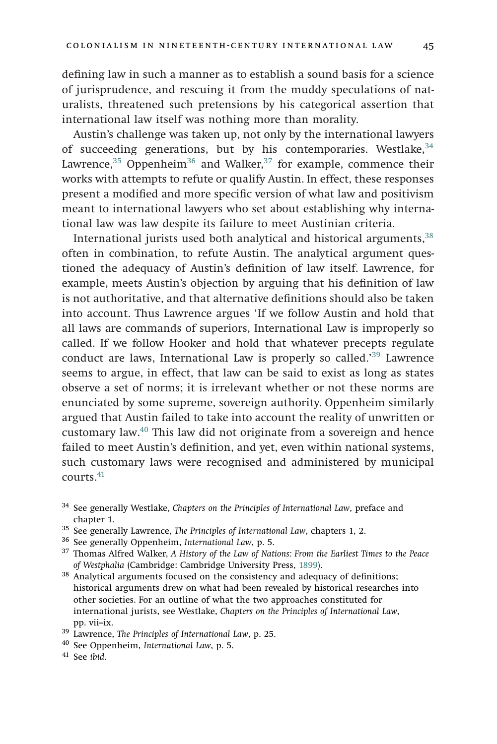defining law in such a manner as to establish a sound basis for a science of jurisprudence, and rescuing it from the muddy speculations of naturalists, threatened such pretensions by his categorical assertion that international law itself was nothing more than morality.

Austin's challenge was taken up, not only by the international lawyers of succeeding generations, but by his contemporaries. Westlake,  $34$ Lawrence, $35$  Oppenheim<sup>36</sup> and Walker, $37$  for example, commence their works with attempts to refute or qualify Austin. In effect, these responses present a modified and more specific version of what law and positivism meant to international lawyers who set about establishing why international law was law despite its failure to meet Austinian criteria.

International jurists used both analytical and historical arguments, <sup>38</sup> often in combination, to refute Austin. The analytical argument questioned the adequacy of Austin's definition of law itself. Lawrence, for example, meets Austin's objection by arguing that his definition of law is not authoritative, and that alternative definitions should also be taken into account. Thus Lawrence argues 'If we follow Austin and hold that all laws are commands of superiors, International Law is improperly so called. If we follow Hooker and hold that whatever precepts regulate conduct are laws, International Law is properly so called.'<sup>39</sup> Lawrence seems to argue, in effect, that law can be said to exist as long as states observe a set of norms; it is irrelevant whether or not these norms are enunciated by some supreme, sovereign authority. Oppenheim similarly argued that Austin failed to take into account the reality of unwritten or customary law.40 This law did not originate from a sovereign and hence failed to meet Austin's definition, and yet, even within national systems, such customary laws were recognised and administered by municipal  $counts$ <sup>41</sup>

- <sup>34</sup> See generally Westlake, *Chapters on the Principles of International Law*, preface and chapter 1.
- <sup>35</sup> See generally Lawrence, *The Principles of International Law*, chapters 1, 2.
- <sup>36</sup> See generally Oppenheim, *International Law*, p. 5.
- <sup>37</sup> Thomas Alfred Walker, *A History of the Law of Nations: From the Earliest Times to the Peace of Westphalia* (Cambridge: Cambridge University Press, 1899).
- <sup>38</sup> Analytical arguments focused on the consistency and adequacy of definitions; historical arguments drew on what had been revealed by historical researches into other societies. For an outline of what the two approaches constituted for international jurists, see Westlake, *Chapters on the Principles of International Law*, pp. vii-ix.
- <sup>39</sup> Lawrence, *The Principles of International Law*, p. 25.
- <sup>40</sup> See Oppenheim, *International Law*, p. 5.
- <sup>41</sup> See *ibid*.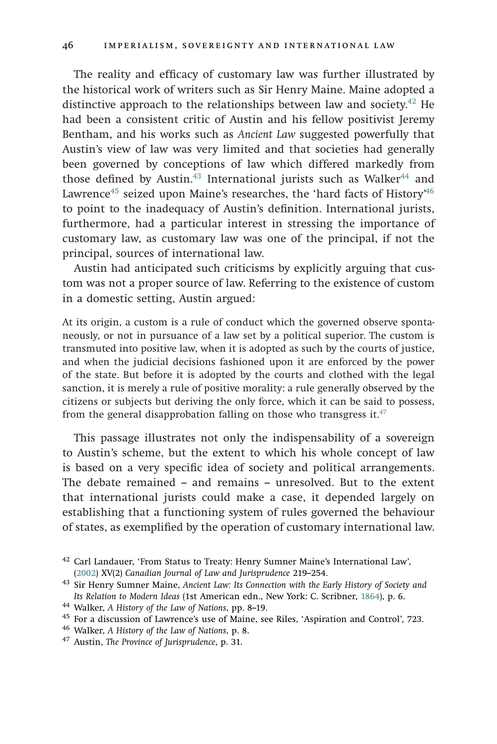The reality and efficacy of customary law was further illustrated by the historical work of writers such as Sir Henry Maine. Maine adopted a distinctive approach to the relationships between law and society.<sup>42</sup> He had been a consistent critic of Austin and his fellow positivist Jeremy Bentham, and his works such as *Ancient Law* suggested powerfully that Austin's view of law was very limited and that societies had generally been governed by conceptions of law which differed markedly from those defined by Austin.<sup>43</sup> International jurists such as Walker<sup>44</sup> and Lawrence<sup>45</sup> seized upon Maine's researches, the 'hard facts of History<sup>46</sup> to point to the inadequacy of Austin's definition. International jurists, furthermore, had a particular interest in stressing the importance of customary law, as customary law was one of the principal, if not the principal, sources of international law.

Austin had anticipated such criticisms by explicitly arguing that custom was not a proper source of law. Referring to the existence of custom in a domestic setting, Austin argued:

At its origin, a custom is a rule of conduct which the governed observe spontaneously, or not in pursuance of a law set by a political superior. The custom is transmuted into positive law, when it is adopted as such by the courts of justice, and when the judicial decisions fashioned upon it are enforced by the power of the state. But before it is adopted by the courts and clothed with the legal sanction, it is merely a rule of positive morality: a rule generally observed by the citizens or subjects but deriving the only force, which it can be said to possess, from the general disapprobation falling on those who transgress it. $47$ 

This passage illustrates not only the indispensability of a sovereign to Austin's scheme, but the extent to which his whole concept of law is based on a very specific idea of society and political arrangements. The debate remained - and remains - unresolved. But to the extent that international jurists could make a case, it depended largely on establishing that a functioning system of rules governed the behaviour of states, as exemplified by the operation of customary international law.

<sup>42</sup> Carl Landauer, 'From Status to Treaty: Henry Sumner Maine's International Law', (2002) XV(2) *Canadian Journal of Law and Jurisprudence* 219--254.

<sup>43</sup> Sir Henry Sumner Maine, *Ancient Law: Its Connection with the Early History of Society and Its Relation to Modern Ideas* (1st American edn., New York: C. Scribner, 1864), p. 6.

<sup>44</sup> Walker, *A History of the Law of Nations*, pp. 8--19.

<sup>45</sup> For a discussion of Lawrence's use of Maine, see Riles, 'Aspiration and Control', 723.

<sup>46</sup> Walker, *A History of the Law of Nations*, p. 8.

<sup>47</sup> Austin, *The Province of Jurisprudence*, p. 31.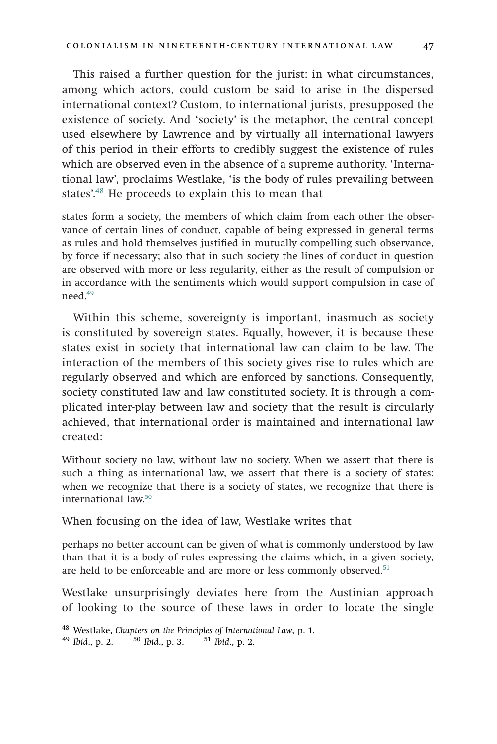This raised a further question for the jurist: in what circumstances, among which actors, could custom be said to arise in the dispersed international context? Custom, to international jurists, presupposed the existence of society. And 'society' is the metaphor, the central concept used elsewhere by Lawrence and by virtually all international lawyers of this period in their efforts to credibly suggest the existence of rules which are observed even in the absence of a supreme authority. 'International law', proclaims Westlake, 'is the body of rules prevailing between states'.<sup>48</sup> He proceeds to explain this to mean that

states form a society, the members of which claim from each other the observance of certain lines of conduct, capable of being expressed in general terms as rules and hold themselves justified in mutually compelling such observance, by force if necessary; also that in such society the lines of conduct in question are observed with more or less regularity, either as the result of compulsion or in accordance with the sentiments which would support compulsion in case of need.49

Within this scheme, sovereignty is important, inasmuch as society is constituted by sovereign states. Equally, however, it is because these states exist in society that international law can claim to be law. The interaction of the members of this society gives rise to rules which are regularly observed and which are enforced by sanctions. Consequently, society constituted law and law constituted society. It is through a complicated inter-play between law and society that the result is circularly achieved, that international order is maintained and international law created:

Without society no law, without law no society. When we assert that there is such a thing as international law, we assert that there is a society of states: when we recognize that there is a society of states, we recognize that there is international law.[50](#page-69-0)

When focusing on the idea of law, Westlake writes that

perhaps no better account can be given of what is commonly understood by law than that it is a body of rules expressing the claims which, in a given society, are held to be enforceable and are more or less commonly observed.<sup>51</sup>

Westlake unsurprisingly deviates here from the Austinian approach of looking to the source of these laws in order to locate the single

<sup>48</sup> Westlake, *Chapters on the Principles of International Law*, p. 1.

<sup>49</sup> *Ibid*., p. 2. <sup>50</sup> *Ibid*., p. 3. <sup>51</sup> *Ibid*., p. 2.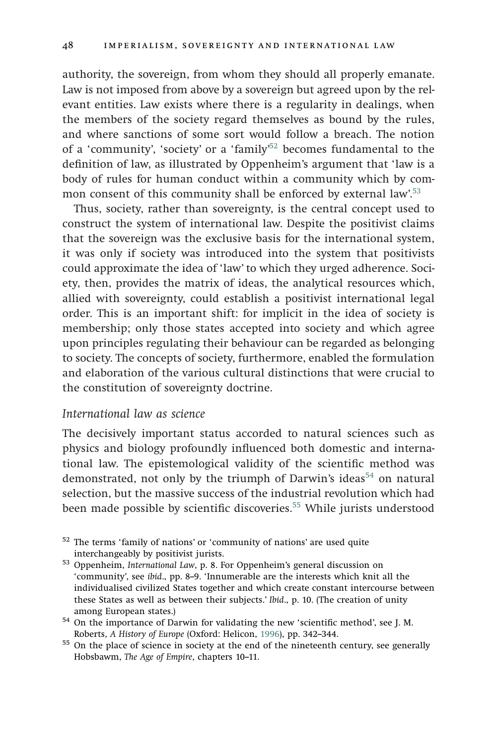authority, the sovereign, from whom they should all properly emanate. Law is not imposed from above by a sovereign but agreed upon by the relevant entities. Law exists where there is a regularity in dealings, when the members of the society regard themselves as bound by the rules, and where sanctions of some sort would follow a breach. The notion of a 'community', 'society' or a 'family'52 becomes fundamental to the definition of law, as illustrated by Oppenheim's argument that 'law is a body of rules for human conduct within a community which by common consent of this community shall be enforced by external law'.<sup>53</sup>

Thus, society, rather than sovereignty, is the central concept used to construct the system of international law. Despite the positivist claims that the sovereign was the exclusive basis for the international system, it was only if society was introduced into the system that positivists could approximate the idea of 'law' to which they urged adherence. Society, then, provides the matrix of ideas, the analytical resources which, allied with sovereignty, could establish a positivist international legal order. This is an important shift: for implicit in the idea of society is membership; only those states accepted into society and which agree upon principles regulating their behaviour can be regarded as belonging to society. The concepts of society, furthermore, enabled the formulation and elaboration of the various cultural distinctions that were crucial to the constitution of sovereignty doctrine.

#### *International law as science*

The decisively important status accorded to natural sciences such as physics and biology profoundly influenced both domestic and international law. The epistemological validity of the scientific method was demonstrated, not only by the triumph of Darwin's ideas<sup>54</sup> on natural selection, but the massive success of the industrial revolution which had been made possible by scientific discoveries.<sup>55</sup> While jurists understood

- <sup>52</sup> The terms 'family of nations' or 'community of nations' are used quite interchangeably by positivist jurists.
- <sup>53</sup> Oppenheim, *International Law*, p. 8. For Oppenheim's general discussion on 'community', see *ibid.*, pp. 8-9. 'Innumerable are the interests which knit all the individualised civilized States together and which create constant intercourse between these States as well as between their subjects.' *Ibid*., p. 10. (The creation of unity among European states.)
- <sup>54</sup> On the importance of Darwin for validating the new 'scientific method', see J. M. Roberts, *A History of Europe* (Oxford: Helicon, 1996), pp. 342--344.
- <sup>55</sup> On the place of science in society at the end of the nineteenth century, see generally Hobsbawm, *The Age of Empire*, chapters 10-11.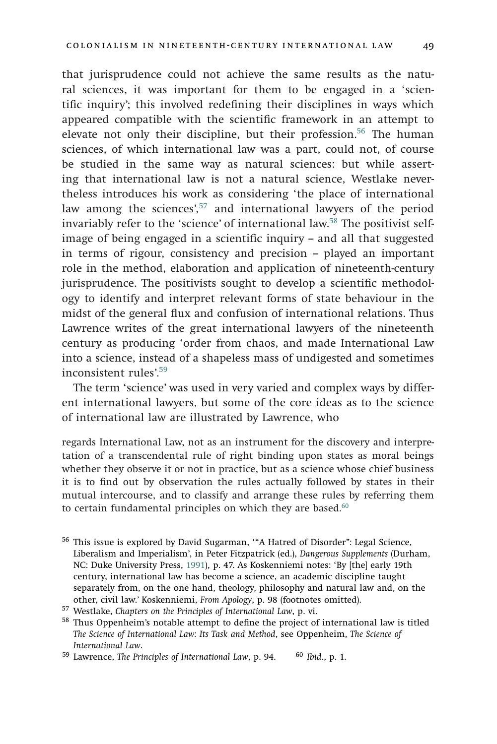<span id="page-36-0"></span>that jurisprudence could not achieve the same results as the natural sciences, it was important for them to be engaged in a 'scientific inquiry'; this involved redefining their disciplines in ways which appeared compatible with the scientific framework in an attempt to elevate not only their discipline, but their profession.<sup>56</sup> The human sciences, of which international law was a part, could not, of course be studied in the same way as natural sciences: but while asserting that international law is not a natural science, Westlake nevertheless introduces his work as considering 'the place of international law among the sciences',<sup>57</sup> and international lawyers of the period invariably refer to the 'science' of international law.<sup>58</sup> The positivist selfimage of being engaged in a scientific inquiry - and all that suggested in terms of rigour, consistency and precision -- played an important role in the method, elaboration and application of nineteenth-century jurisprudence. The positivists sought to develop a scientific methodology to identify and interpret relevant forms of state behaviour in the midst of the general flux and confusion of international relations. Thus Lawrence writes of the great international lawyers of the nineteenth century as producing 'order from chaos, and made International Law into a science, instead of a shapeless mass of undigested and sometimes inconsistent rules'[.59](#page-71-0)

The term 'science' was used in very varied and complex ways by different international lawyers, but some of the core ideas as to the science of international law are illustrated by Lawrence, who

regards International Law, not as an instrument for the discovery and interpretation of a transcendental rule of right binding upon states as moral beings whether they observe it or not in practice, but as a science whose chief business it is to find out by observation the rules actually followed by states in their mutual intercourse, and to classify and arrange these rules by referring them to certain fundamental principles on which they are based. $60$ 

<sup>56</sup> This issue is explored by David Sugarman, '"A Hatred of Disorder": Legal Science, Liberalism and Imperialism', in Peter Fitzpatrick (ed.), *Dangerous Supplements* (Durham, NC: Duke University Press, 1991), p. 47. As Koskenniemi notes: 'By [the] early 19th century, international law has become a science, an academic discipline taught separately from, on the one hand, theology, philosophy and natural law and, on the other, civil law.' Koskenniemi, *From Apology*, p. 98 (footnotes omitted).

<sup>57</sup> Westlake, *Chapters on the Principles of International Law*, p. vi.

<sup>58</sup> Thus Oppenheim's notable attempt to define the project of international law is titled *The Science of International Law: Its Task and Method*, see Oppenheim, *The Science of International Law*.

<sup>&</sup>lt;sup>59</sup> Lawrence, *The Principles of International Law*, p. 94. <sup>60</sup> *Ibid.*, p. 1.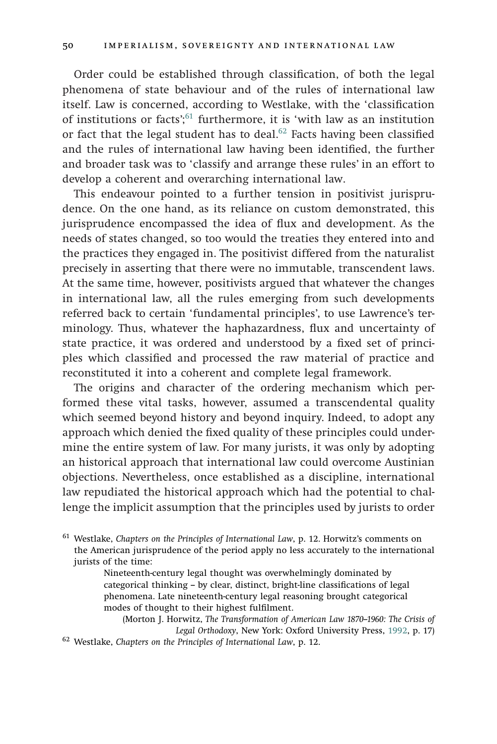50

Order could be established through classification, of both the legal phenomena of state behaviour and of the rules of international law itself. Law is concerned, according to Westlake, with the 'classification of institutions or facts',  $61$  furthermore, it is 'with law as an institution or fact that the legal student has to deal. $62$  Facts having been classified and the rules of international law having been identified, the further and broader task was to 'classify and arrange these rules' in an effort to develop a coherent and overarching international law.

This endeavour pointed to a further tension in positivist jurisprudence. On the one hand, as its reliance on custom demonstrated, this jurisprudence encompassed the idea of flux and development. As the needs of states changed, so too would the treaties they entered into and the practices they engaged in. The positivist differed from the naturalist precisely in asserting that there were no immutable, transcendent laws. At the same time, however, positivists argued that whatever the changes in international law, all the rules emerging from such developments referred back to certain 'fundamental principles', to use Lawrence's terminology. Thus, whatever the haphazardness, flux and uncertainty of state practice, it was ordered and understood by a fixed set of principles which classified and processed the raw material of practice and reconstituted it into a coherent and complete legal framework.

The origins and character of the ordering mechanism which performed these vital tasks, however, assumed a transcendental quality which seemed beyond history and beyond inquiry. Indeed, to adopt any approach which denied the fixed quality of these principles could undermine the entire system of law. For many jurists, it was only by adopting an historical approach that international law could overcome Austinian objections. Nevertheless, once established as a discipline, international law repudiated the historical approach which had the potential to challenge the implicit assumption that the principles used by jurists to order

Nineteenth-century legal thought was overwhelmingly dominated by categorical thinking -- by clear, distinct, bright-line classifications of legal phenomena. Late nineteenth-century legal reasoning brought categorical modes of thought to their highest fulfilment.

(Morton J. Horwitz, *The Transformation of American Law 1870--1960: The Crisis of Legal Orthodoxy*, New York: Oxford University Press, 1992, p. 17) <sup>62</sup> Westlake, *Chapters on the Principles of International Law*, p. 12.

<sup>61</sup> Westlake, *Chapters on the Principles of International Law*, p. 12. Horwitz's comments on the American jurisprudence of the period apply no less accurately to the international jurists of the time: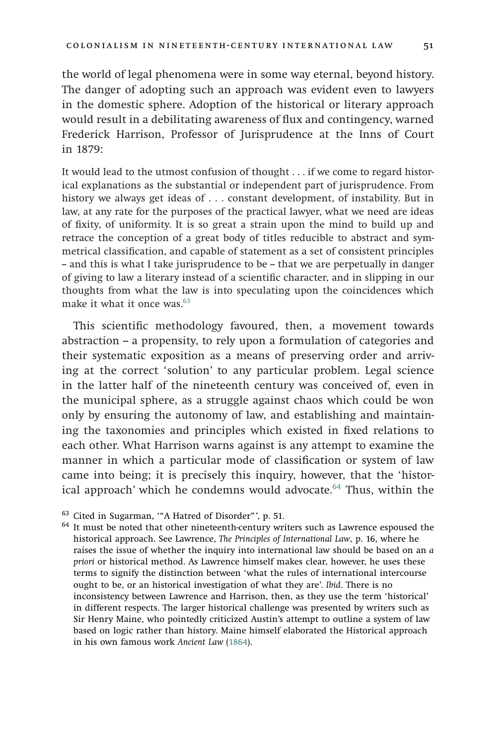the world of legal phenomena were in some way eternal, beyond history. The danger of adopting such an approach was evident even to lawyers in the domestic sphere. Adoption of the historical or literary approach would result in a debilitating awareness of flux and contingency, warned Frederick Harrison, Professor of Jurisprudence at the Inns of Court in 1879:

It would lead to the utmost confusion of thought . . . if we come to regard historical explanations as the substantial or independent part of jurisprudence. From history we always get ideas of . . . constant development, of instability. But in law, at any rate for the purposes of the practical lawyer, what we need are ideas of fixity, of uniformity. It is so great a strain upon the mind to build up and retrace the conception of a great body of titles reducible to abstract and symmetrical classification, and capable of statement as a set of consistent principles - and this is what I take jurisprudence to be -- that we are perpetually in danger of giving to law a literary instead of a scientific character, and in slipping in our thoughts from what the law is into speculating upon the coincidences which make it what it once was.<sup>63</sup>

This scientific methodology favoured, then, a movement towards abstraction -- a propensity, to rely upon a formulation of categories and their systematic exposition as a means of preserving order and arriving at the correct 'solution' to any particular problem. Legal science in the latter half of the nineteenth century was conceived of, even in the municipal sphere, as a struggle against chaos which could be won only by ensuring the autonomy of law, and establishing and maintaining the taxonomies and principles which existed in fixed relations to each other. What Harrison warns against is any attempt to examine the manner in which a particular mode of classification or system of law came into being; it is precisely this inquiry, however, that the 'historical approach' which he condemns would advocate.<sup>64</sup> Thus, within the

<sup>63</sup> Cited in Sugarman, '"A Hatred of Disorder"', p. 51.

 $64$  It must be noted that other nineteenth-century writers such as Lawrence espoused the historical approach. See Lawrence, *The Principles of International Law*, p. 16, where he raises the issue of whether the inquiry into international law should be based on an *a priori* or historical method. As Lawrence himself makes clear, however, he uses these terms to signify the distinction between 'what the rules of international intercourse ought to be, or an historical investigation of what they are'. *Ibid*. There is no inconsistency between Lawrence and Harrison, then, as they use the term 'historical' in different respects. The larger historical challenge was presented by writers such as Sir Henry Maine, who pointedly criticized Austin's attempt to outline a system of law based on logic rather than history. Maine himself elaborated the Historical approach in his own famous work *Ancient Law* (1864).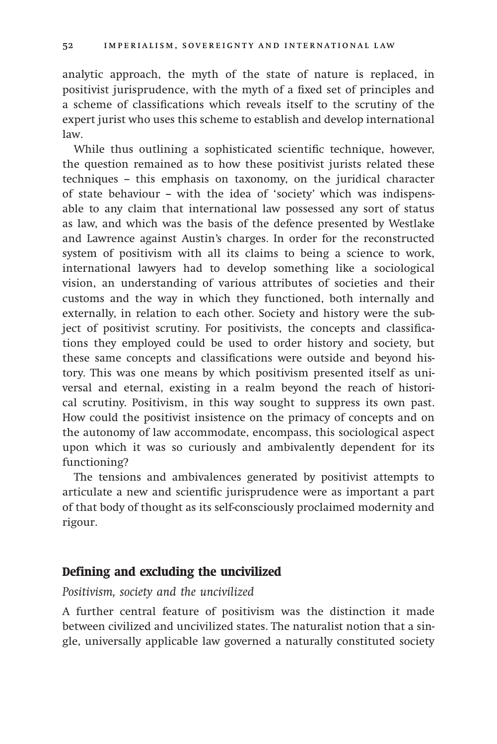analytic approach, the myth of the state of nature is replaced, in positivist jurisprudence, with the myth of a fixed set of principles and a scheme of classifications which reveals itself to the scrutiny of the expert jurist who uses this scheme to establish and develop international law.

While thus outlining a sophisticated scientific technique, however, the question remained as to how these positivist jurists related these techniques - this emphasis on taxonomy, on the juridical character of state behaviour -- with the idea of 'society' which was indispensable to any claim that international law possessed any sort of status as law, and which was the basis of the defence presented by Westlake and Lawrence against Austin's charges. In order for the reconstructed system of positivism with all its claims to being a science to work, international lawyers had to develop something like a sociological vision, an understanding of various attributes of societies and their customs and the way in which they functioned, both internally and externally, in relation to each other. Society and history were the subject of positivist scrutiny. For positivists, the concepts and classifications they employed could be used to order history and society, but these same concepts and classifications were outside and beyond history. This was one means by which positivism presented itself as universal and eternal, existing in a realm beyond the reach of historical scrutiny. Positivism, in this way sought to suppress its own past. How could the positivist insistence on the primacy of concepts and on the autonomy of law accommodate, encompass, this sociological aspect upon which it was so curiously and ambivalently dependent for its functioning?

The tensions and ambivalences generated by positivist attempts to articulate a new and scientific jurisprudence were as important a part of that body of thought as its self-consciously proclaimed modernity and rigour.

# **Defining and excluding the uncivilized**

#### *Positivism, society and the uncivilized*

A further central feature of positivism was the distinction it made between civilized and uncivilized states. The naturalist notion that a single, universally applicable law governed a naturally constituted society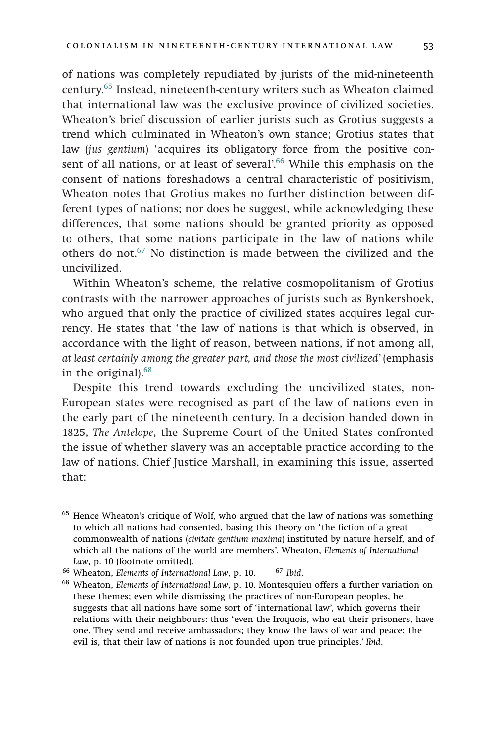of nations was completely repudiated by jurists of the mid-nineteenth century.<sup>65</sup> Instead, nineteenth-century writers such as Wheaton claimed that international law was the exclusive province of civilized societies. Wheaton's brief discussion of earlier jurists such as Grotius suggests a trend which culminated in Wheaton's own stance; Grotius states that law (*jus gentium*) 'acquires its obligatory force from the positive con-sent of all nations, or at least of several'.<sup>[66](#page-73-0)</sup> While this emphasis on the consent of nations foreshadows a central characteristic of positivism, Wheaton notes that Grotius makes no further distinction between different types of nations; nor does he suggest, while acknowledging these differences, that some nations should be granted priority as opposed to others, that some nations participate in the law of nations while others do not[.67](#page-73-0) No distinction is made between the civilized and the uncivilized.

Within Wheaton's scheme, the relative cosmopolitanism of Grotius contrasts with the narrower approaches of jurists such as Bynkershoek, who argued that only the practice of civilized states acquires legal currency. He states that 'the law of nations is that which is observed, in accordance with the light of reason, between nations, if not among all, *at least certainly among the greater part, and those the most civilized*' (emphasis in the original).68

Despite this trend towards excluding the uncivilized states, non-European states were recognised as part of the law of nations even in the early part of the nineteenth century. In a decision handed down in 1825, *The Antelope*, the Supreme Court of the United States confronted the issue of whether slavery was an acceptable practice according to the law of nations. Chief Justice Marshall, in examining this issue, asserted that:

<sup>&</sup>lt;sup>65</sup> Hence Wheaton's critique of Wolf, who argued that the law of nations was something to which all nations had consented, basing this theory on 'the fiction of a great commonwealth of nations (*civitate gentium maxima*) instituted by nature herself, and of which all the nations of the world are members'. Wheaton, *Elements of International Law*, p. 10 (footnote omitted).

<sup>66</sup> Wheaton, *Elements of International Law*, p. 10. <sup>67</sup> *Ibid*.

<sup>68</sup> Wheaton, *Elements of International Law*, p. 10. Montesquieu offers a further variation on these themes; even while dismissing the practices of non-European peoples, he suggests that all nations have some sort of 'international law', which governs their relations with their neighbours: thus 'even the Iroquois, who eat their prisoners, have one. They send and receive ambassadors; they know the laws of war and peace; the evil is, that their law of nations is not founded upon true principles.' *Ibid*.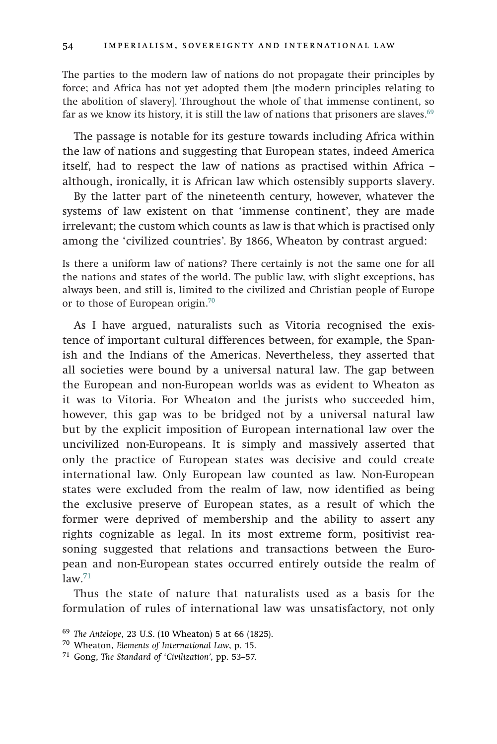The parties to the modern law of nations do not propagate their principles by force; and Africa has not yet adopted them [the modern principles relating to the abolition of slavery]. Throughout the whole of that immense continent, so far as we know its history, it is still the law of nations that prisoners are slaves. $69$ 

The passage is notable for its gesture towards including Africa within the law of nations and suggesting that European states, indeed America itself, had to respect the law of nations as practised within Africa although, ironically, it is African law which ostensibly supports slavery.

By the latter part of the nineteenth century, however, whatever the systems of law existent on that 'immense continent', they are made irrelevant; the custom which counts as law is that which is practised only among the 'civilized countries'. By 1866, Wheaton by contrast argued:

Is there a uniform law of nations? There certainly is not the same one for all the nations and states of the world. The public law, with slight exceptions, has always been, and still is, limited to the civilized and Christian people of Europe or to those of European origin.70

As I have argued, naturalists such as Vitoria recognised the existence of important cultural differences between, for example, the Spanish and the Indians of the Americas. Nevertheless, they asserted that all societies were bound by a universal natural law. The gap between the European and non-European worlds was as evident to Wheaton as it was to Vitoria. For Wheaton and the jurists who succeeded him, however, this gap was to be bridged not by a universal natural law but by the explicit imposition of European international law over the uncivilized non-Europeans. It is simply and massively asserted that only the practice of European states was decisive and could create international law. Only European law counted as law. Non-European states were excluded from the realm of law, now identified as being the exclusive preserve of European states, as a result of which the former were deprived of membership and the ability to assert any rights cognizable as legal. In its most extreme form, positivist reasoning suggested that relations and transactions between the European and non-European states occurred entirely outside the realm of  $l$ aw<sup>71</sup>

Thus the state of nature that naturalists used as a basis for the formulation of rules of international law was unsatisfactory, not only

<sup>69</sup> *The Antelope*, 23 U.S. (10 Wheaton) 5 at 66 (1825).

<sup>70</sup> Wheaton, *Elements of International Law*, p. 15.

<sup>71</sup> Gong, *The Standard of 'Civilization'*, pp. 53--57.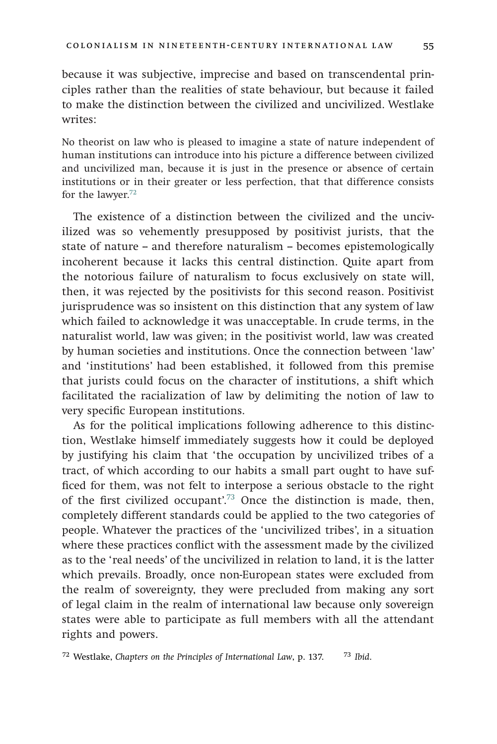because it was subjective, imprecise and based on transcendental principles rather than the realities of state behaviour, but because it failed to make the distinction between the civilized and uncivilized. Westlake writes:

No theorist on law who is pleased to imagine a state of nature independent of human institutions can introduce into his picture a difference between civilized and uncivilized man, because it is just in the presence or absence of certain institutions or in their greater or less perfection, that that difference consists for the lawyer.<sup>72</sup>

The existence of a distinction between the civilized and the uncivilized was so vehemently presupposed by positivist jurists, that the state of nature - and therefore naturalism - becomes epistemologically incoherent because it lacks this central distinction. Quite apart from the notorious failure of naturalism to focus exclusively on state will, then, it was rejected by the positivists for this second reason. Positivist jurisprudence was so insistent on this distinction that any system of law which failed to acknowledge it was unacceptable. In crude terms, in the naturalist world, law was given; in the positivist world, law was created by human societies and institutions. Once the connection between 'law' and 'institutions' had been established, it followed from this premise that jurists could focus on the character of institutions, a shift which facilitated the racialization of law by delimiting the notion of law to very specific European institutions.

As for the political implications following adherence to this distinction, Westlake himself immediately suggests how it could be deployed by justifying his claim that 'the occupation by uncivilized tribes of a tract, of which according to our habits a small part ought to have sufficed for them, was not felt to interpose a serious obstacle to the right of the first civilized occupant'.[73](#page-75-0) Once the distinction is made, then, completely different standards could be applied to the two categories of people. Whatever the practices of the 'uncivilized tribes', in a situation where these practices conflict with the assessment made by the civilized as to the 'real needs' of the uncivilized in relation to land, it is the latter which prevails. Broadly, once non-European states were excluded from the realm of sovereignty, they were precluded from making any sort of legal claim in the realm of international law because only sovereign states were able to participate as full members with all the attendant rights and powers.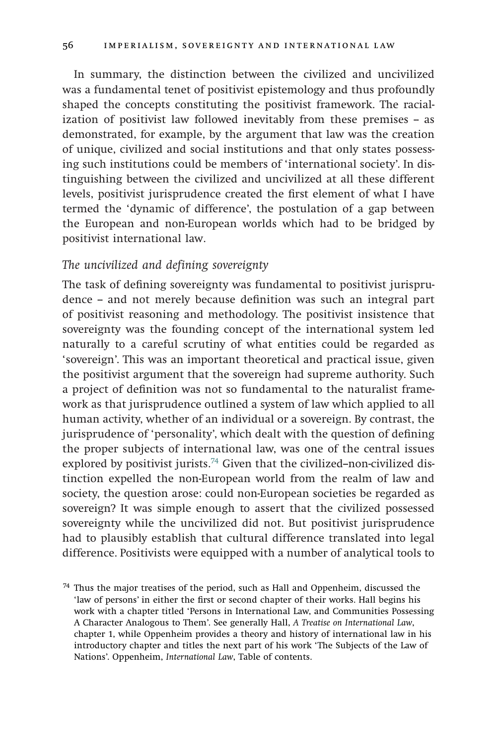In summary, the distinction between the civilized and uncivilized was a fundamental tenet of positivist epistemology and thus profoundly shaped the concepts constituting the positivist framework. The racialization of positivist law followed inevitably from these premises - as demonstrated, for example, by the argument that law was the creation of unique, civilized and social institutions and that only states possessing such institutions could be members of 'international society'. In distinguishing between the civilized and uncivilized at all these different levels, positivist jurisprudence created the first element of what I have termed the 'dynamic of difference', the postulation of a gap between the European and non-European worlds which had to be bridged by positivist international law.

## *The uncivilized and defining sovereignty*

The task of defining sovereignty was fundamental to positivist jurisprudence - and not merely because definition was such an integral part of positivist reasoning and methodology. The positivist insistence that sovereignty was the founding concept of the international system led naturally to a careful scrutiny of what entities could be regarded as 'sovereign'. This was an important theoretical and practical issue, given the positivist argument that the sovereign had supreme authority. Such a project of definition was not so fundamental to the naturalist framework as that jurisprudence outlined a system of law which applied to all human activity, whether of an individual or a sovereign. By contrast, the jurisprudence of 'personality', which dealt with the question of defining the proper subjects of international law, was one of the central issues explored by positivist jurists.<sup>74</sup> Given that the civilized-non-civilized distinction expelled the non-European world from the realm of law and society, the question arose: could non-European societies be regarded as sovereign? It was simple enough to assert that the civilized possessed sovereignty while the uncivilized did not. But positivist jurisprudence had to plausibly establish that cultural difference translated into legal difference. Positivists were equipped with a number of analytical tools to

 $74$  Thus the major treatises of the period, such as Hall and Oppenheim, discussed the 'law of persons' in either the first or second chapter of their works. Hall begins his work with a chapter titled 'Persons in International Law, and Communities Possessing A Character Analogous to Them'. See generally Hall, *A Treatise on International Law*, chapter 1, while Oppenheim provides a theory and history of international law in his introductory chapter and titles the next part of his work 'The Subjects of the Law of Nations'. Oppenheim, *International Law*, Table of contents.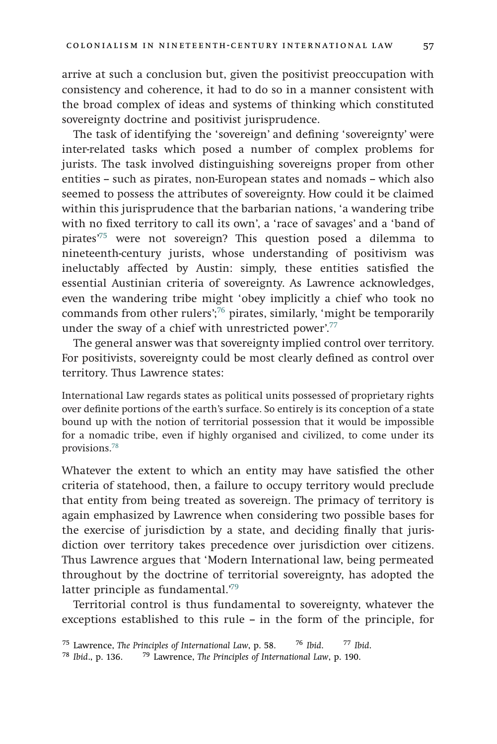arrive at such a conclusion but, given the positivist preoccupation with consistency and coherence, it had to do so in a manner consistent with the broad complex of ideas and systems of thinking which constituted sovereignty doctrine and positivist jurisprudence.

The task of identifying the 'sovereign' and defining 'sovereignty' were inter-related tasks which posed a number of complex problems for jurists. The task involved distinguishing sovereigns proper from other entities -- such as pirates, non-European states and nomads -- which also seemed to possess the attributes of sovereignty. How could it be claimed within this jurisprudence that the barbarian nations, 'a wandering tribe with no fixed territory to call its own', a 'race of savages' and a 'band of pirates['75](#page-75-0) were not sovereign? This question posed a dilemma to nineteenth-century jurists, whose understanding of positivism was ineluctably affected by Austin: simply, these entities satisfied the essential Austinian criteria of sovereignty. As Lawrence acknowledges, even the wandering tribe might 'obey implicitly a chief who took no commands from other rulers'; $\frac{7}{6}$  pirates, similarly, 'might be temporarily under the sway of a chief with unrestricted power'.<sup>77</sup>

The general answer was that sovereignty implied control over territory. For positivists, sovereignty could be most clearly defined as control over territory. Thus Lawrence states:

International Law regards states as political units possessed of proprietary rights over definite portions of the earth's surface. So entirely is its conception of a state bound up with the notion of territorial possession that it would be impossible for a nomadic tribe, even if highly organised and civilized, to come under its provisions[.78](#page-76-0)

Whatever the extent to which an entity may have satisfied the other criteria of statehood, then, a failure to occupy territory would preclude that entity from being treated as sovereign. The primacy of territory is again emphasized by Lawrence when considering two possible bases for the exercise of jurisdiction by a state, and deciding finally that jurisdiction over territory takes precedence over jurisdiction over citizens. Thus Lawrence argues that 'Modern International law, being permeated throughout by the doctrine of territorial sovereignty, has adopted the latter principle as fundamental.['79](#page-76-0)

Territorial control is thus fundamental to sovereignty, whatever the exceptions established to this rule - in the form of the principle, for

<sup>75</sup> Lawrence, *The Principles of International Law*, p. 58. <sup>76</sup> *Ibid*. <sup>77</sup> *Ibid*.

<sup>78</sup> *Ibid*., p. 136. <sup>79</sup> Lawrence, *The Principles of International Law*, p. 190.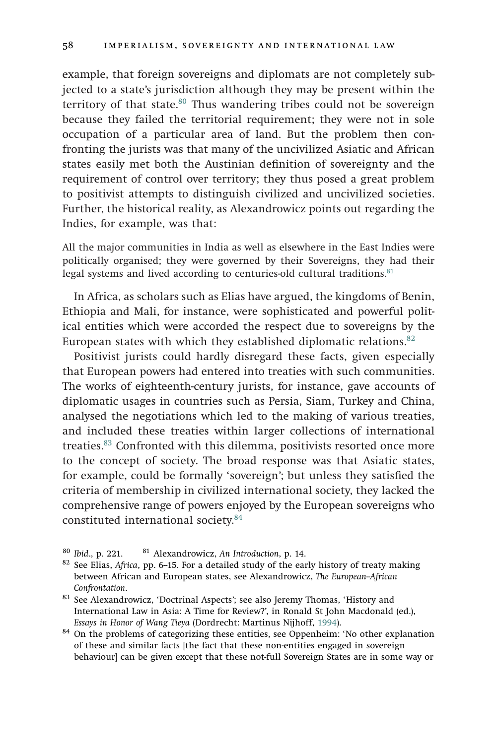example, that foreign sovereigns and diplomats are not completely subjected to a state's jurisdiction although they may be present within the territory of that state. $80$  Thus wandering tribes could not be sovereign because they failed the territorial requirement; they were not in sole occupation of a particular area of land. But the problem then confronting the jurists was that many of the uncivilized Asiatic and African states easily met both the Austinian definition of sovereignty and the requirement of control over territory; they thus posed a great problem to positivist attempts to distinguish civilized and uncivilized societies. Further, the historical reality, as Alexandrowicz points out regarding the Indies, for example, was that:

All the major communities in India as well as elsewhere in the East Indies were politically organised; they were governed by their Sovereigns, they had their legal systems and lived according to centuries-old cultural traditions. $81$ 

In Africa, as scholars such as Elias have argued, the kingdoms of Benin, Ethiopia and Mali, for instance, were sophisticated and powerful political entities which were accorded the respect due to sovereigns by the European states with which they established diplomatic relations. $82$ 

Positivist jurists could hardly disregard these facts, given especially that European powers had entered into treaties with such communities. The works of eighteenth-century jurists, for instance, gave accounts of diplomatic usages in countries such as Persia, Siam, Turkey and China, analysed the negotiations which led to the making of various treaties, and included these treaties within larger collections of international treaties.<sup>83</sup> Confronted with this dilemma, positivists resorted once more to the concept of society. The broad response was that Asiatic states, for example, could be formally 'sovereign'; but unless they satisfied the criteria of membership in civilized international society, they lacked the comprehensive range of powers enjoyed by the European sovereigns who constituted international society.<sup>84</sup>

<sup>80</sup> *Ibid*., p. 221. <sup>81</sup> Alexandrowicz, *An Introduction*, p. 14.

<sup>82</sup> See Elias, *Africa*, pp. 6–15. For a detailed study of the early history of treaty making between African and European states, see Alexandrowicz, *The European--African Confrontation*.

<sup>83</sup> See Alexandrowicz, 'Doctrinal Aspects'; see also Jeremy Thomas, 'History and International Law in Asia: A Time for Review?', in Ronald St John Macdonald (ed.), *Essays in Honor of Wang Tieya* (Dordrecht: Martinus Nijhoff, 1994).

<sup>&</sup>lt;sup>84</sup> On the problems of categorizing these entities, see Oppenheim: 'No other explanation of these and similar facts [the fact that these non-entities engaged in sovereign behaviour] can be given except that these not-full Sovereign States are in some way or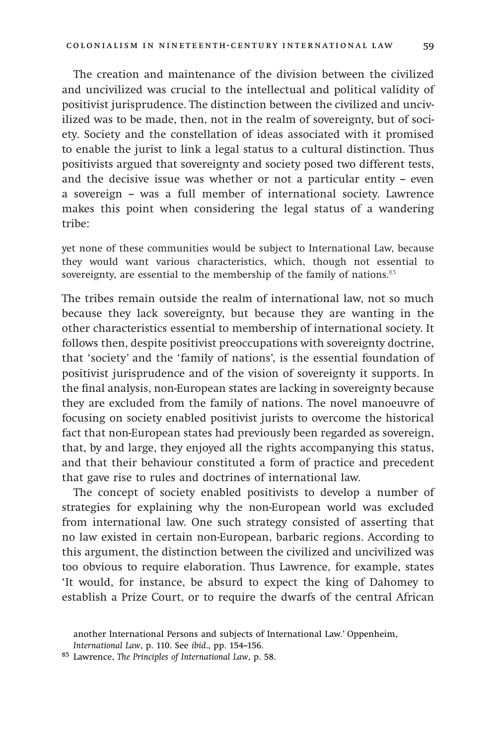The creation and maintenance of the division between the civilized and uncivilized was crucial to the intellectual and political validity of positivist jurisprudence. The distinction between the civilized and uncivilized was to be made, then, not in the realm of sovereignty, but of society. Society and the constellation of ideas associated with it promised to enable the jurist to link a legal status to a cultural distinction. Thus positivists argued that sovereignty and society posed two different tests, and the decisive issue was whether or not a particular entity  $-$  even a sovereign -- was a full member of international society. Lawrence makes this point when considering the legal status of a wandering tribe:

yet none of these communities would be subject to International Law, because they would want various characteristics, which, though not essential to sovereignty, are essential to the membership of the family of nations.<sup>85</sup>

The tribes remain outside the realm of international law, not so much because they lack sovereignty, but because they are wanting in the other characteristics essential to membership of international society. It follows then, despite positivist preoccupations with sovereignty doctrine, that 'society' and the 'family of nations', is the essential foundation of positivist jurisprudence and of the vision of sovereignty it supports. In the final analysis, non-European states are lacking in sovereignty because they are excluded from the family of nations. The novel manoeuvre of focusing on society enabled positivist jurists to overcome the historical fact that non-European states had previously been regarded as sovereign, that, by and large, they enjoyed all the rights accompanying this status, and that their behaviour constituted a form of practice and precedent that gave rise to rules and doctrines of international law.

The concept of society enabled positivists to develop a number of strategies for explaining why the non-European world was excluded from international law. One such strategy consisted of asserting that no law existed in certain non-European, barbaric regions. According to this argument, the distinction between the civilized and uncivilized was too obvious to require elaboration. Thus Lawrence, for example, states 'It would, for instance, be absurd to expect the king of Dahomey to establish a Prize Court, or to require the dwarfs of the central African

another International Persons and subjects of International Law.' Oppenheim,

*International Law*, p. 110. See *ibid.*, pp. 154-156.

<sup>85</sup> Lawrence, *The Principles of International Law*, p. 58.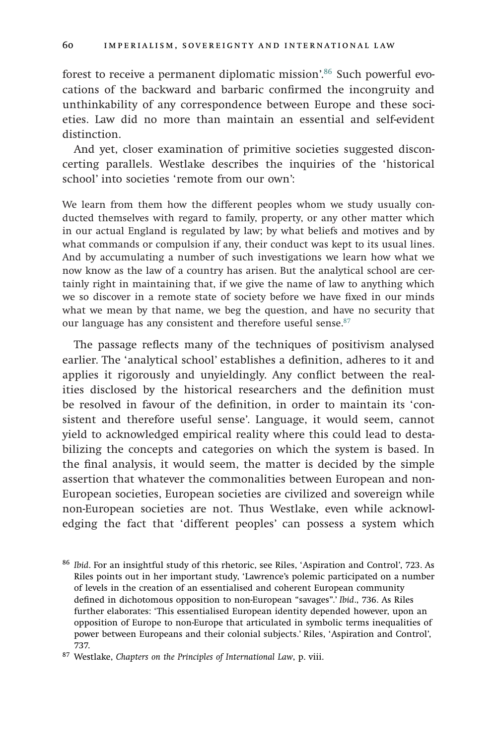forest to receive a permanent diplomatic mission'.<sup>86</sup> Such powerful evocations of the backward and barbaric confirmed the incongruity and unthinkability of any correspondence between Europe and these societies. Law did no more than maintain an essential and self-evident distinction.

And yet, closer examination of primitive societies suggested disconcerting parallels. Westlake describes the inquiries of the 'historical school' into societies 'remote from our own':

We learn from them how the different peoples whom we study usually conducted themselves with regard to family, property, or any other matter which in our actual England is regulated by law; by what beliefs and motives and by what commands or compulsion if any, their conduct was kept to its usual lines. And by accumulating a number of such investigations we learn how what we now know as the law of a country has arisen. But the analytical school are certainly right in maintaining that, if we give the name of law to anything which we so discover in a remote state of society before we have fixed in our minds what we mean by that name, we beg the question, and have no security that our language has any consistent and therefore useful sense.<sup>87</sup>

The passage reflects many of the techniques of positivism analysed earlier. The 'analytical school' establishes a definition, adheres to it and applies it rigorously and unyieldingly. Any conflict between the realities disclosed by the historical researchers and the definition must be resolved in favour of the definition, in order to maintain its 'consistent and therefore useful sense'. Language, it would seem, cannot yield to acknowledged empirical reality where this could lead to destabilizing the concepts and categories on which the system is based. In the final analysis, it would seem, the matter is decided by the simple assertion that whatever the commonalities between European and non-European societies, European societies are civilized and sovereign while non-European societies are not. Thus Westlake, even while acknowledging the fact that 'different peoples' can possess a system which

<sup>86</sup> *Ibid*. For an insightful study of this rhetoric, see Riles, 'Aspiration and Control', 723. As Riles points out in her important study, 'Lawrence's polemic participated on a number of levels in the creation of an essentialised and coherent European community defined in dichotomous opposition to non-European "savages".' *Ibid*., 736. As Riles further elaborates: 'This essentialised European identity depended however, upon an opposition of Europe to non-Europe that articulated in symbolic terms inequalities of power between Europeans and their colonial subjects.' Riles, 'Aspiration and Control', 737.

<sup>87</sup> Westlake, *Chapters on the Principles of International Law*, p. viii.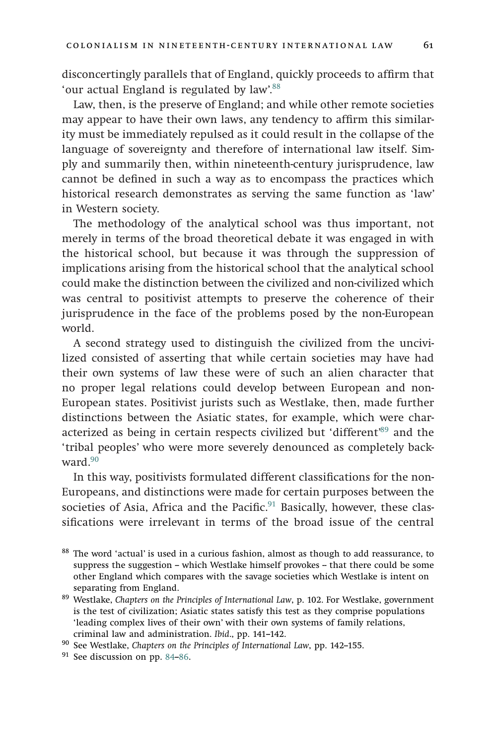disconcertingly parallels that of England, quickly proceeds to affirm that 'our actual England is regulated by law'.<sup>88</sup>

Law, then, is the preserve of England; and while other remote societies may appear to have their own laws, any tendency to affirm this similarity must be immediately repulsed as it could result in the collapse of the language of sovereignty and therefore of international law itself. Simply and summarily then, within nineteenth-century jurisprudence, law cannot be defined in such a way as to encompass the practices which historical research demonstrates as serving the same function as 'law' in Western society.

The methodology of the analytical school was thus important, not merely in terms of the broad theoretical debate it was engaged in with the historical school, but because it was through the suppression of implications arising from the historical school that the analytical school could make the distinction between the civilized and non-civilized which was central to positivist attempts to preserve the coherence of their jurisprudence in the face of the problems posed by the non-European world.

A second strategy used to distinguish the civilized from the uncivilized consisted of asserting that while certain societies may have had their own systems of law these were of such an alien character that no proper legal relations could develop between European and non-European states. Positivist jurists such as Westlake, then, made further distinctions between the Asiatic states, for example, which were characterized as being in certain respects civilized but 'different'<sup>89</sup> and the 'tribal peoples' who were more severely denounced as completely backward.90

In this way, positivists formulated different classifications for the non-Europeans, and distinctions were made for certain purposes between the societies of Asia, Africa and the Pacific.<sup>91</sup> Basically, however, these classifications were irrelevant in terms of the broad issue of the central

<sup>&</sup>lt;sup>88</sup> The word 'actual' is used in a curious fashion, almost as though to add reassurance, to suppress the suggestion -- which Westlake himself provokes -- that there could be some other England which compares with the savage societies which Westlake is intent on separating from England.

<sup>89</sup> Westlake, *Chapters on the Principles of International Law*, p. 102. For Westlake, government is the test of civilization; Asiatic states satisfy this test as they comprise populations 'leading complex lives of their own' with their own systems of family relations, criminal law and administration. *Ibid*., pp. 141--142.

<sup>&</sup>lt;sup>90</sup> See Westlake, *Chapters on the Principles of International Law*, pp. 142-155.

<sup>&</sup>lt;sup>91</sup> See discussion on pp. 84-[86.](#page-73-0)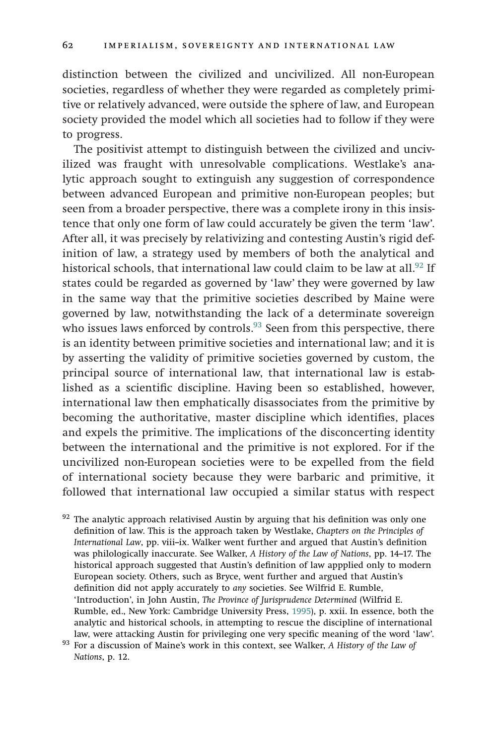distinction between the civilized and uncivilized. All non-European societies, regardless of whether they were regarded as completely primitive or relatively advanced, were outside the sphere of law, and European society provided the model which all societies had to follow if they were to progress.

The positivist attempt to distinguish between the civilized and uncivilized was fraught with unresolvable complications. Westlake's analytic approach sought to extinguish any suggestion of correspondence between advanced European and primitive non-European peoples; but seen from a broader perspective, there was a complete irony in this insistence that only one form of law could accurately be given the term 'law'. After all, it was precisely by relativizing and contesting Austin's rigid definition of law, a strategy used by members of both the analytical and historical schools, that international law could claim to be law at all.<sup>92</sup> If states could be regarded as governed by 'law' they were governed by law in the same way that the primitive societies described by Maine were governed by law, notwithstanding the lack of a determinate sovereign who issues laws enforced by controls. $93$  Seen from this perspective, there is an identity between primitive societies and international law; and it is by asserting the validity of primitive societies governed by custom, the principal source of international law, that international law is established as a scientific discipline. Having been so established, however, international law then emphatically disassociates from the primitive by becoming the authoritative, master discipline which identifies, places and expels the primitive. The implications of the disconcerting identity between the international and the primitive is not explored. For if the uncivilized non-European societies were to be expelled from the field of international society because they were barbaric and primitive, it followed that international law occupied a similar status with respect

 $92$  The analytic approach relativised Austin by arguing that his definition was only one definition of law. This is the approach taken by Westlake, *Chapters on the Principles of International Law*, pp. viii--ix. Walker went further and argued that Austin's definition was philologically inaccurate. See Walker, *A History of the Law of Nations*, pp. 14--17. The historical approach suggested that Austin's definition of law appplied only to modern European society. Others, such as Bryce, went further and argued that Austin's definition did not apply accurately to *any* societies. See Wilfrid E. Rumble, 'Introduction', in John Austin, *The Province of Jurisprudence Determined* (Wilfrid E. Rumble, ed., New York: Cambridge University Press, 1995), p. xxii. In essence, both the analytic and historical schools, in attempting to rescue the discipline of international law, were attacking Austin for privileging one very specific meaning of the word 'law'.

<sup>93</sup> For a discussion of Maine's work in this context, see Walker, *A History of the Law of Nations*, p. 12.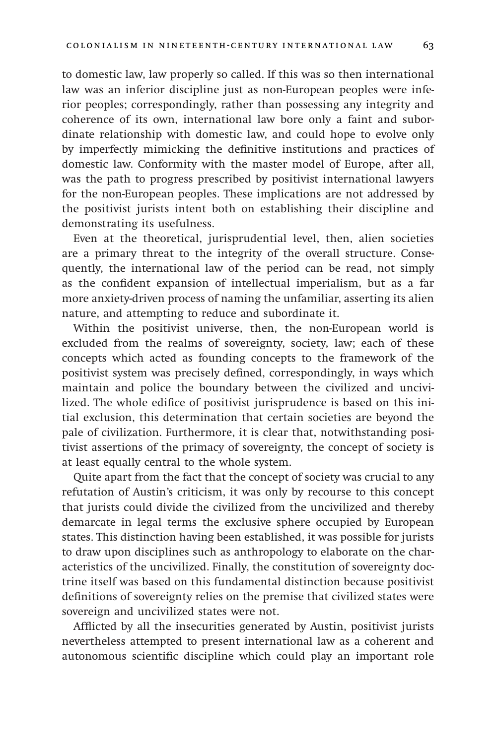to domestic law, law properly so called. If this was so then international law was an inferior discipline just as non-European peoples were inferior peoples; correspondingly, rather than possessing any integrity and coherence of its own, international law bore only a faint and subordinate relationship with domestic law, and could hope to evolve only by imperfectly mimicking the definitive institutions and practices of domestic law. Conformity with the master model of Europe, after all, was the path to progress prescribed by positivist international lawyers for the non-European peoples. These implications are not addressed by the positivist jurists intent both on establishing their discipline and demonstrating its usefulness.

Even at the theoretical, jurisprudential level, then, alien societies are a primary threat to the integrity of the overall structure. Consequently, the international law of the period can be read, not simply as the confident expansion of intellectual imperialism, but as a far more anxiety-driven process of naming the unfamiliar, asserting its alien nature, and attempting to reduce and subordinate it.

Within the positivist universe, then, the non-European world is excluded from the realms of sovereignty, society, law; each of these concepts which acted as founding concepts to the framework of the positivist system was precisely defined, correspondingly, in ways which maintain and police the boundary between the civilized and uncivilized. The whole edifice of positivist jurisprudence is based on this initial exclusion, this determination that certain societies are beyond the pale of civilization. Furthermore, it is clear that, notwithstanding positivist assertions of the primacy of sovereignty, the concept of society is at least equally central to the whole system.

Quite apart from the fact that the concept of society was crucial to any refutation of Austin's criticism, it was only by recourse to this concept that jurists could divide the civilized from the uncivilized and thereby demarcate in legal terms the exclusive sphere occupied by European states. This distinction having been established, it was possible for jurists to draw upon disciplines such as anthropology to elaborate on the characteristics of the uncivilized. Finally, the constitution of sovereignty doctrine itself was based on this fundamental distinction because positivist definitions of sovereignty relies on the premise that civilized states were sovereign and uncivilized states were not.

Afflicted by all the insecurities generated by Austin, positivist jurists nevertheless attempted to present international law as a coherent and autonomous scientific discipline which could play an important role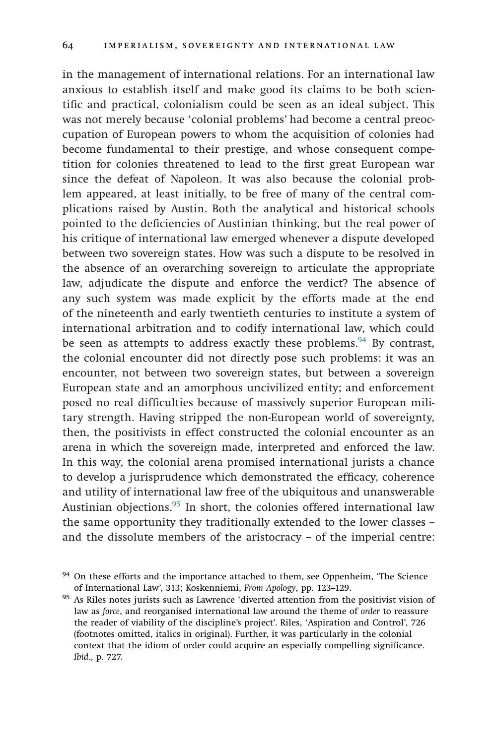in the management of international relations. For an international law anxious to establish itself and make good its claims to be both scientific and practical, colonialism could be seen as an ideal subject. This was not merely because 'colonial problems' had become a central preoccupation of European powers to whom the acquisition of colonies had become fundamental to their prestige, and whose consequent competition for colonies threatened to lead to the first great European war since the defeat of Napoleon. It was also because the colonial problem appeared, at least initially, to be free of many of the central complications raised by Austin. Both the analytical and historical schools pointed to the deficiencies of Austinian thinking, but the real power of his critique of international law emerged whenever a dispute developed between two sovereign states. How was such a dispute to be resolved in the absence of an overarching sovereign to articulate the appropriate law, adjudicate the dispute and enforce the verdict? The absence of any such system was made explicit by the efforts made at the end of the nineteenth and early twentieth centuries to institute a system of international arbitration and to codify international law, which could be seen as attempts to address exactly these problems. $94$  By contrast, the colonial encounter did not directly pose such problems: it was an encounter, not between two sovereign states, but between a sovereign European state and an amorphous uncivilized entity; and enforcement posed no real difficulties because of massively superior European military strength. Having stripped the non-European world of sovereignty, then, the positivists in effect constructed the colonial encounter as an arena in which the sovereign made, interpreted and enforced the law. In this way, the colonial arena promised international jurists a chance to develop a jurisprudence which demonstrated the efficacy, coherence and utility of international law free of the ubiquitous and unanswerable Austinian objections.<sup>95</sup> In short, the colonies offered international law the same opportunity they traditionally extended to the lower classes and the dissolute members of the aristocracy – of the imperial centre:

 $94$  On these efforts and the importance attached to them, see Oppenheim, 'The Science of International Law', 313; Koskenniemi, *From Apology*, pp. 123--129.

<sup>&</sup>lt;sup>95</sup> As Riles notes jurists such as Lawrence 'diverted attention from the positivist vision of law as *force*, and reorganised international law around the theme of *order* to reassure the reader of viability of the discipline's project'. Riles, 'Aspiration and Control', 726 (footnotes omitted, italics in original). Further, it was particularly in the colonial context that the idiom of order could acquire an especially compelling significance. *Ibid*., p. 727.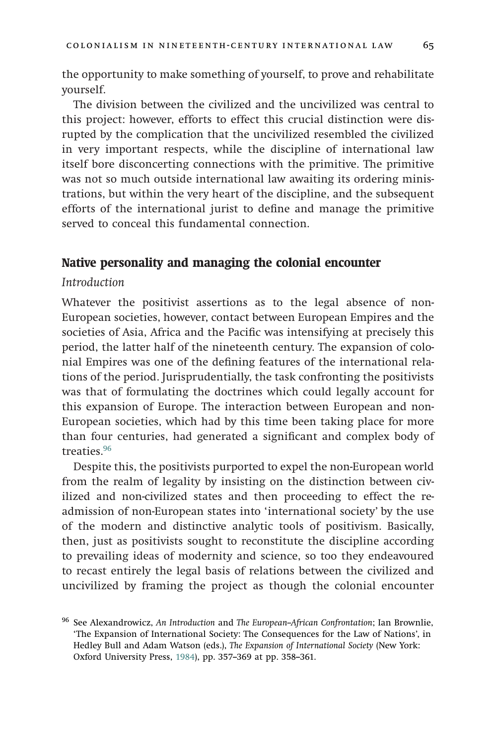the opportunity to make something of yourself, to prove and rehabilitate yourself.

The division between the civilized and the uncivilized was central to this project: however, efforts to effect this crucial distinction were disrupted by the complication that the uncivilized resembled the civilized in very important respects, while the discipline of international law itself bore disconcerting connections with the primitive. The primitive was not so much outside international law awaiting its ordering ministrations, but within the very heart of the discipline, and the subsequent efforts of the international jurist to define and manage the primitive served to conceal this fundamental connection.

# **Native personality and managing the colonial encounter**

#### *Introduction*

Whatever the positivist assertions as to the legal absence of non-European societies, however, contact between European Empires and the societies of Asia, Africa and the Pacific was intensifying at precisely this period, the latter half of the nineteenth century. The expansion of colonial Empires was one of the defining features of the international relations of the period. Jurisprudentially, the task confronting the positivists was that of formulating the doctrines which could legally account for this expansion of Europe. The interaction between European and non-European societies, which had by this time been taking place for more than four centuries, had generated a significant and complex body of treaties.<sup>96</sup>

Despite this, the positivists purported to expel the non-European world from the realm of legality by insisting on the distinction between civilized and non-civilized states and then proceeding to effect the readmission of non-European states into 'international society' by the use of the modern and distinctive analytic tools of positivism. Basically, then, just as positivists sought to reconstitute the discipline according to prevailing ideas of modernity and science, so too they endeavoured to recast entirely the legal basis of relations between the civilized and uncivilized by framing the project as though the colonial encounter

<sup>96</sup> See Alexandrowicz, *An Introduction* and *The European--African Confrontation*; Ian Brownlie, 'The Expansion of International Society: The Consequences for the Law of Nations', in Hedley Bull and Adam Watson (eds.), *The Expansion of International Society* (New York: Oxford University Press, 1984), pp. 357-369 at pp. 358-361.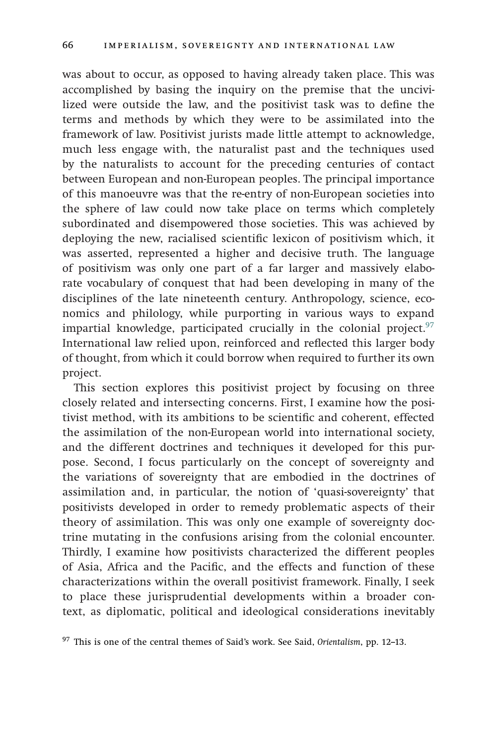was about to occur, as opposed to having already taken place. This was accomplished by basing the inquiry on the premise that the uncivilized were outside the law, and the positivist task was to define the terms and methods by which they were to be assimilated into the framework of law. Positivist jurists made little attempt to acknowledge, much less engage with, the naturalist past and the techniques used by the naturalists to account for the preceding centuries of contact between European and non-European peoples. The principal importance of this manoeuvre was that the re-entry of non-European societies into the sphere of law could now take place on terms which completely subordinated and disempowered those societies. This was achieved by deploying the new, racialised scientific lexicon of positivism which, it was asserted, represented a higher and decisive truth. The language of positivism was only one part of a far larger and massively elaborate vocabulary of conquest that had been developing in many of the disciplines of the late nineteenth century. Anthropology, science, economics and philology, while purporting in various ways to expand impartial knowledge, participated crucially in the colonial project. $97$ International law relied upon, reinforced and reflected this larger body of thought, from which it could borrow when required to further its own project.

This section explores this positivist project by focusing on three closely related and intersecting concerns. First, I examine how the positivist method, with its ambitions to be scientific and coherent, effected the assimilation of the non-European world into international society, and the different doctrines and techniques it developed for this purpose. Second, I focus particularly on the concept of sovereignty and the variations of sovereignty that are embodied in the doctrines of assimilation and, in particular, the notion of 'quasi-sovereignty' that positivists developed in order to remedy problematic aspects of their theory of assimilation. This was only one example of sovereignty doctrine mutating in the confusions arising from the colonial encounter. Thirdly, I examine how positivists characterized the different peoples of Asia, Africa and the Pacific, and the effects and function of these characterizations within the overall positivist framework. Finally, I seek to place these jurisprudential developments within a broader context, as diplomatic, political and ideological considerations inevitably

<sup>97</sup> This is one of the central themes of Said's work. See Said, *Orientalism*, pp. 12--13.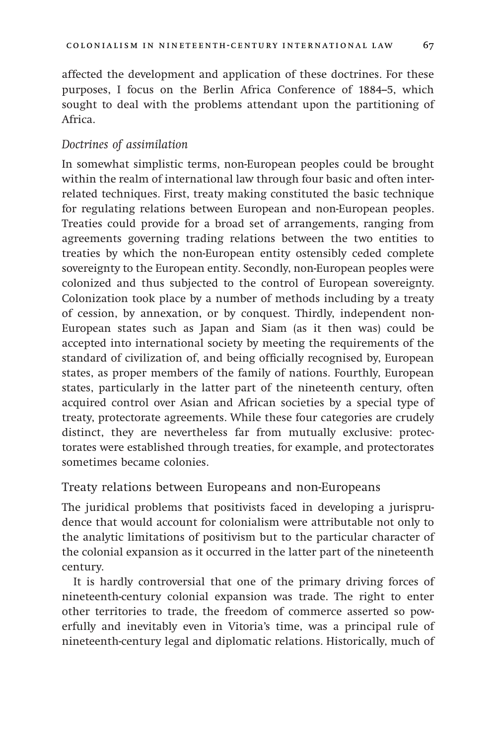affected the development and application of these doctrines. For these purposes, I focus on the Berlin Africa Conference of 1884-5, which sought to deal with the problems attendant upon the partitioning of Africa.

### *Doctrines of assimilation*

In somewhat simplistic terms, non-European peoples could be brought within the realm of international law through four basic and often interrelated techniques. First, treaty making constituted the basic technique for regulating relations between European and non-European peoples. Treaties could provide for a broad set of arrangements, ranging from agreements governing trading relations between the two entities to treaties by which the non-European entity ostensibly ceded complete sovereignty to the European entity. Secondly, non-European peoples were colonized and thus subjected to the control of European sovereignty. Colonization took place by a number of methods including by a treaty of cession, by annexation, or by conquest. Thirdly, independent non-European states such as Japan and Siam (as it then was) could be accepted into international society by meeting the requirements of the standard of civilization of, and being officially recognised by, European states, as proper members of the family of nations. Fourthly, European states, particularly in the latter part of the nineteenth century, often acquired control over Asian and African societies by a special type of treaty, protectorate agreements. While these four categories are crudely distinct, they are nevertheless far from mutually exclusive: protectorates were established through treaties, for example, and protectorates sometimes became colonies.

## Treaty relations between Europeans and non-Europeans

The juridical problems that positivists faced in developing a jurisprudence that would account for colonialism were attributable not only to the analytic limitations of positivism but to the particular character of the colonial expansion as it occurred in the latter part of the nineteenth century.

It is hardly controversial that one of the primary driving forces of nineteenth-century colonial expansion was trade. The right to enter other territories to trade, the freedom of commerce asserted so powerfully and inevitably even in Vitoria's time, was a principal rule of nineteenth-century legal and diplomatic relations. Historically, much of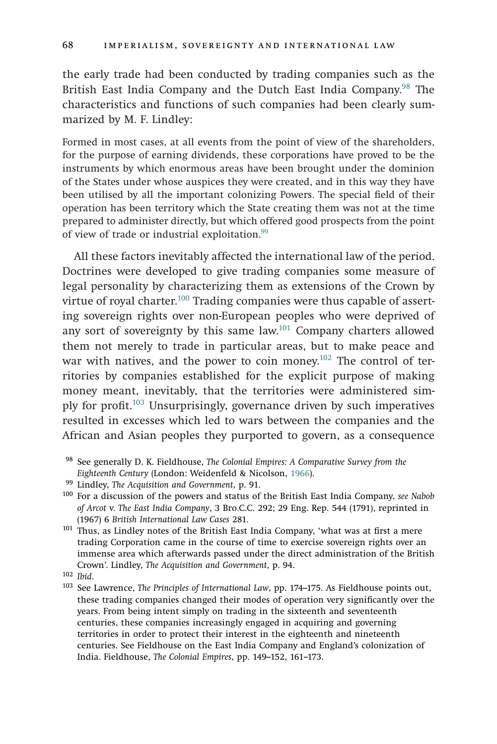the early trade had been conducted by trading companies such as the British East India Company and the Dutch East India Company.<sup>98</sup> The characteristics and functions of such companies had been clearly summarized by M. F. Lindley:

Formed in most cases, at all events from the point of view of the shareholders, for the purpose of earning dividends, these corporations have proved to be the instruments by which enormous areas have been brought under the dominion of the States under whose auspices they were created, and in this way they have been utilised by all the important colonizing Powers. The special field of their operation has been territory which the State creating them was not at the time prepared to administer directly, but which offered good prospects from the point of view of trade or industrial exploitation.<sup>99</sup>

All these factors inevitably affected the international law of the period. Doctrines were developed to give trading companies some measure of legal personality by characterizing them as extensions of the Crown by virtue of royal charter.<sup>100</sup> Trading companies were thus capable of asserting sovereign rights over non-European peoples who were deprived of any sort of sovereignty by this same law.101 Company charters allowed them not merely to trade in particular areas, but to make peace and war with natives, and the power to coin money. $102$  The control of territories by companies established for the explicit purpose of making money meant, inevitably, that the territories were administered simply for profit.103 Unsurprisingly, governance driven by such imperatives resulted in excesses which led to wars between the companies and the African and Asian peoples they purported to govern, as a consequence

- <sup>101</sup> Thus, as Lindley notes of the British East India Company, 'what was at first a mere trading Corporation came in the course of time to exercise sovereign rights over an immense area which afterwards passed under the direct administration of the British Crown'. Lindley, *The Acquisition and Government*, p. 94.
- $\frac{102}{103}$  *Ibid.*

<sup>98</sup> See generally D. K. Fieldhouse, *The Colonial Empires: A Comparative Survey from the Eighteenth Century* (London: Weidenfeld & Nicolson, 1966).

<sup>99</sup> Lindley, *The Acquisition and Government*, p. 91.

<sup>100</sup> For a discussion of the powers and status of the British East India Company, *see Nabob of Arcot* v. *The East India Company*, 3 Bro.C.C. 292; 29 Eng. Rep. 544 (1791), reprinted in (1967) 6 *British International Law Cases* 281.

<sup>103</sup> See Lawrence, *The Principles of International Law*, pp. 174--175. As Fieldhouse points out, these trading companies changed their modes of operation very significantly over the years. From being intent simply on trading in the sixteenth and seventeenth centuries, these companies increasingly engaged in acquiring and governing territories in order to protect their interest in the eighteenth and nineteenth centuries. See Fieldhouse on the East India Company and England's colonization of India. Fieldhouse, *The Colonial Empires*, pp. 149--152, 161--173.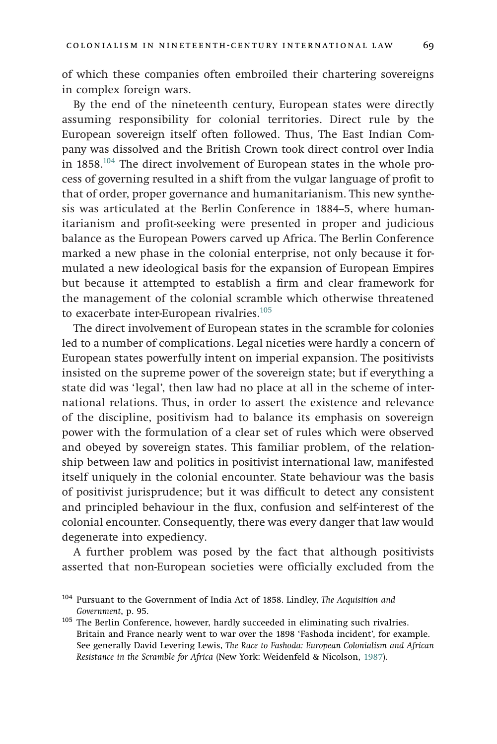of which these companies often embroiled their chartering sovereigns in complex foreign wars.

By the end of the nineteenth century, European states were directly assuming responsibility for colonial territories. Direct rule by the European sovereign itself often followed. Thus, The East Indian Company was dissolved and the British Crown took direct control over India in 1858.<sup>104</sup> The direct involvement of European states in the whole process of governing resulted in a shift from the vulgar language of profit to that of order, proper governance and humanitarianism. This new synthesis was articulated at the Berlin Conference in 1884–5, where humanitarianism and profit-seeking were presented in proper and judicious balance as the European Powers carved up Africa. The Berlin Conference marked a new phase in the colonial enterprise, not only because it formulated a new ideological basis for the expansion of European Empires but because it attempted to establish a firm and clear framework for the management of the colonial scramble which otherwise threatened to exacerbate inter-European rivalries.<sup>105</sup>

The direct involvement of European states in the scramble for colonies led to a number of complications. Legal niceties were hardly a concern of European states powerfully intent on imperial expansion. The positivists insisted on the supreme power of the sovereign state; but if everything a state did was 'legal', then law had no place at all in the scheme of international relations. Thus, in order to assert the existence and relevance of the discipline, positivism had to balance its emphasis on sovereign power with the formulation of a clear set of rules which were observed and obeyed by sovereign states. This familiar problem, of the relationship between law and politics in positivist international law, manifested itself uniquely in the colonial encounter. State behaviour was the basis of positivist jurisprudence; but it was difficult to detect any consistent and principled behaviour in the flux, confusion and self-interest of the colonial encounter. Consequently, there was every danger that law would degenerate into expediency.

A further problem was posed by the fact that although positivists asserted that non-European societies were officially excluded from the

<sup>104</sup> Pursuant to the Government of India Act of 1858. Lindley, *The Acquisition and Government*, p. 95.

<sup>105</sup> The Berlin Conference, however, hardly succeeded in eliminating such rivalries. Britain and France nearly went to war over the 1898 'Fashoda incident', for example. See generally David Levering Lewis, *The Race to Fashoda: European Colonialism and African Resistance in the Scramble for Africa* (New York: Weidenfeld & Nicolson, 1987).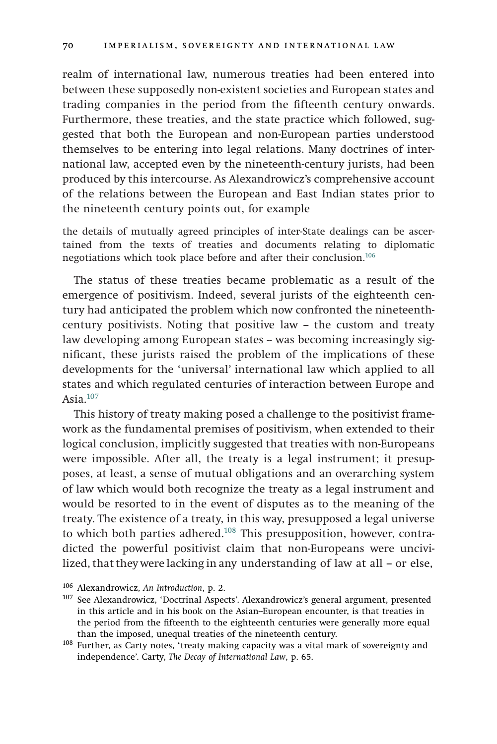realm of international law, numerous treaties had been entered into between these supposedly non-existent societies and European states and trading companies in the period from the fifteenth century onwards. Furthermore, these treaties, and the state practice which followed, suggested that both the European and non-European parties understood themselves to be entering into legal relations. Many doctrines of international law, accepted even by the nineteenth-century jurists, had been produced by this intercourse. As Alexandrowicz's comprehensive account of the relations between the European and East Indian states prior to the nineteenth century points out, for example

the details of mutually agreed principles of inter-State dealings can be ascertained from the texts of treaties and documents relating to diplomatic negotiations which took place before and after their conclusion.<sup>106</sup>

The status of these treaties became problematic as a result of the emergence of positivism. Indeed, several jurists of the eighteenth century had anticipated the problem which now confronted the nineteenthcentury positivists. Noting that positive law  $-$  the custom and treaty law developing among European states -- was becoming increasingly significant, these jurists raised the problem of the implications of these developments for the 'universal' international law which applied to all states and which regulated centuries of interaction between Europe and Asia. $107$ 

This history of treaty making posed a challenge to the positivist framework as the fundamental premises of positivism, when extended to their logical conclusion, implicitly suggested that treaties with non-Europeans were impossible. After all, the treaty is a legal instrument; it presupposes, at least, a sense of mutual obligations and an overarching system of law which would both recognize the treaty as a legal instrument and would be resorted to in the event of disputes as to the meaning of the treaty. The existence of a treaty, in this way, presupposed a legal universe to which both parties adhered.108 This presupposition, however, contradicted the powerful positivist claim that non-Europeans were uncivilized, that they were lacking in any understanding of law at all – or else,

<sup>106</sup> Alexandrowicz, *An Introduction*, p. 2.

<sup>107</sup> See Alexandrowicz, 'Doctrinal Aspects'. Alexandrowicz's general argument, presented in this article and in his book on the Asian--European encounter, is that treaties in the period from the fifteenth to the eighteenth centuries were generally more equal than the imposed, unequal treaties of the nineteenth century.

<sup>&</sup>lt;sup>108</sup> Further, as Carty notes, 'treaty making capacity was a vital mark of sovereignty and independence'. Carty, *The Decay of International Law*, p. 65.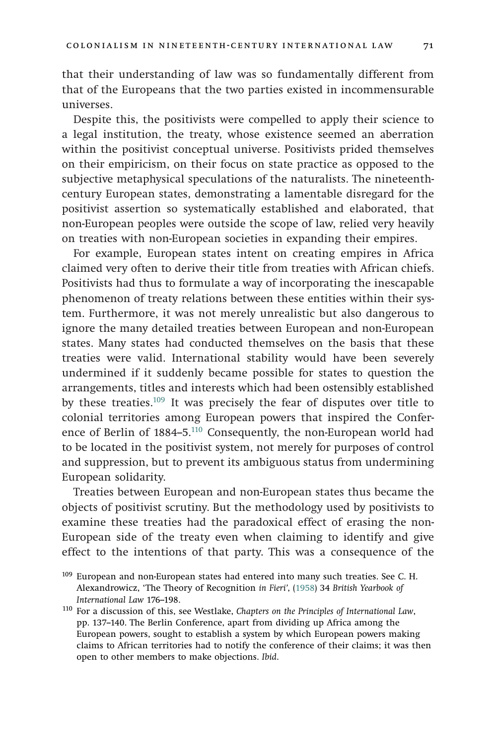that their understanding of law was so fundamentally different from that of the Europeans that the two parties existed in incommensurable universes.

Despite this, the positivists were compelled to apply their science to a legal institution, the treaty, whose existence seemed an aberration within the positivist conceptual universe. Positivists prided themselves on their empiricism, on their focus on state practice as opposed to the subjective metaphysical speculations of the naturalists. The nineteenthcentury European states, demonstrating a lamentable disregard for the positivist assertion so systematically established and elaborated, that non-European peoples were outside the scope of law, relied very heavily on treaties with non-European societies in expanding their empires.

For example, European states intent on creating empires in Africa claimed very often to derive their title from treaties with African chiefs. Positivists had thus to formulate a way of incorporating the inescapable phenomenon of treaty relations between these entities within their system. Furthermore, it was not merely unrealistic but also dangerous to ignore the many detailed treaties between European and non-European states. Many states had conducted themselves on the basis that these treaties were valid. International stability would have been severely undermined if it suddenly became possible for states to question the arrangements, titles and interests which had been ostensibly established by these treaties[.109](#page-19-0) It was precisely the fear of disputes over title to colonial territories among European powers that inspired the Confer-ence of Berlin of 1884-5.<sup>[110](#page-19-0)</sup> Consequently, the non-European world had to be located in the positivist system, not merely for purposes of control and suppression, but to prevent its ambiguous status from undermining European solidarity.

Treaties between European and non-European states thus became the objects of positivist scrutiny. But the methodology used by positivists to examine these treaties had the paradoxical effect of erasing the non-European side of the treaty even when claiming to identify and give effect to the intentions of that party. This was a consequence of the

<sup>109</sup> European and non-European states had entered into many such treaties. See C. H. Alexandrowicz, 'The Theory of Recognition *in Fieri'*, (1958) 34 *British Yearbook of* International Law 176-198.

<sup>110</sup> For a discussion of this, see Westlake, *Chapters on the Principles of International Law*, pp. 137--140. The Berlin Conference, apart from dividing up Africa among the European powers, sought to establish a system by which European powers making claims to African territories had to notify the conference of their claims; it was then open to other members to make objections. *Ibid*.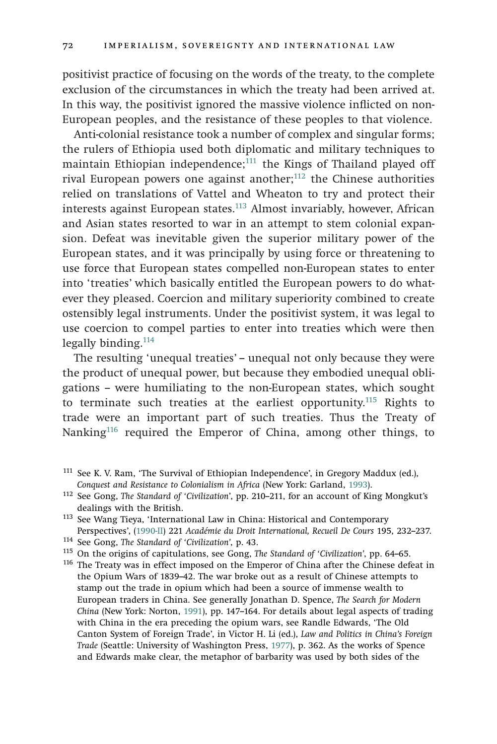positivist practice of focusing on the words of the treaty, to the complete exclusion of the circumstances in which the treaty had been arrived at. In this way, the positivist ignored the massive violence inflicted on non-European peoples, and the resistance of these peoples to that violence.

Anti-colonial resistance took a number of complex and singular forms; the rulers of Ethiopia used both diplomatic and military techniques to maintain Ethiopian independence; $111$  the Kings of Thailand played off rival European powers one against another; $112$  the Chinese authorities relied on translations of Vattel and Wheaton to try and protect their interests against European states.<sup>113</sup> Almost invariably, however, African and Asian states resorted to war in an attempt to stem colonial expansion. Defeat was inevitable given the superior military power of the European states, and it was principally by using force or threatening to use force that European states compelled non-European states to enter into 'treaties' which basically entitled the European powers to do whatever they pleased. Coercion and military superiority combined to create ostensibly legal instruments. Under the positivist system, it was legal to use coercion to compel parties to enter into treaties which were then legally binding[.114](#page-23-0)

The resulting 'unequal treaties' - unequal not only because they were the product of unequal power, but because they embodied unequal obligations -- were humiliating to the non-European states, which sought to terminate such treaties at the earliest opportunity.<sup>115</sup> Rights to trade were an important part of such treaties. Thus the Treaty of Nanking<sup>116</sup> required the Emperor of China, among other things, to

<sup>113</sup> See Wang Tieya, 'International Law in China: Historical and Contemporary

Perspectives', (1990-II) 221 *Académie du Droit International, Recueil De Cours* 195, 232-237.

- <sup>114</sup> See Gong, *The Standard of 'Civilization'*, p. 43.
- <sup>115</sup> On the origins of capitulations, see Gong, *The Standard of 'Civilization'*, pp. 64-65.
- <sup>116</sup> The Treaty was in effect imposed on the Emperor of China after the Chinese defeat in the Opium Wars of 1839-42. The war broke out as a result of Chinese attempts to stamp out the trade in opium which had been a source of immense wealth to European traders in China. See generally Jonathan D. Spence, *The Search for Modern China* (New York: Norton, 1991), pp. 147-164. For details about legal aspects of trading with China in the era preceding the opium wars, see Randle Edwards, 'The Old Canton System of Foreign Trade', in Victor H. Li (ed.), *Law and Politics in China's Foreign Trade* (Seattle: University of Washington Press, 1977), p. 362. As the works of Spence and Edwards make clear, the metaphor of barbarity was used by both sides of the

<sup>111</sup> See K. V. Ram, 'The Survival of Ethiopian Independence', in Gregory Maddux (ed.), *Conquest and Resistance to Colonialism in Africa* (New York: Garland, 1993).

<sup>&</sup>lt;sup>112</sup> See Gong, *The Standard of 'Civilization'*, pp. 210–211, for an account of King Mongkut's dealings with the British.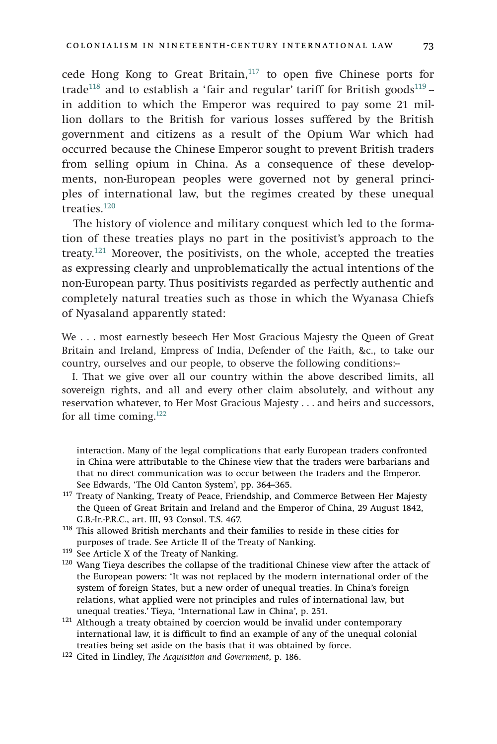cede Hong Kong to Great Britain, $117$  to open five Chinese ports for trade<sup>118</sup> and to establish a 'fair and regular' tariff for British goods<sup>119</sup> -in addition to which the Emperor was required to pay some 21 million dollars to the British for various losses suffered by the British government and citizens as a result of the Opium War which had occurred because the Chinese Emperor sought to prevent British traders from selling opium in China. As a consequence of these developments, non-European peoples were governed not by general principles of international law, but the regimes created by these unequal treaties<sup>120</sup>

The history of violence and military conquest which led to the formation of these treaties plays no part in the positivist's approach to the treaty[.121](#page-26-0) Moreover, the positivists, on the whole, accepted the treaties as expressing clearly and unproblematically the actual intentions of the non-European party. Thus positivists regarded as perfectly authentic and completely natural treaties such as those in which the Wyanasa Chiefs of Nyasaland apparently stated:

We ... most earnestly beseech Her Most Gracious Majesty the Queen of Great Britain and Ireland, Empress of India, Defender of the Faith, &c., to take our country, ourselves and our people, to observe the following conditions:--

I. That we give over all our country within the above described limits, all sovereign rights, and all and every other claim absolutely, and without any reservation whatever, to Her Most Gracious Majesty . . . and heirs and successors, for all time coming[.122](#page-26-0)

interaction. Many of the legal complications that early European traders confronted in China were attributable to the Chinese view that the traders were barbarians and that no direct communication was to occur between the traders and the Emperor. See Edwards, 'The Old Canton System', pp. 364-365.

- <sup>117</sup> Treaty of Nanking, Treaty of Peace, Friendship, and Commerce Between Her Majesty the Queen of Great Britain and Ireland and the Emperor of China, 29 August 1842, G.B.-Ir.-P.R.C., art. III, 93 Consol. T.S. 467.
- <sup>118</sup> This allowed British merchants and their families to reside in these cities for purposes of trade. See Article II of the Treaty of Nanking.
- <sup>119</sup> See Article X of the Treaty of Nanking.
- <sup>120</sup> Wang Tieya describes the collapse of the traditional Chinese view after the attack of the European powers: 'It was not replaced by the modern international order of the system of foreign States, but a new order of unequal treaties. In China's foreign relations, what applied were not principles and rules of international law, but unequal treaties.' Tieya, 'International Law in China', p. 251.
- <sup>121</sup> Although a treaty obtained by coercion would be invalid under contemporary international law, it is difficult to find an example of any of the unequal colonial treaties being set aside on the basis that it was obtained by force.
- <sup>122</sup> Cited in Lindley, *The Acquisition and Government*, p. 186.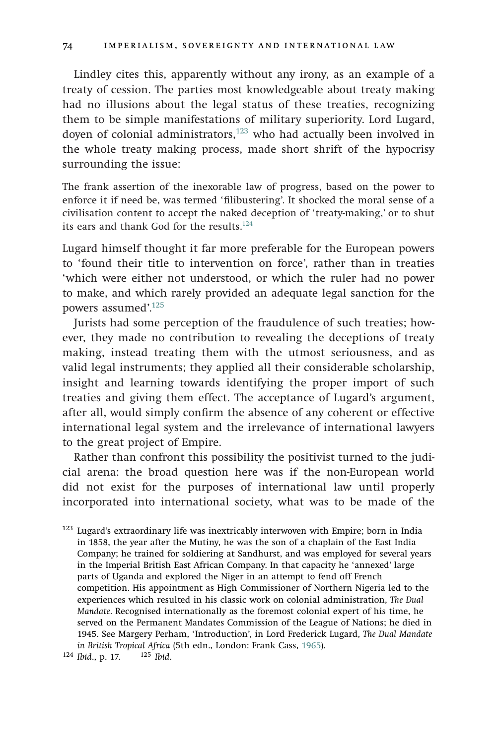Lindley cites this, apparently without any irony, as an example of a treaty of cession. The parties most knowledgeable about treaty making had no illusions about the legal status of these treaties, recognizing them to be simple manifestations of military superiority. Lord Lugard, doven of colonial administrators, $123$  who had actually been involved in the whole treaty making process, made short shrift of the hypocrisy surrounding the issue:

The frank assertion of the inexorable law of progress, based on the power to enforce it if need be, was termed 'filibustering'. It shocked the moral sense of a civilisation content to accept the naked deception of 'treaty-making,' or to shut its ears and thank God for the results. $124$ 

Lugard himself thought it far more preferable for the European powers to 'found their title to intervention on force', rather than in treaties 'which were either not understood, or which the ruler had no power to make, and which rarely provided an adequate legal sanction for the powers assumed'.[125](#page-26-0)

Jurists had some perception of the fraudulence of such treaties; however, they made no contribution to revealing the deceptions of treaty making, instead treating them with the utmost seriousness, and as valid legal instruments; they applied all their considerable scholarship, insight and learning towards identifying the proper import of such treaties and giving them effect. The acceptance of Lugard's argument, after all, would simply confirm the absence of any coherent or effective international legal system and the irrelevance of international lawyers to the great project of Empire.

Rather than confront this possibility the positivist turned to the judicial arena: the broad question here was if the non-European world did not exist for the purposes of international law until properly incorporated into international society, what was to be made of the

<sup>123</sup> Lugard's extraordinary life was inextricably interwoven with Empire; born in India in 1858, the year after the Mutiny, he was the son of a chaplain of the East India Company; he trained for soldiering at Sandhurst, and was employed for several years in the Imperial British East African Company. In that capacity he 'annexed' large parts of Uganda and explored the Niger in an attempt to fend off French competition. His appointment as High Commissioner of Northern Nigeria led to the experiences which resulted in his classic work on colonial administration, *The Dual Mandate*. Recognised internationally as the foremost colonial expert of his time, he served on the Permanent Mandates Commission of the League of Nations; he died in 1945. See Margery Perham, 'Introduction', in Lord Frederick Lugard, *The Dual Mandate in British Tropical Africa* (5th edn., London: Frank Cass, 1965).

<sup>124</sup> *Ibid*., p. 17. <sup>125</sup> *Ibid*.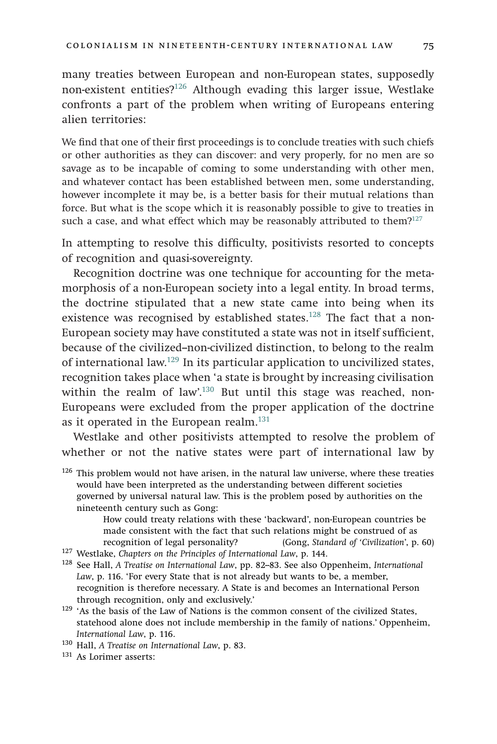many treaties between European and non-European states, supposedly non-existent entities[?126](#page-26-0) Although evading this larger issue, Westlake confronts a part of the problem when writing of Europeans entering alien territories:

We find that one of their first proceedings is to conclude treaties with such chiefs or other authorities as they can discover: and very properly, for no men are so savage as to be incapable of coming to some understanding with other men, and whatever contact has been established between men, some understanding, however incomplete it may be, is a better basis for their mutual relations than force. But what is the scope which it is reasonably possible to give to treaties in such a case, and what effect which may be reasonably attributed to them? $127$ 

In attempting to resolve this difficulty, positivists resorted to concepts of recognition and quasi-sovereignty.

Recognition doctrine was one technique for accounting for the metamorphosis of a non-European society into a legal entity. In broad terms, the doctrine stipulated that a new state came into being when its existence was recognised by established states.<sup>[128](#page-29-0)</sup> The fact that a non-European society may have constituted a state was not in itself sufficient, because of the civilized--non-civilized distinction, to belong to the realm of international law[.129](#page-29-0) In its particular application to uncivilized states, recognition takes place when 'a state is brought by increasing civilisation within the realm of law'.<sup>[130](#page-29-0)</sup> But until this stage was reached, non-Europeans were excluded from the proper application of the doctrine as it operated in the European realm.<sup>[131](#page-29-0)</sup>

Westlake and other positivists attempted to resolve the problem of whether or not the native states were part of international law by

 $126$  This problem would not have arisen, in the natural law universe, where these treaties would have been interpreted as the understanding between different societies governed by universal natural law. This is the problem posed by authorities on the nineteenth century such as Gong:

> How could treaty relations with these 'backward', non-European countries be made consistent with the fact that such relations might be construed of as recognition of legal personality? (Gong, *Standard of 'Civilization*', p. 60)

<sup>127</sup> Westlake, *Chapters on the Principles of International Law*, p. 144.

<sup>128</sup> See Hall, *A Treatise on International Law*, pp. 82--83. See also Oppenheim, *International Law*, p. 116. 'For every State that is not already but wants to be, a member, recognition is therefore necessary. A State is and becomes an International Person through recognition, only and exclusively.'

<sup>129</sup> 'As the basis of the Law of Nations is the common consent of the civilized States, statehood alone does not include membership in the family of nations.' Oppenheim, *International Law*, p. 116.

- <sup>130</sup> Hall, *A Treatise on International Law*, p. 83.
- <sup>131</sup> As Lorimer asserts: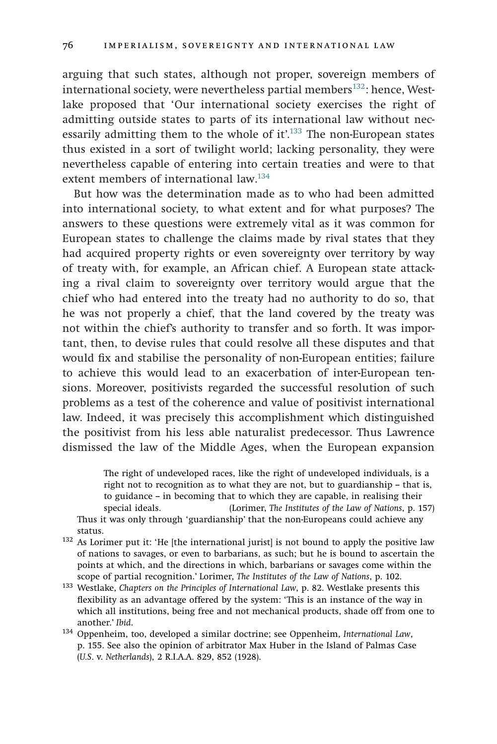arguing that such states, although not proper, sovereign members of international society, were nevertheless partial members $^{132}$ : hence, Westlake proposed that 'Our international society exercises the right of admitting outside states to parts of its international law without necessarily admitting them to the whole of it'.<sup>133</sup> The non-European states thus existed in a sort of twilight world; lacking personality, they were nevertheless capable of entering into certain treaties and were to that extent members of international law[.134](#page-30-0)

But how was the determination made as to who had been admitted into international society, to what extent and for what purposes? The answers to these questions were extremely vital as it was common for European states to challenge the claims made by rival states that they had acquired property rights or even sovereignty over territory by way of treaty with, for example, an African chief. A European state attacking a rival claim to sovereignty over territory would argue that the chief who had entered into the treaty had no authority to do so, that he was not properly a chief, that the land covered by the treaty was not within the chief's authority to transfer and so forth. It was important, then, to devise rules that could resolve all these disputes and that would fix and stabilise the personality of non-European entities; failure to achieve this would lead to an exacerbation of inter-European tensions. Moreover, positivists regarded the successful resolution of such problems as a test of the coherence and value of positivist international law. Indeed, it was precisely this accomplishment which distinguished the positivist from his less able naturalist predecessor. Thus Lawrence dismissed the law of the Middle Ages, when the European expansion

The right of undeveloped races, like the right of undeveloped individuals, is a right not to recognition as to what they are not, but to guardianship  $-$  that is, to guidance -- in becoming that to which they are capable, in realising their special ideals. (Lorimer, *The Institutes of the Law of Nations*, p. 157) Thus it was only through 'guardianship' that the non-Europeans could achieve any status.

- <sup>132</sup> As Lorimer put it: 'He [the international jurist] is not bound to apply the positive law of nations to savages, or even to barbarians, as such; but he is bound to ascertain the points at which, and the directions in which, barbarians or savages come within the scope of partial recognition.' Lorimer, *The Institutes of the Law of Nations*, p. 102.
- <sup>133</sup> Westlake, *Chapters on the Principles of International Law*, p. 82. Westlake presents this flexibility as an advantage offered by the system: 'This is an instance of the way in which all institutions, being free and not mechanical products, shade off from one to another.' *Ibid*.
- <sup>134</sup> Oppenheim, too, developed a similar doctrine; see Oppenheim, *International Law*, p. 155. See also the opinion of arbitrator Max Huber in the Island of Palmas Case (*U.S*. v. *Netherlands*), 2 R.I.A.A. 829, 852 (1928).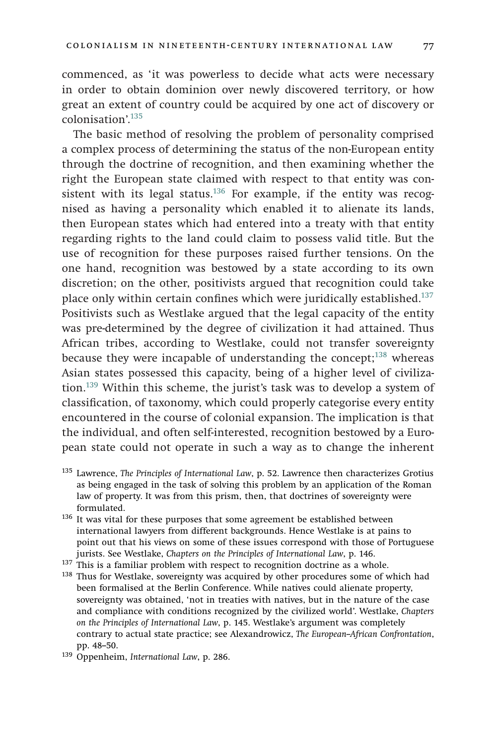commenced, as 'it was powerless to decide what acts were necessary in order to obtain dominion over newly discovered territory, or how great an extent of country could be acquired by one act of discovery or colonisation'.[135](#page-30-0)

The basic method of resolving the problem of personality comprised a complex process of determining the status of the non-European entity through the doctrine of recognition, and then examining whether the right the European state claimed with respect to that entity was consistent with its legal status. $136$  For example, if the entity was recognised as having a personality which enabled it to alienate its lands, then European states which had entered into a treaty with that entity regarding rights to the land could claim to possess valid title. But the use of recognition for these purposes raised further tensions. On the one hand, recognition was bestowed by a state according to its own discretion; on the other, positivists argued that recognition could take place only within certain confines which were juridically established[.137](#page-30-0) Positivists such as Westlake argued that the legal capacity of the entity was pre-determined by the degree of civilization it had attained. Thus African tribes, according to Westlake, could not transfer sovereignty because they were incapable of understanding the concept;<sup>[138](#page-31-0)</sup> whereas Asian states possessed this capacity, being of a higher level of civilization[.139](#page-31-0) Within this scheme, the jurist's task was to develop a system of classification, of taxonomy, which could properly categorise every entity encountered in the course of colonial expansion. The implication is that the individual, and often self-interested, recognition bestowed by a European state could not operate in such a way as to change the inherent

- <sup>135</sup> Lawrence, *The Principles of International Law*, p. 52. Lawrence then characterizes Grotius as being engaged in the task of solving this problem by an application of the Roman law of property. It was from this prism, then, that doctrines of sovereignty were formulated.
- <sup>136</sup> It was vital for these purposes that some agreement be established between international lawyers from different backgrounds. Hence Westlake is at pains to point out that his views on some of these issues correspond with those of Portuguese jurists. See Westlake, *Chapters on the Principles of International Law*, p. 146.
- $137$  This is a familiar problem with respect to recognition doctrine as a whole.
- <sup>138</sup> Thus for Westlake, sovereignty was acquired by other procedures some of which had been formalised at the Berlin Conference. While natives could alienate property, sovereignty was obtained, 'not in treaties with natives, but in the nature of the case and compliance with conditions recognized by the civilized world'. Westlake, *Chapters on the Principles of International Law*, p. 145. Westlake's argument was completely contrary to actual state practice; see Alexandrowicz, *The European--African Confrontation*, pp. 48-50.
- <sup>139</sup> Oppenheim, *International Law*, p. 286.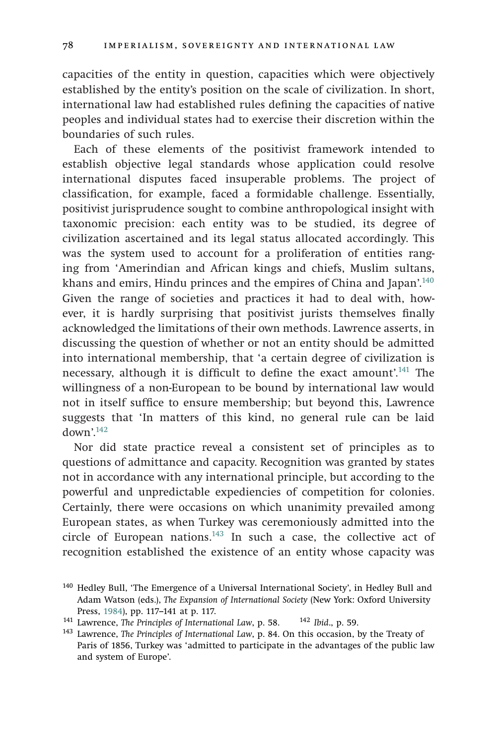capacities of the entity in question, capacities which were objectively established by the entity's position on the scale of civilization. In short, international law had established rules defining the capacities of native peoples and individual states had to exercise their discretion within the boundaries of such rules.

Each of these elements of the positivist framework intended to establish objective legal standards whose application could resolve international disputes faced insuperable problems. The project of classification, for example, faced a formidable challenge. Essentially, positivist jurisprudence sought to combine anthropological insight with taxonomic precision: each entity was to be studied, its degree of civilization ascertained and its legal status allocated accordingly. This was the system used to account for a proliferation of entities ranging from 'Amerindian and African kings and chiefs, Muslim sultans, khans and emirs, Hindu princes and the empires of China and Japan'.<sup>[140](#page-31-0)</sup> Given the range of societies and practices it had to deal with, however, it is hardly surprising that positivist jurists themselves finally acknowledged the limitations of their own methods. Lawrence asserts, in discussing the question of whether or not an entity should be admitted into international membership, that 'a certain degree of civilization is necessary, although it is difficult to define the exact amount'.[141](#page-31-0) The willingness of a non-European to be bound by international law would not in itself suffice to ensure membership; but beyond this, Lawrence suggests that 'In matters of this kind, no general rule can be laid  $d$ own'<sup>142</sup>

Nor did state practice reveal a consistent set of principles as to questions of admittance and capacity. Recognition was granted by states not in accordance with any international principle, but according to the powerful and unpredictable expediencies of competition for colonies. Certainly, there were occasions on which unanimity prevailed among European states, as when Turkey was ceremoniously admitted into the circle of European nations. $143$  In such a case, the collective act of recognition established the existence of an entity whose capacity was

<sup>140</sup> Hedley Bull, 'The Emergence of a Universal International Society', in Hedley Bull and Adam Watson (eds.), *The Expansion of International Society* (New York: Oxford University Press, 1984), pp. 117-141 at p. 117.

<sup>&</sup>lt;sup>141</sup> Lawrence, *The Principles of International Law*, p. 58. <sup>142</sup> *Ibid.*, p. 59.

<sup>143</sup> Lawrence, *The Principles of International Law*, p. 84. On this occasion, by the Treaty of Paris of 1856, Turkey was 'admitted to participate in the advantages of the public law and system of Europe'.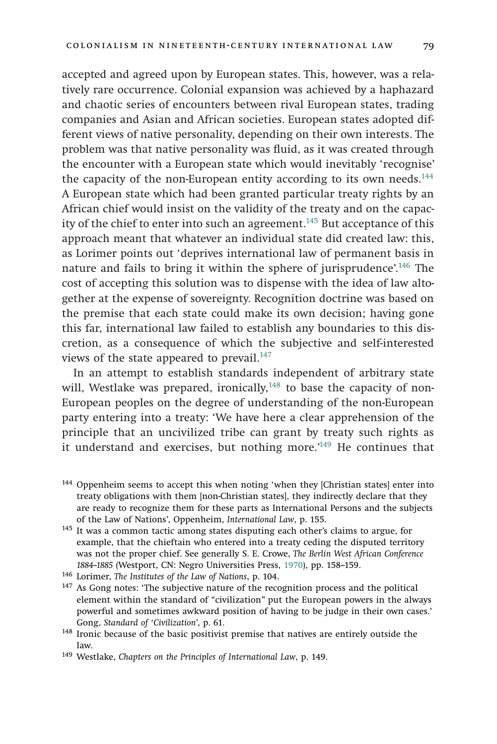accepted and agreed upon by European states. This, however, was a relatively rare occurrence. Colonial expansion was achieved by a haphazard and chaotic series of encounters between rival European states, trading companies and Asian and African societies. European states adopted different views of native personality, depending on their own interests. The problem was that native personality was fluid, as it was created through the encounter with a European state which would inevitably 'recognise' the capacity of the non-European entity according to its own needs.<sup>[144](#page-32-0)</sup> A European state which had been granted particular treaty rights by an African chief would insist on the validity of the treaty and on the capac-ity of the chief to enter into such an agreement.<sup>[145](#page-32-0)</sup> But acceptance of this approach meant that whatever an individual state did created law: this, as Lorimer points out 'deprives international law of permanent basis in nature and fails to bring it within the sphere of jurisprudence'[.146](#page-32-0) The cost of accepting this solution was to dispense with the idea of law altogether at the expense of sovereignty. Recognition doctrine was based on the premise that each state could make its own decision; having gone this far, international law failed to establish any boundaries to this discretion, as a consequence of which the subjective and self-interested views of the state appeared to prevail.<sup>147</sup>

In an attempt to establish standards independent of arbitrary state will, Westlake was prepared, ironically, $148$  to base the capacity of non-European peoples on the degree of understanding of the non-European party entering into a treaty: 'We have here a clear apprehension of the principle that an uncivilized tribe can grant by treaty such rights as it understand and exercises, but nothing more.<sup>149</sup> He continues that

<sup>&</sup>lt;sup>144</sup> Oppenheim seems to accept this when noting 'when they [Christian states] enter into treaty obligations with them [non-Christian states], they indirectly declare that they are ready to recognize them for these parts as International Persons and the subjects of the Law of Nations', Oppenheim, *International Law*, p. 155.

<sup>145</sup> It was a common tactic among states disputing each other's claims to argue, for example, that the chieftain who entered into a treaty ceding the disputed territory was not the proper chief. See generally S. E. Crowe, *The Berlin West African Conference 1884--1885* (Westport, CN: Negro Universities Press, 1970), pp. 158--159.

<sup>146</sup> Lorimer, *The Institutes of the Law of Nations*, p. 104.

 $147$  As Gong notes: 'The subjective nature of the recognition process and the political element within the standard of "civilization" put the European powers in the always powerful and sometimes awkward position of having to be judge in their own cases.' Gong, *Standard of 'Civilization'*, p. 61.

<sup>&</sup>lt;sup>148</sup> Ironic because of the basic positivist premise that natives are entirely outside the law.

<sup>149</sup> Westlake, *Chapters on the Principles of International Law*, p. 149.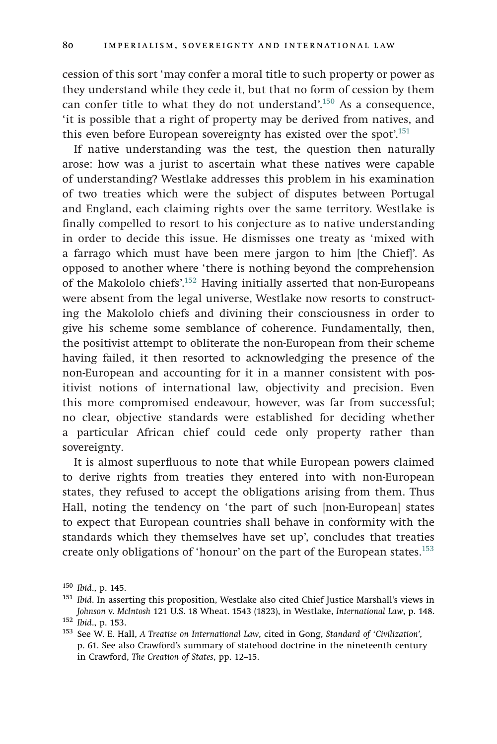cession of this sort 'may confer a moral title to such property or power as they understand while they cede it, but that no form of cession by them can confer title to what they do not understand'.[150](#page-33-0) As a consequence, 'it is possible that a right of property may be derived from natives, and this even before European sovereignty has existed over the spot'.<sup>151</sup>

If native understanding was the test, the question then naturally arose: how was a jurist to ascertain what these natives were capable of understanding? Westlake addresses this problem in his examination of two treaties which were the subject of disputes between Portugal and England, each claiming rights over the same territory. Westlake is finally compelled to resort to his conjecture as to native understanding in order to decide this issue. He dismisses one treaty as 'mixed with a farrago which must have been mere jargon to him [the Chief]'. As opposed to another where 'there is nothing beyond the comprehension of the Makololo chiefs'.[152](#page-33-0) Having initially asserted that non-Europeans were absent from the legal universe, Westlake now resorts to constructing the Makololo chiefs and divining their consciousness in order to give his scheme some semblance of coherence. Fundamentally, then, the positivist attempt to obliterate the non-European from their scheme having failed, it then resorted to acknowledging the presence of the non-European and accounting for it in a manner consistent with positivist notions of international law, objectivity and precision. Even this more compromised endeavour, however, was far from successful; no clear, objective standards were established for deciding whether a particular African chief could cede only property rather than sovereignty.

It is almost superfluous to note that while European powers claimed to derive rights from treaties they entered into with non-European states, they refused to accept the obligations arising from them. Thus Hall, noting the tendency on 'the part of such [non-European] states to expect that European countries shall behave in conformity with the standards which they themselves have set up', concludes that treaties create only obligations of 'honour' on the part of the European states[.153](#page-33-0)

<sup>150</sup> *Ibid*., p. 145.

<sup>151</sup> *Ibid*. In asserting this proposition, Westlake also cited Chief Justice Marshall's views in *Johnson* v. *McIntosh* 121 U.S. 18 Wheat. 1543 (1823), in Westlake, *International Law*, p. 148. <sup>152</sup> *Ibid*., p. 153.

<sup>153</sup> See W. E. Hall, *A Treatise on International Law*, cited in Gong, *Standard of 'Civilization'*, p. 61. See also Crawford's summary of statehood doctrine in the nineteenth century in Crawford, *The Creation of States*, pp. 12--15.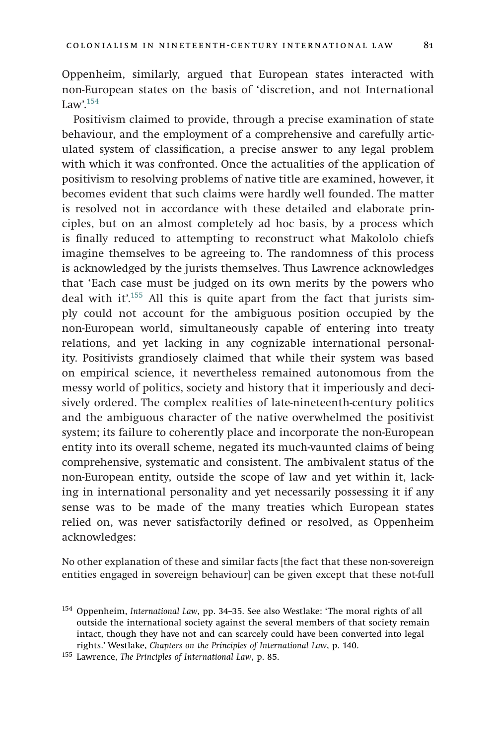Oppenheim, similarly, argued that European states interacted with non-European states on the basis of 'discretion, and not International Law<sup>, [154](#page-33-0)</sup>

Positivism claimed to provide, through a precise examination of state behaviour, and the employment of a comprehensive and carefully articulated system of classification, a precise answer to any legal problem with which it was confronted. Once the actualities of the application of positivism to resolving problems of native title are examined, however, it becomes evident that such claims were hardly well founded. The matter is resolved not in accordance with these detailed and elaborate principles, but on an almost completely ad hoc basis, by a process which is finally reduced to attempting to reconstruct what Makololo chiefs imagine themselves to be agreeing to. The randomness of this process is acknowledged by the jurists themselves. Thus Lawrence acknowledges that 'Each case must be judged on its own merits by the powers who deal with it'.<sup>[155](#page-33-0)</sup> All this is quite apart from the fact that jurists simply could not account for the ambiguous position occupied by the non-European world, simultaneously capable of entering into treaty relations, and yet lacking in any cognizable international personality. Positivists grandiosely claimed that while their system was based on empirical science, it nevertheless remained autonomous from the messy world of politics, society and history that it imperiously and decisively ordered. The complex realities of late-nineteenth-century politics and the ambiguous character of the native overwhelmed the positivist system; its failure to coherently place and incorporate the non-European entity into its overall scheme, negated its much-vaunted claims of being comprehensive, systematic and consistent. The ambivalent status of the non-European entity, outside the scope of law and yet within it, lacking in international personality and yet necessarily possessing it if any sense was to be made of the many treaties which European states relied on, was never satisfactorily defined or resolved, as Oppenheim acknowledges:

No other explanation of these and similar facts [the fact that these non-sovereign entities engaged in sovereign behaviour] can be given except that these not-full

<sup>155</sup> Lawrence, *The Principles of International Law*, p. 85.

<sup>&</sup>lt;sup>154</sup> Oppenheim, *International Law*, pp. 34-35. See also Westlake: 'The moral rights of all outside the international society against the several members of that society remain intact, though they have not and can scarcely could have been converted into legal rights.' Westlake, *Chapters on the Principles of International Law*, p. 140.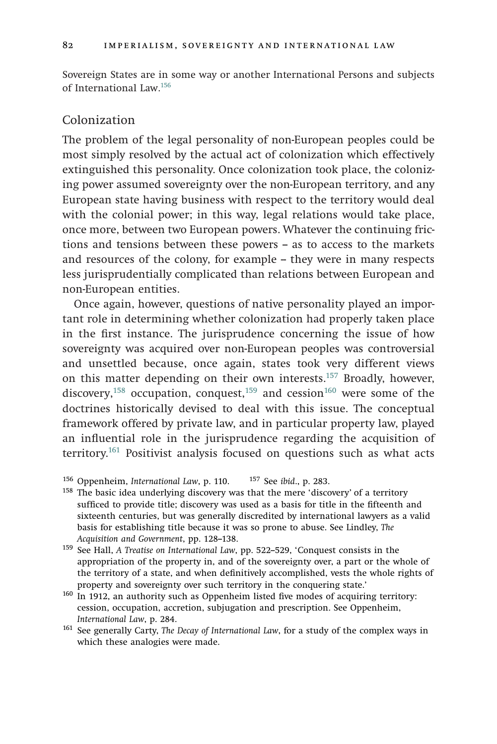Sovereign States are in some way or another International Persons and subjects of International Law.[156](#page-34-0)

## Colonization

The problem of the legal personality of non-European peoples could be most simply resolved by the actual act of colonization which effectively extinguished this personality. Once colonization took place, the colonizing power assumed sovereignty over the non-European territory, and any European state having business with respect to the territory would deal with the colonial power; in this way, legal relations would take place, once more, between two European powers. Whatever the continuing frictions and tensions between these powers -- as to access to the markets and resources of the colony, for example – they were in many respects less jurisprudentially complicated than relations between European and non-European entities.

Once again, however, questions of native personality played an important role in determining whether colonization had properly taken place in the first instance. The jurisprudence concerning the issue of how sovereignty was acquired over non-European peoples was controversial and unsettled because, once again, states took very different views on this matter depending on their own interests.157 Broadly, however, discovery,<sup>158</sup> occupation, conquest,<sup>159</sup> and cession<sup>160</sup> were some of the doctrines historically devised to deal with this issue. The conceptual framework offered by private law, and in particular property law, played an influential role in the jurisprudence regarding the acquisition of territory[.161](#page-35-0) Positivist analysis focused on questions such as what acts

- <sup>158</sup> The basic idea underlying discovery was that the mere 'discovery' of a territory sufficed to provide title; discovery was used as a basis for title in the fifteenth and sixteenth centuries, but was generally discredited by international lawyers as a valid basis for establishing title because it was so prone to abuse. See Lindley, *The Acquisition and Government*, pp. 128--138.
- <sup>159</sup> See Hall, *A Treatise on International Law*, pp. 522-529, 'Conquest consists in the appropriation of the property in, and of the sovereignty over, a part or the whole of the territory of a state, and when definitively accomplished, vests the whole rights of property and sovereignty over such territory in the conquering state.'
- 160 In 1912, an authority such as Oppenheim listed five modes of acquiring territory: cession, occupation, accretion, subjugation and prescription. See Oppenheim, *International Law*, p. 284.
- <sup>161</sup> See generally Carty, *The Decay of International Law*, for a study of the complex ways in which these analogies were made.

<sup>&</sup>lt;sup>156</sup> Oppenheim, *International Law*, p. 110. <sup>157</sup> See *ibid.*, p. 283.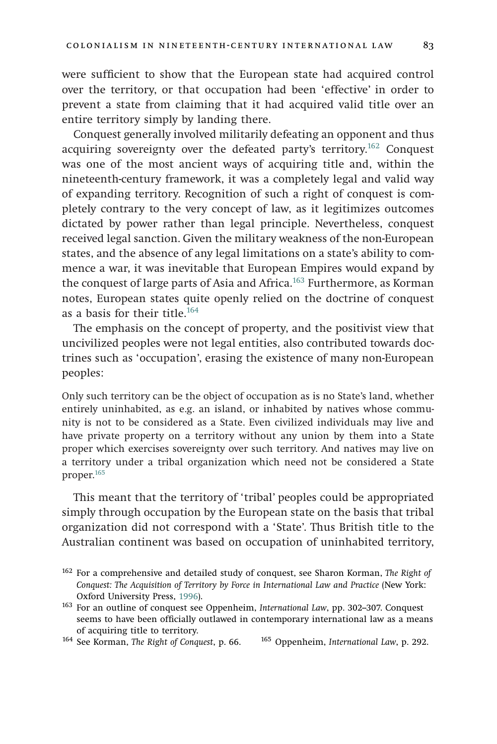were sufficient to show that the European state had acquired control over the territory, or that occupation had been 'effective' in order to prevent a state from claiming that it had acquired valid title over an entire territory simply by landing there.

Conquest generally involved militarily defeating an opponent and thus acquiring sovereignty over the defeated party's territory[.162](#page-35-0) Conquest was one of the most ancient ways of acquiring title and, within the nineteenth-century framework, it was a completely legal and valid way of expanding territory. Recognition of such a right of conquest is completely contrary to the very concept of law, as it legitimizes outcomes dictated by power rather than legal principle. Nevertheless, conquest received legal sanction. Given the military weakness of the non-European states, and the absence of any legal limitations on a state's ability to commence a war, it was inevitable that European Empires would expand by the conquest of large parts of Asia and Africa.<sup>[163](#page-35-0)</sup> Furthermore, as Korman notes, European states quite openly relied on the doctrine of conquest as a basis for their title[.164](#page-36-0)

The emphasis on the concept of property, and the positivist view that uncivilized peoples were not legal entities, also contributed towards doctrines such as 'occupation', erasing the existence of many non-European peoples:

Only such territory can be the object of occupation as is no State's land, whether entirely uninhabited, as e.g. an island, or inhabited by natives whose community is not to be considered as a State. Even civilized individuals may live and have private property on a territory without any union by them into a State proper which exercises sovereignty over such territory. And natives may live on a territory under a tribal organization which need not be considered a State proper[.165](#page-36-0)

This meant that the territory of 'tribal' peoples could be appropriated simply through occupation by the European state on the basis that tribal organization did not correspond with a 'State'. Thus British title to the Australian continent was based on occupation of uninhabited territory,

<sup>162</sup> For a comprehensive and detailed study of conquest, see Sharon Korman, *The Right of Conquest: The Acquisition of Territory by Force in International Law and Practice* (New York: Oxford University Press, 1996).

<sup>163</sup> For an outline of conquest see Oppenheim, *International Law*, pp. 302--307. Conquest seems to have been officially outlawed in contemporary international law as a means of acquiring title to territory.

<sup>164</sup> See Korman, *The Right of Conquest*, p. 66. <sup>165</sup> Oppenheim, *International Law*, p. 292.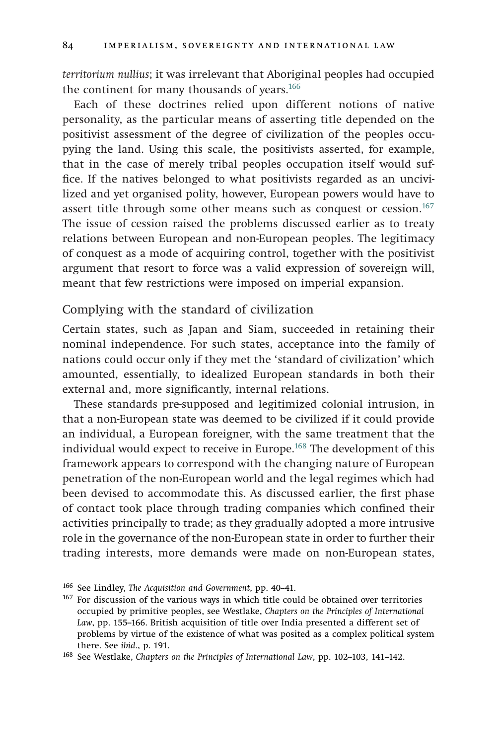<span id="page-71-0"></span>*territorium nullius*; it was irrelevant that Aboriginal peoples had occupied the continent for many thousands of years.<sup>[166](#page-36-0)</sup>

Each of these doctrines relied upon different notions of native personality, as the particular means of asserting title depended on the positivist assessment of the degree of civilization of the peoples occupying the land. Using this scale, the positivists asserted, for example, that in the case of merely tribal peoples occupation itself would suffice. If the natives belonged to what positivists regarded as an uncivilized and yet organised polity, however, European powers would have to assert title through some other means such as conquest or cession.<sup>167</sup> The issue of cession raised the problems discussed earlier as to treaty relations between European and non-European peoples. The legitimacy of conquest as a mode of acquiring control, together with the positivist argument that resort to force was a valid expression of sovereign will, meant that few restrictions were imposed on imperial expansion.

#### Complying with the standard of civilization

Certain states, such as Japan and Siam, succeeded in retaining their nominal independence. For such states, acceptance into the family of nations could occur only if they met the 'standard of civilization' which amounted, essentially, to idealized European standards in both their external and, more significantly, internal relations.

These standards pre-supposed and legitimized colonial intrusion, in that a non-European state was deemed to be civilized if it could provide an individual, a European foreigner, with the same treatment that the individual would expect to receive in Europe.<sup>168</sup> The development of this framework appears to correspond with the changing nature of European penetration of the non-European world and the legal regimes which had been devised to accommodate this. As discussed earlier, the first phase of contact took place through trading companies which confined their activities principally to trade; as they gradually adopted a more intrusive role in the governance of the non-European state in order to further their trading interests, more demands were made on non-European states,

<sup>&</sup>lt;sup>166</sup> See Lindley, *The Acquisition and Government*, pp. 40–41.

<sup>&</sup>lt;sup>167</sup> For discussion of the various ways in which title could be obtained over territories occupied by primitive peoples, see Westlake, *Chapters on the Principles of International* Law, pp. 155-166. British acquisition of title over India presented a different set of problems by virtue of the existence of what was posited as a complex political system there. See *ibid*., p. 191.

<sup>&</sup>lt;sup>168</sup> See Westlake, *Chapters on the Principles of International Law*, pp. 102-103, 141-142.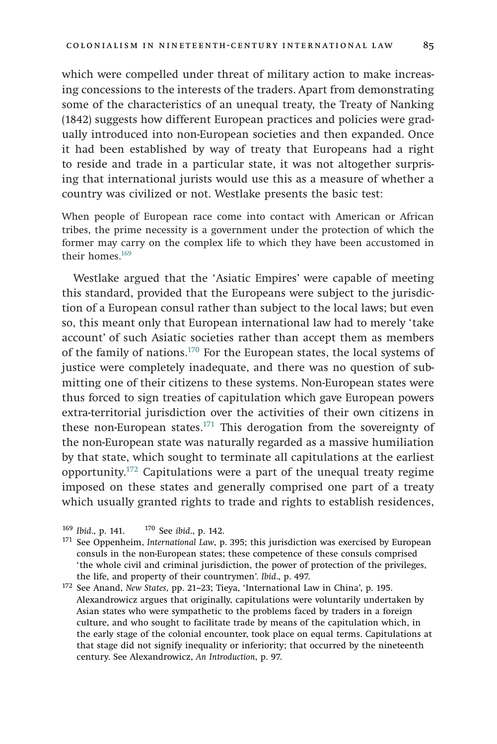which were compelled under threat of military action to make increasing concessions to the interests of the traders. Apart from demonstrating some of the characteristics of an unequal treaty, the Treaty of Nanking (1842) suggests how different European practices and policies were gradually introduced into non-European societies and then expanded. Once it had been established by way of treaty that Europeans had a right to reside and trade in a particular state, it was not altogether surprising that international jurists would use this as a measure of whether a country was civilized or not. Westlake presents the basic test:

When people of European race come into contact with American or African tribes, the prime necessity is a government under the protection of which the former may carry on the complex life to which they have been accustomed in their homes.[169](#page-37-0)

Westlake argued that the 'Asiatic Empires' were capable of meeting this standard, provided that the Europeans were subject to the jurisdiction of a European consul rather than subject to the local laws; but even so, this meant only that European international law had to merely 'take account' of such Asiatic societies rather than accept them as members of the family of nations.<sup>[170](#page-37-0)</sup> For the European states, the local systems of justice were completely inadequate, and there was no question of submitting one of their citizens to these systems. Non-European states were thus forced to sign treaties of capitulation which gave European powers extra-territorial jurisdiction over the activities of their own citizens in these non-European states.<sup>171</sup> This derogation from the sovereignty of the non-European state was naturally regarded as a massive humiliation by that state, which sought to terminate all capitulations at the earliest opportunity[.172](#page-38-0) Capitulations were a part of the unequal treaty regime imposed on these states and generally comprised one part of a treaty which usually granted rights to trade and rights to establish residences,

<sup>171</sup> See Oppenheim, *International Law*, p. 395; this jurisdiction was exercised by European consuls in the non-European states; these competence of these consuls comprised 'the whole civil and criminal jurisdiction, the power of protection of the privileges, the life, and property of their countrymen'. *Ibid*., p. 497.

<sup>172</sup> See Anand, *New States*, pp. 21–23; Tieya, 'International Law in China', p. 195. Alexandrowicz argues that originally, capitulations were voluntarily undertaken by Asian states who were sympathetic to the problems faced by traders in a foreign culture, and who sought to facilitate trade by means of the capitulation which, in the early stage of the colonial encounter, took place on equal terms. Capitulations at that stage did not signify inequality or inferiority; that occurred by the nineteenth century. See Alexandrowicz, *An Introduction*, p. 97.

<sup>169</sup> *Ibid*., p. 141. <sup>170</sup> See *ibid*., p. 142.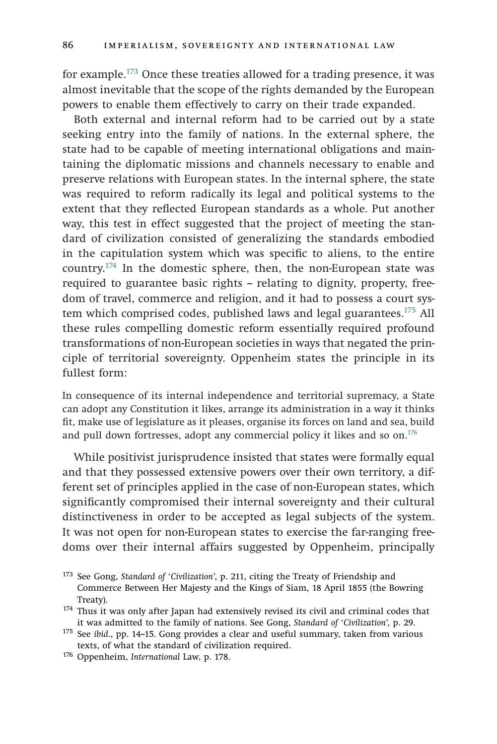for example.[173](#page-40-0) Once these treaties allowed for a trading presence, it was almost inevitable that the scope of the rights demanded by the European powers to enable them effectively to carry on their trade expanded.

Both external and internal reform had to be carried out by a state seeking entry into the family of nations. In the external sphere, the state had to be capable of meeting international obligations and maintaining the diplomatic missions and channels necessary to enable and preserve relations with European states. In the internal sphere, the state was required to reform radically its legal and political systems to the extent that they reflected European standards as a whole. Put another way, this test in effect suggested that the project of meeting the standard of civilization consisted of generalizing the standards embodied in the capitulation system which was specific to aliens, to the entire country.<sup>174</sup> In the domestic sphere, then, the non-European state was required to guarantee basic rights - relating to dignity, property, freedom of travel, commerce and religion, and it had to possess a court system which comprised codes, published laws and legal guarantees.<sup>175</sup> All these rules compelling domestic reform essentially required profound transformations of non-European societies in ways that negated the principle of territorial sovereignty. Oppenheim states the principle in its fullest form:

In consequence of its internal independence and territorial supremacy, a State can adopt any Constitution it likes, arrange its administration in a way it thinks fit, make use of legislature as it pleases, organise its forces on land and sea, build and pull down fortresses, adopt any commercial policy it likes and so on.<sup>176</sup>

While positivist jurisprudence insisted that states were formally equal and that they possessed extensive powers over their own territory, a different set of principles applied in the case of non-European states, which significantly compromised their internal sovereignty and their cultural distinctiveness in order to be accepted as legal subjects of the system. It was not open for non-European states to exercise the far-ranging freedoms over their internal affairs suggested by Oppenheim, principally

<sup>173</sup> See Gong, *Standard of 'Civilization'*, p. 211, citing the Treaty of Friendship and Commerce Between Her Majesty and the Kings of Siam, 18 April 1855 (the Bowring Treaty).

<sup>&</sup>lt;sup>174</sup> Thus it was only after Japan had extensively revised its civil and criminal codes that it was admitted to the family of nations. See Gong, *Standard of 'Civilization'*, p. 29.

<sup>&</sup>lt;sup>175</sup> See *ibid.*, pp. 14-15. Gong provides a clear and useful summary, taken from various texts, of what the standard of civilization required.

<sup>176</sup> Oppenheim, *International* Law, p. 178.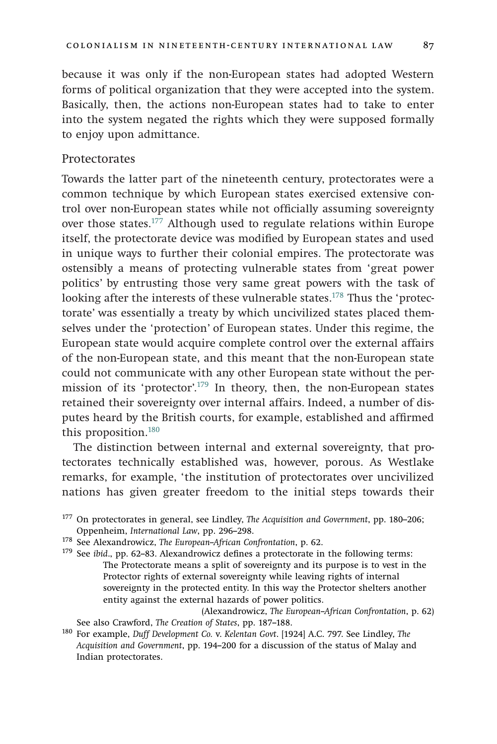because it was only if the non-European states had adopted Western forms of political organization that they were accepted into the system. Basically, then, the actions non-European states had to take to enter into the system negated the rights which they were supposed formally to enjoy upon admittance.

#### Protectorates

Towards the latter part of the nineteenth century, protectorates were a common technique by which European states exercised extensive control over non-European states while not officially assuming sovereignty over those states.[177](#page-41-0) Although used to regulate relations within Europe itself, the protectorate device was modified by European states and used in unique ways to further their colonial empires. The protectorate was ostensibly a means of protecting vulnerable states from 'great power politics' by entrusting those very same great powers with the task of looking after the interests of these vulnerable states.<sup>178</sup> Thus the 'protectorate' was essentially a treaty by which uncivilized states placed themselves under the 'protection' of European states. Under this regime, the European state would acquire complete control over the external affairs of the non-European state, and this meant that the non-European state could not communicate with any other European state without the permission of its 'protector'[.179](#page-41-0) In theory, then, the non-European states retained their sovereignty over internal affairs. Indeed, a number of disputes heard by the British courts, for example, established and affirmed this proposition.<sup>180</sup>

The distinction between internal and external sovereignty, that protectorates technically established was, however, porous. As Westlake remarks, for example, 'the institution of protectorates over uncivilized nations has given greater freedom to the initial steps towards their

<sup>178</sup> See Alexandrowicz, *The European--African Confrontation*, p. 62.

<sup>179</sup> See *ibid.*, pp. 62-83. Alexandrowicz defines a protectorate in the following terms: The Protectorate means a split of sovereignty and its purpose is to vest in the Protector rights of external sovereignty while leaving rights of internal sovereignty in the protected entity. In this way the Protector shelters another entity against the external hazards of power politics.

(Alexandrowicz, *The European--African Confrontation*, p. 62) See also Crawford, *The Creation of States*, pp. 187-188.

<sup>&</sup>lt;sup>177</sup> On protectorates in general, see Lindley, *The Acquisition and Government*, pp. 180-206; Oppenheim, *International Law*, pp. 296-298.

<sup>180</sup> For example, *Duff Development Co.* v. *Kelentan Govt*. [1924] A.C. 797. See Lindley, *The* Acquisition and Government, pp. 194-200 for a discussion of the status of Malay and Indian protectorates.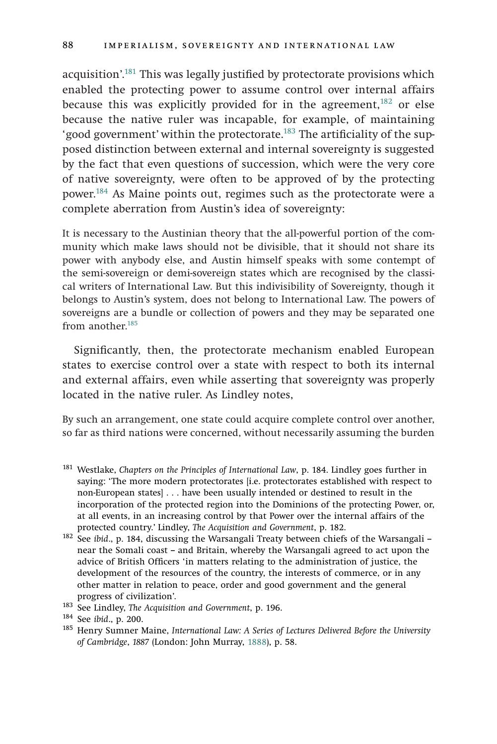acquisition'.<sup>181</sup> This was legally justified by protectorate provisions which enabled the protecting power to assume control over internal affairs because this was explicitly provided for in the agreement, $182$  or else because the native ruler was incapable, for example, of maintaining 'good government' within the protectorate. $183$  The artificiality of the supposed distinction between external and internal sovereignty is suggested by the fact that even questions of succession, which were the very core of native sovereignty, were often to be approved of by the protecting power.184 As Maine points out, regimes such as the protectorate were a complete aberration from Austin's idea of sovereignty:

It is necessary to the Austinian theory that the all-powerful portion of the community which make laws should not be divisible, that it should not share its power with anybody else, and Austin himself speaks with some contempt of the semi-sovereign or demi-sovereign states which are recognised by the classical writers of International Law. But this indivisibility of Sovereignty, though it belongs to Austin's system, does not belong to International Law. The powers of sovereigns are a bundle or collection of powers and they may be separated one from another $185$ 

Significantly, then, the protectorate mechanism enabled European states to exercise control over a state with respect to both its internal and external affairs, even while asserting that sovereignty was properly located in the native ruler. As Lindley notes,

By such an arrangement, one state could acquire complete control over another, so far as third nations were concerned, without necessarily assuming the burden

- <sup>181</sup> Westlake, *Chapters on the Principles of International Law*, p. 184. Lindley goes further in saying: 'The more modern protectorates [i.e. protectorates established with respect to non-European states] . . . have been usually intended or destined to result in the incorporation of the protected region into the Dominions of the protecting Power, or, at all events, in an increasing control by that Power over the internal affairs of the protected country.' Lindley, *The Acquisition and Government*, p. 182.
- <sup>182</sup> See *ibid.*, p. 184, discussing the Warsangali Treaty between chiefs of the Warsangali near the Somali coast -- and Britain, whereby the Warsangali agreed to act upon the advice of British Officers 'in matters relating to the administration of justice, the development of the resources of the country, the interests of commerce, or in any other matter in relation to peace, order and good government and the general progress of civilization'.
- <sup>183</sup> See Lindley, *The Acquisition and Government*, p. 196.

<sup>185</sup> Henry Sumner Maine, *International Law: A Series of Lectures Delivered Before the University of Cambridge*, *1887* (London: John Murray, 1888), p. 58.

<sup>184</sup> See *ibid*., p. 200.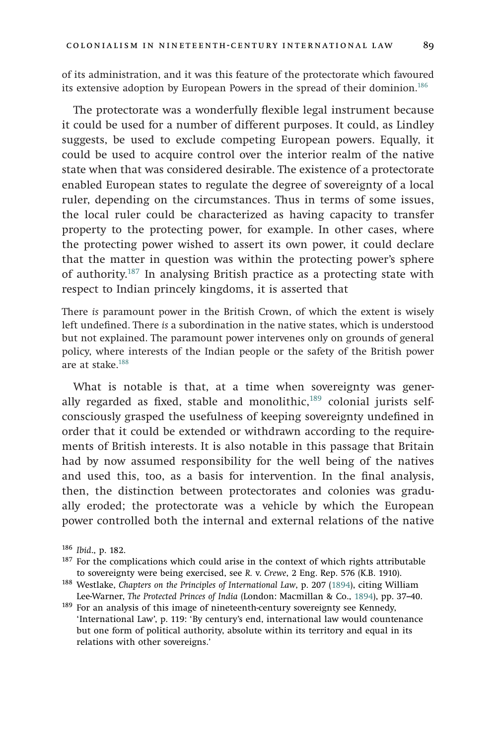of its administration, and it was this feature of the protectorate which favoured its extensive adoption by European Powers in the spread of their dominion.<sup>186</sup>

The protectorate was a wonderfully flexible legal instrument because it could be used for a number of different purposes. It could, as Lindley suggests, be used to exclude competing European powers. Equally, it could be used to acquire control over the interior realm of the native state when that was considered desirable. The existence of a protectorate enabled European states to regulate the degree of sovereignty of a local ruler, depending on the circumstances. Thus in terms of some issues, the local ruler could be characterized as having capacity to transfer property to the protecting power, for example. In other cases, where the protecting power wished to assert its own power, it could declare that the matter in question was within the protecting power's sphere of authority.<sup>187</sup> In analysing British practice as a protecting state with respect to Indian princely kingdoms, it is asserted that

There *is* paramount power in the British Crown, of which the extent is wisely left undefined. There *is* a subordination in the native states, which is understood but not explained. The paramount power intervenes only on grounds of general policy, where interests of the Indian people or the safety of the British power are at stake.<sup>188</sup>

What is notable is that, at a time when sovereignty was generally regarded as fixed, stable and monolithic, $189$  colonial jurists selfconsciously grasped the usefulness of keeping sovereignty undefined in order that it could be extended or withdrawn according to the requirements of British interests. It is also notable in this passage that Britain had by now assumed responsibility for the well being of the natives and used this, too, as a basis for intervention. In the final analysis, then, the distinction between protectorates and colonies was gradually eroded; the protectorate was a vehicle by which the European power controlled both the internal and external relations of the native

<sup>186</sup> *Ibid*., p. 182.

<sup>&</sup>lt;sup>187</sup> For the complications which could arise in the context of which rights attributable to sovereignty were being exercised, see *R.* v. *Crewe*, 2 Eng. Rep. 576 (K.B. 1910).

<sup>188</sup> Westlake, *Chapters on the Principles of International Law*, p. 207 (1894), citing William Lee-Warner, *The Protected Princes of India* (London: Macmillan & Co., 1894), pp. 37-40.

 $189$  For an analysis of this image of nineteenth-century sovereignty see Kennedy, 'International Law', p. 119: 'By century's end, international law would countenance but one form of political authority, absolute within its territory and equal in its relations with other sovereigns.'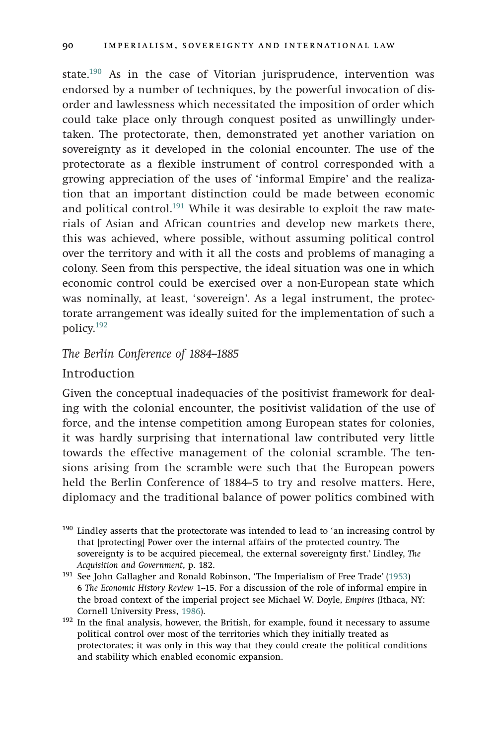state.[190](#page-45-0) As in the case of Vitorian jurisprudence, intervention was endorsed by a number of techniques, by the powerful invocation of disorder and lawlessness which necessitated the imposition of order which could take place only through conquest posited as unwillingly undertaken. The protectorate, then, demonstrated yet another variation on sovereignty as it developed in the colonial encounter. The use of the protectorate as a flexible instrument of control corresponded with a growing appreciation of the uses of 'informal Empire' and the realization that an important distinction could be made between economic and political control.<sup>191</sup> While it was desirable to exploit the raw materials of Asian and African countries and develop new markets there, this was achieved, where possible, without assuming political control over the territory and with it all the costs and problems of managing a colony. Seen from this perspective, the ideal situation was one in which economic control could be exercised over a non-European state which was nominally, at least, 'sovereign'. As a legal instrument, the protectorate arrangement was ideally suited for the implementation of such a policy[.192](#page-45-0)

#### *The Berlin Conference of 1884--1885*

### Introduction

Given the conceptual inadequacies of the positivist framework for dealing with the colonial encounter, the positivist validation of the use of force, and the intense competition among European states for colonies, it was hardly surprising that international law contributed very little towards the effective management of the colonial scramble. The tensions arising from the scramble were such that the European powers held the Berlin Conference of 1884–5 to try and resolve matters. Here, diplomacy and the traditional balance of power politics combined with

- $190$  Lindley asserts that the protectorate was intended to lead to 'an increasing control by that [protecting] Power over the internal affairs of the protected country. The sovereignty is to be acquired piecemeal, the external sovereignty first.' Lindley, *The Acquisition and Government*, p. 182.
- $191$  See John Gallagher and Ronald Robinson, 'The Imperialism of Free Trade' (1953) 6 *The Economic History Review* 1--15. For a discussion of the role of informal empire in the broad context of the imperial project see Michael W. Doyle, *Empires* (Ithaca, NY: Cornell University Press, 1986).
- <sup>192</sup> In the final analysis, however, the British, for example, found it necessary to assume political control over most of the territories which they initially treated as protectorates; it was only in this way that they could create the political conditions and stability which enabled economic expansion.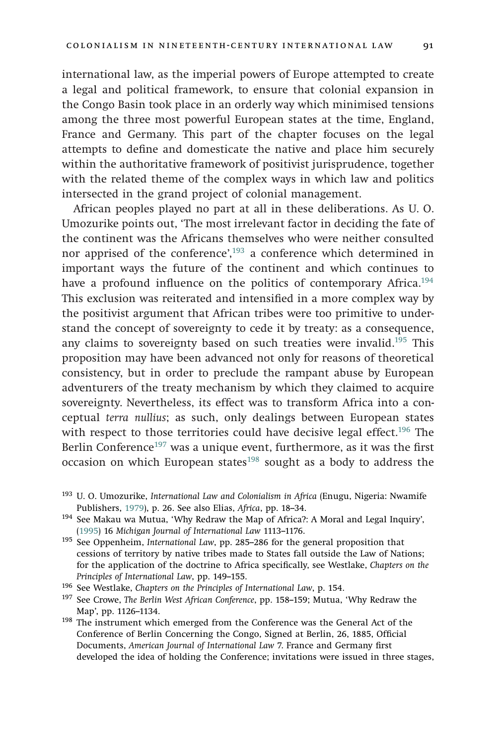international law, as the imperial powers of Europe attempted to create a legal and political framework, to ensure that colonial expansion in the Congo Basin took place in an orderly way which minimised tensions among the three most powerful European states at the time, England, France and Germany. This part of the chapter focuses on the legal attempts to define and domesticate the native and place him securely within the authoritative framework of positivist jurisprudence, together with the related theme of the complex ways in which law and politics intersected in the grand project of colonial management.

African peoples played no part at all in these deliberations. As U. O. Umozurike points out, 'The most irrelevant factor in deciding the fate of the continent was the Africans themselves who were neither consulted nor apprised of the conference',<sup>193</sup> a conference which determined in important ways the future of the continent and which continues to have a profound influence on the politics of contemporary Africa.<sup>[194](#page-47-0)</sup> This exclusion was reiterated and intensified in a more complex way by the positivist argument that African tribes were too primitive to understand the concept of sovereignty to cede it by treaty: as a consequence, any claims to sovereignty based on such treaties were invalid[.195](#page-47-0) This proposition may have been advanced not only for reasons of theoretical consistency, but in order to preclude the rampant abuse by European adventurers of the treaty mechanism by which they claimed to acquire sovereignty. Nevertheless, its effect was to transform Africa into a conceptual *terra nullius*; as such, only dealings between European states with respect to those territories could have decisive legal effect.<sup>196</sup> The Berlin Conference<sup>197</sup> was a unique event, furthermore, as it was the first occasion on which European states<sup>[198](#page-48-0)</sup> sought as a body to address the

- <sup>193</sup> U. O. Umozurike, *International Law and Colonialism in Africa* (Enugu, Nigeria: Nwamife Publishers, 1979), p. 26. See also Elias, *Africa*, pp. 18--34.
- <sup>194</sup> See Makau wa Mutua, 'Why Redraw the Map of Africa?: A Moral and Legal Inquiry', (1995) 16 *Michigan Journal of International Law* 1113--1176.
- <sup>195</sup> See Oppenheim, *International Law*, pp. 285-286 for the general proposition that cessions of territory by native tribes made to States fall outside the Law of Nations; for the application of the doctrine to Africa specifically, see Westlake, *Chapters on the* Principles of International Law, pp. 149-155.
- <sup>196</sup> See Westlake, *Chapters on the Principles of International Law*, p. 154.
- <sup>197</sup> See Crowe, *The Berlin West African Conference*, pp. 158--159; Mutua, 'Why Redraw the Map', pp. 1126-1134.
- <sup>198</sup> The instrument which emerged from the Conference was the General Act of the Conference of Berlin Concerning the Congo, Signed at Berlin, 26, 1885, Official Documents, *American Journal of International Law* 7. France and Germany first developed the idea of holding the Conference; invitations were issued in three stages,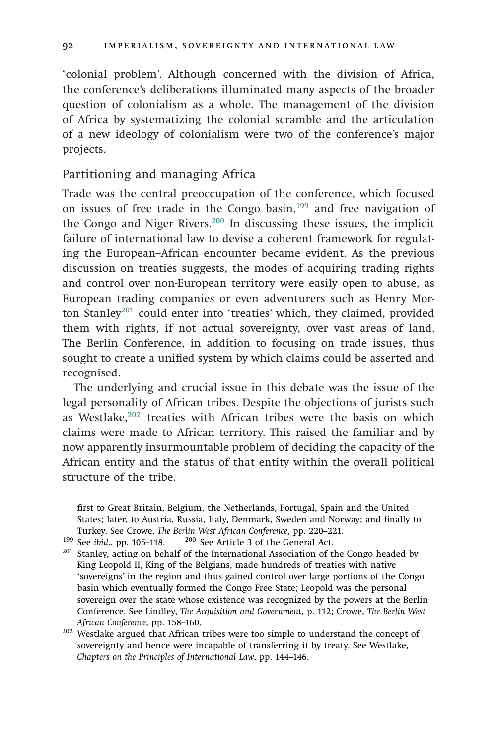'colonial problem'. Although concerned with the division of Africa, the conference's deliberations illuminated many aspects of the broader question of colonialism as a whole. The management of the division of Africa by systematizing the colonial scramble and the articulation of a new ideology of colonialism were two of the conference's major projects.

#### Partitioning and managing Africa

Trade was the central preoccupation of the conference, which focused on issues of free trade in the Congo basin,<sup>199</sup> and free navigation of the Congo and Niger Rivers[.200](#page-49-0) In discussing these issues, the implicit failure of international law to devise a coherent framework for regulating the European--African encounter became evident. As the previous discussion on treaties suggests, the modes of acquiring trading rights and control over non-European territory were easily open to abuse, as European trading companies or even adventurers such as Henry Morton Stanley<sup>201</sup> could enter into 'treaties' which, they claimed, provided them with rights, if not actual sovereignty, over vast areas of land. The Berlin Conference, in addition to focusing on trade issues, thus sought to create a unified system by which claims could be asserted and recognised.

The underlying and crucial issue in this debate was the issue of the legal personality of African tribes. Despite the objections of jurists such as Westlake, $202$  treaties with African tribes were the basis on which claims were made to African territory. This raised the familiar and by now apparently insurmountable problem of deciding the capacity of the African entity and the status of that entity within the overall political structure of the tribe.

first to Great Britain, Belgium, the Netherlands, Portugal, Spain and the United States; later, to Austria, Russia, Italy, Denmark, Sweden and Norway; and finally to Turkey. See Crowe, *The Berlin West African Conference*, pp. 220–221.<br><sup>199</sup> See ibid., pp. 105–118. <sup>200</sup> See Article 3 of the General Act.

<sup>200</sup> See Article 3 of the General Act.

<sup>201</sup> Stanley, acting on behalf of the International Association of the Congo headed by King Leopold II, King of the Belgians, made hundreds of treaties with native 'sovereigns' in the region and thus gained control over large portions of the Congo basin which eventually formed the Congo Free State; Leopold was the personal sovereign over the state whose existence was recognized by the powers at the Berlin Conference. See Lindley, *The Acquisition and Government*, p. 112; Crowe, *The Berlin West African Conference*, pp. 158--160.

<sup>202</sup> Westlake argued that African tribes were too simple to understand the concept of sovereignty and hence were incapable of transferring it by treaty. See Westlake, *Chapters on the Principles of International Law*, pp. 144--146.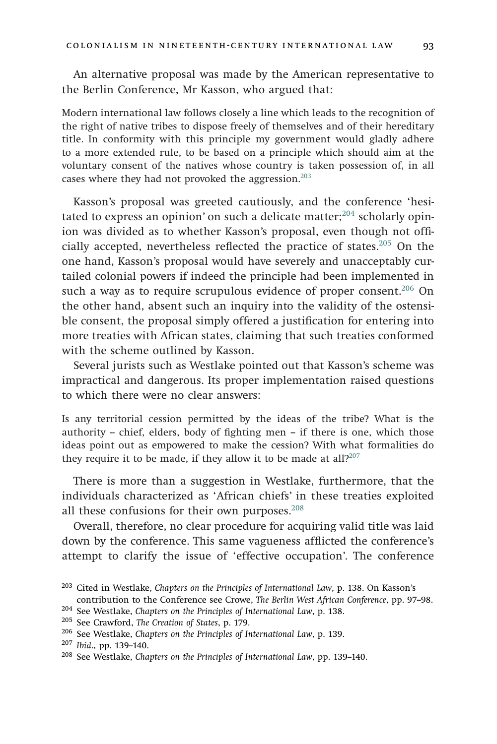An alternative proposal was made by the American representative to the Berlin Conference, Mr Kasson, who argued that:

Modern international law follows closely a line which leads to the recognition of the right of native tribes to dispose freely of themselves and of their hereditary title. In conformity with this principle my government would gladly adhere to a more extended rule, to be based on a principle which should aim at the voluntary consent of the natives whose country is taken possession of, in all cases where they had not provoked the aggression.<sup>203</sup>

Kasson's proposal was greeted cautiously, and the conference 'hesitated to express an opinion' on such a delicate matter; $^{204}$  $^{204}$  $^{204}$  scholarly opinion was divided as to whether Kasson's proposal, even though not officially accepted, nevertheless reflected the practice of states[.205](#page-21-0) On the one hand, Kasson's proposal would have severely and unacceptably curtailed colonial powers if indeed the principle had been implemented in such a way as to require scrupulous evidence of proper consent. $206$  On the other hand, absent such an inquiry into the validity of the ostensible consent, the proposal simply offered a justification for entering into more treaties with African states, claiming that such treaties conformed with the scheme outlined by Kasson.

Several jurists such as Westlake pointed out that Kasson's scheme was impractical and dangerous. Its proper implementation raised questions to which there were no clear answers:

Is any territorial cession permitted by the ideas of the tribe? What is the  $a$ uthority -- chief, elders, body of fighting men -- if there is one, which those ideas point out as empowered to make the cession? With what formalities do they require it to be made, if they allow it to be made at all? $207$ 

There is more than a suggestion in Westlake, furthermore, that the individuals characterized as 'African chiefs' in these treaties exploited all these confusions for their own purposes.<sup>208</sup>

Overall, therefore, no clear procedure for acquiring valid title was laid down by the conference. This same vagueness afflicted the conference's attempt to clarify the issue of 'effective occupation'. The conference

<sup>203</sup> Cited in Westlake, *Chapters on the Principles of International Law*, p. 138. On Kasson's contribution to the Conference see Crowe, *The Berlin West African Conference*, pp. 97-98.

<sup>204</sup> See Westlake, *Chapters on the Principles of International Law*, p. 138.

<sup>205</sup> See Crawford, *The Creation of States*, p. 179.

<sup>206</sup> See Westlake, *Chapters on the Principles of International Law*, p. 139.

<sup>&</sup>lt;sup>207</sup> *Ibid.*, pp. 139-140.

<sup>&</sup>lt;sup>208</sup> See Westlake, *Chapters on the Principles of International Law*, pp. 139-140.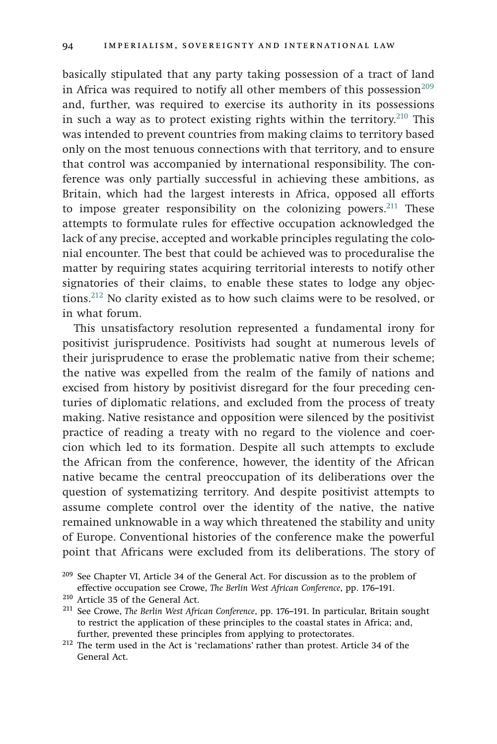basically stipulated that any party taking possession of a tract of land in Africa was required to notify all other members of this possession $^{209}$  $^{209}$  $^{209}$ and, further, was required to exercise its authority in its possessions in such a way as to protect existing rights within the territory. $210$  This was intended to prevent countries from making claims to territory based only on the most tenuous connections with that territory, and to ensure that control was accompanied by international responsibility. The conference was only partially successful in achieving these ambitions, as Britain, which had the largest interests in Africa, opposed all efforts to impose greater responsibility on the colonizing powers. $211$  These attempts to formulate rules for effective occupation acknowledged the lack of any precise, accepted and workable principles regulating the colonial encounter. The best that could be achieved was to proceduralise the matter by requiring states acquiring territorial interests to notify other signatories of their claims, to enable these states to lodge any objections[.212](#page-26-0) No clarity existed as to how such claims were to be resolved, or in what forum.

This unsatisfactory resolution represented a fundamental irony for positivist jurisprudence. Positivists had sought at numerous levels of their jurisprudence to erase the problematic native from their scheme; the native was expelled from the realm of the family of nations and excised from history by positivist disregard for the four preceding centuries of diplomatic relations, and excluded from the process of treaty making. Native resistance and opposition were silenced by the positivist practice of reading a treaty with no regard to the violence and coercion which led to its formation. Despite all such attempts to exclude the African from the conference, however, the identity of the African native became the central preoccupation of its deliberations over the question of systematizing territory. And despite positivist attempts to assume complete control over the identity of the native, the native remained unknowable in a way which threatened the stability and unity of Europe. Conventional histories of the conference make the powerful point that Africans were excluded from its deliberations. The story of

<sup>&</sup>lt;sup>209</sup> See Chapter VI, Article 34 of the General Act. For discussion as to the problem of effective occupation see Crowe, *The Berlin West African Conference*, pp. 176-191.

<sup>210</sup> Article 35 of the General Act.

<sup>&</sup>lt;sup>211</sup> See Crowe, *The Berlin West African Conference*, pp. 176-191. In particular, Britain sought to restrict the application of these principles to the coastal states in Africa; and, further, prevented these principles from applying to protectorates.

<sup>212</sup> The term used in the Act is 'reclamations' rather than protest. Article 34 of the General Act.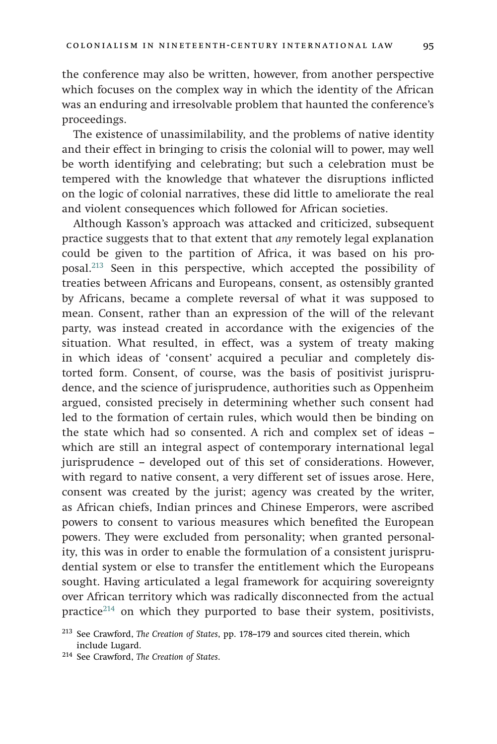the conference may also be written, however, from another perspective which focuses on the complex way in which the identity of the African was an enduring and irresolvable problem that haunted the conference's proceedings.

The existence of unassimilability, and the problems of native identity and their effect in bringing to crisis the colonial will to power, may well be worth identifying and celebrating; but such a celebration must be tempered with the knowledge that whatever the disruptions inflicted on the logic of colonial narratives, these did little to ameliorate the real and violent consequences which followed for African societies.

Although Kasson's approach was attacked and criticized, subsequent practice suggests that to that extent that *any* remotely legal explanation could be given to the partition of Africa, it was based on his proposal.[213](#page-26-0) Seen in this perspective, which accepted the possibility of treaties between Africans and Europeans, consent, as ostensibly granted by Africans, became a complete reversal of what it was supposed to mean. Consent, rather than an expression of the will of the relevant party, was instead created in accordance with the exigencies of the situation. What resulted, in effect, was a system of treaty making in which ideas of 'consent' acquired a peculiar and completely distorted form. Consent, of course, was the basis of positivist jurisprudence, and the science of jurisprudence, authorities such as Oppenheim argued, consisted precisely in determining whether such consent had led to the formation of certain rules, which would then be binding on the state which had so consented. A rich and complex set of ideas which are still an integral aspect of contemporary international legal jurisprudence -- developed out of this set of considerations. However, with regard to native consent, a very different set of issues arose. Here, consent was created by the jurist; agency was created by the writer, as African chiefs, Indian princes and Chinese Emperors, were ascribed powers to consent to various measures which benefited the European powers. They were excluded from personality; when granted personality, this was in order to enable the formulation of a consistent jurisprudential system or else to transfer the entitlement which the Europeans sought. Having articulated a legal framework for acquiring sovereignty over African territory which was radically disconnected from the actual practice<sup>[214](#page-26-0)</sup> on which they purported to base their system, positivists,

<sup>&</sup>lt;sup>213</sup> See Crawford, *The Creation of States*, pp. 178-179 and sources cited therein, which include Lugard.

<sup>214</sup> See Crawford, *The Creation of States*.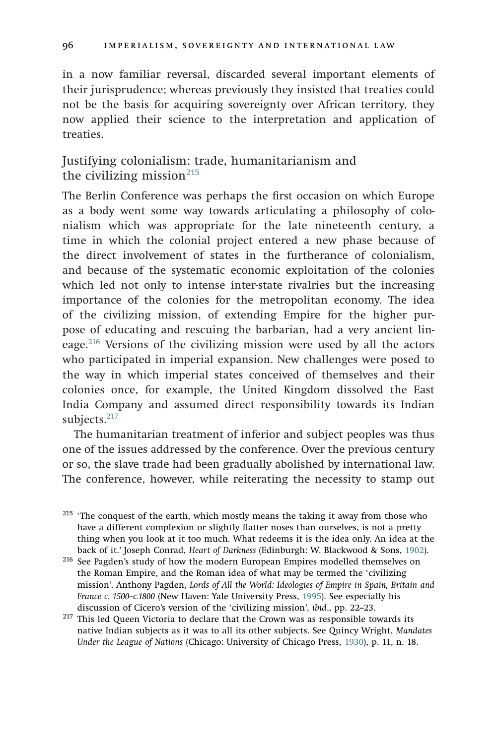in a now familiar reversal, discarded several important elements of their jurisprudence; whereas previously they insisted that treaties could not be the basis for acquiring sovereignty over African territory, they now applied their science to the interpretation and application of treaties.

Justifying colonialism: trade, humanitarianism and the civilizing mission $^{215}$ 

The Berlin Conference was perhaps the first occasion on which Europe as a body went some way towards articulating a philosophy of colonialism which was appropriate for the late nineteenth century, a time in which the colonial project entered a new phase because of the direct involvement of states in the furtherance of colonialism, and because of the systematic economic exploitation of the colonies which led not only to intense inter-state rivalries but the increasing importance of the colonies for the metropolitan economy. The idea of the civilizing mission, of extending Empire for the higher purpose of educating and rescuing the barbarian, had a very ancient lineage.[216](#page-26-0) Versions of the civilizing mission were used by all the actors who participated in imperial expansion. New challenges were posed to the way in which imperial states conceived of themselves and their colonies once, for example, the United Kingdom dissolved the East India Company and assumed direct responsibility towards its Indian subjects.<sup>[217](#page-26-0)</sup>

The humanitarian treatment of inferior and subject peoples was thus one of the issues addressed by the conference. Over the previous century or so, the slave trade had been gradually abolished by international law. The conference, however, while reiterating the necessity to stamp out

<sup>217</sup> This led Queen Victoria to declare that the Crown was as responsible towards its native Indian subjects as it was to all its other subjects. See Quincy Wright, *Mandates Under the League of Nations* (Chicago: University of Chicago Press, 1930), p. 11, n. 18.

<sup>&</sup>lt;sup>215</sup> 'The conquest of the earth, which mostly means the taking it away from those who have a different complexion or slightly flatter noses than ourselves, is not a pretty thing when you look at it too much. What redeems it is the idea only. An idea at the back of it.' Joseph Conrad, *Heart of Darkness* (Edinburgh: W. Blackwood & Sons, 1902).

<sup>&</sup>lt;sup>216</sup> See Pagden's study of how the modern European Empires modelled themselves on the Roman Empire, and the Roman idea of what may be termed the 'civilizing mission'. Anthony Pagden, *Lords of All the World: Ideologies of Empire in Spain, Britain and France c. 1500-c.1800* (New Haven: Yale University Press, 1995). See especially his discussion of Cicero's version of the 'civilizing mission', *ibid.*, pp. 22–23.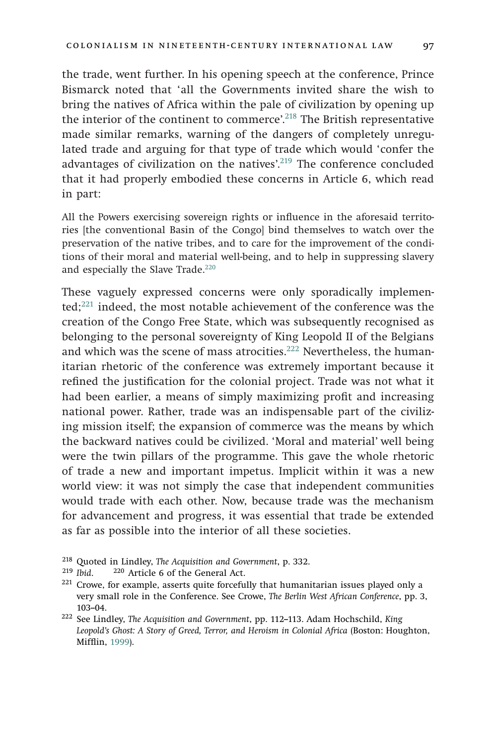the trade, went further. In his opening speech at the conference, Prince Bismarck noted that 'all the Governments invited share the wish to bring the natives of Africa within the pale of civilization by opening up the interior of the continent to commerce'.<sup>218</sup> The British representative made similar remarks, warning of the dangers of completely unregulated trade and arguing for that type of trade which would 'confer the advantages of civilization on the natives'.<sup>219</sup> The conference concluded that it had properly embodied these concerns in Article 6, which read in part:

All the Powers exercising sovereign rights or influence in the aforesaid territories [the conventional Basin of the Congo] bind themselves to watch over the preservation of the native tribes, and to care for the improvement of the conditions of their moral and material well-being, and to help in suppressing slavery and especially the Slave Trade.<sup>[220](#page-26-0)</sup>

These vaguely expressed concerns were only sporadically implemented;[221](#page-27-0) indeed, the most notable achievement of the conference was the creation of the Congo Free State, which was subsequently recognised as belonging to the personal sovereignty of King Leopold II of the Belgians and which was the scene of mass atrocities.<sup>222</sup> Nevertheless, the humanitarian rhetoric of the conference was extremely important because it refined the justification for the colonial project. Trade was not what it had been earlier, a means of simply maximizing profit and increasing national power. Rather, trade was an indispensable part of the civilizing mission itself; the expansion of commerce was the means by which the backward natives could be civilized. 'Moral and material' well being were the twin pillars of the programme. This gave the whole rhetoric of trade a new and important impetus. Implicit within it was a new world view: it was not simply the case that independent communities would trade with each other. Now, because trade was the mechanism for advancement and progress, it was essential that trade be extended as far as possible into the interior of all these societies.

<sup>218</sup> Quoted in Lindley, *The Acquisition and Government*, p. 332.

<sup>&</sup>lt;sup>220</sup> Article 6 of the General Act.

 $221$  Crowe, for example, asserts quite forcefully that humanitarian issues played only a very small role in the Conference. See Crowe, *The Berlin West African Conference*, pp. 3,  $103 - 04.$ 

<sup>&</sup>lt;sup>222</sup> See Lindley, *The Acquisition and Government*, pp. 112-113. Adam Hochschild, *King Leopold's Ghost: A Story of Greed, Terror, and Heroism in Colonial Africa* (Boston: Houghton, Mifflin, 1999).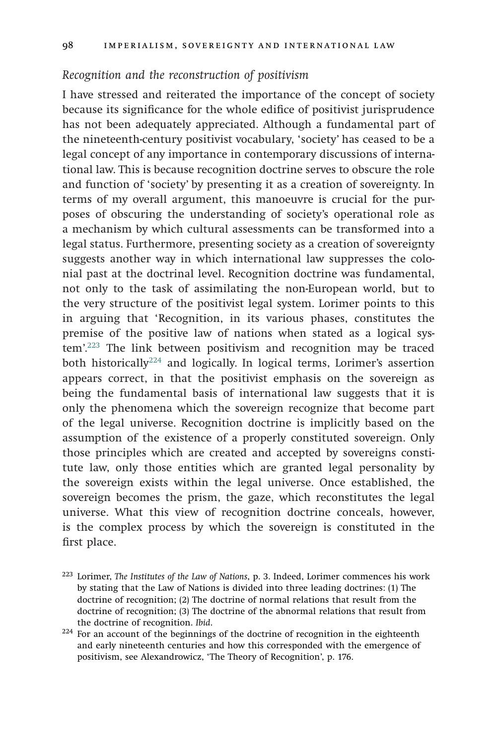## *Recognition and the reconstruction of positivism*

I have stressed and reiterated the importance of the concept of society because its significance for the whole edifice of positivist jurisprudence has not been adequately appreciated. Although a fundamental part of the nineteenth-century positivist vocabulary, 'society' has ceased to be a legal concept of any importance in contemporary discussions of international law. This is because recognition doctrine serves to obscure the role and function of 'society' by presenting it as a creation of sovereignty. In terms of my overall argument, this manoeuvre is crucial for the purposes of obscuring the understanding of society's operational role as a mechanism by which cultural assessments can be transformed into a legal status. Furthermore, presenting society as a creation of sovereignty suggests another way in which international law suppresses the colonial past at the doctrinal level. Recognition doctrine was fundamental, not only to the task of assimilating the non-European world, but to the very structure of the positivist legal system. Lorimer points to this in arguing that 'Recognition, in its various phases, constitutes the premise of the positive law of nations when stated as a logical sys-tem'.<sup>[223](#page-29-0)</sup> The link between positivism and recognition may be traced both historically<sup>[224](#page-29-0)</sup> and logically. In logical terms, Lorimer's assertion appears correct, in that the positivist emphasis on the sovereign as being the fundamental basis of international law suggests that it is only the phenomena which the sovereign recognize that become part of the legal universe. Recognition doctrine is implicitly based on the assumption of the existence of a properly constituted sovereign. Only those principles which are created and accepted by sovereigns constitute law, only those entities which are granted legal personality by the sovereign exists within the legal universe. Once established, the sovereign becomes the prism, the gaze, which reconstitutes the legal universe. What this view of recognition doctrine conceals, however, is the complex process by which the sovereign is constituted in the first place.

<sup>223</sup> Lorimer, *The Institutes of the Law of Nations*, p. 3. Indeed, Lorimer commences his work by stating that the Law of Nations is divided into three leading doctrines: (1) The doctrine of recognition; (2) The doctrine of normal relations that result from the doctrine of recognition; (3) The doctrine of the abnormal relations that result from the doctrine of recognition. *Ibid*.

 $224$  For an account of the beginnings of the doctrine of recognition in the eighteenth and early nineteenth centuries and how this corresponded with the emergence of positivism, see Alexandrowicz, 'The Theory of Recognition', p. 176.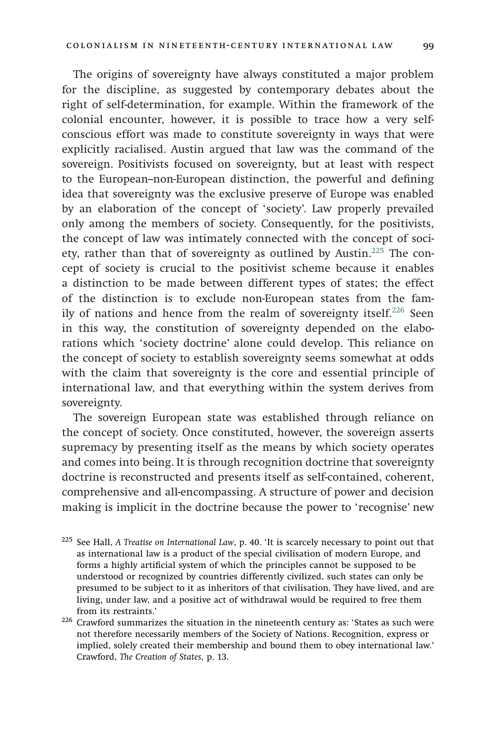for the discipline, as suggested by contemporary debates about the right of self-determination, for example. Within the framework of the colonial encounter, however, it is possible to trace how a very selfconscious effort was made to constitute sovereignty in ways that were explicitly racialised. Austin argued that law was the command of the sovereign. Positivists focused on sovereignty, but at least with respect to the European--non-European distinction, the powerful and defining idea that sovereignty was the exclusive preserve of Europe was enabled by an elaboration of the concept of 'society'. Law properly prevailed only among the members of society. Consequently, for the positivists, the concept of law was intimately connected with the concept of society, rather than that of sovereignty as outlined by Austin[.225](#page-29-0) The concept of society is crucial to the positivist scheme because it enables a distinction to be made between different types of states; the effect of the distinction is to exclude non-European states from the family of nations and hence from the realm of sovereignty itself.<sup>226</sup> Seen in this way, the constitution of sovereignty depended on the elaborations which 'society doctrine' alone could develop. This reliance on the concept of society to establish sovereignty seems somewhat at odds with the claim that sovereignty is the core and essential principle of international law, and that everything within the system derives from sovereignty.

The sovereign European state was established through reliance on the concept of society. Once constituted, however, the sovereign asserts supremacy by presenting itself as the means by which society operates and comes into being. It is through recognition doctrine that sovereignty doctrine is reconstructed and presents itself as self-contained, coherent, comprehensive and all-encompassing. A structure of power and decision making is implicit in the doctrine because the power to 'recognise' new

<sup>225</sup> See Hall, *A Treatise on International Law*, p. 40. 'It is scarcely necessary to point out that as international law is a product of the special civilisation of modern Europe, and forms a highly artificial system of which the principles cannot be supposed to be understood or recognized by countries differently civilized, such states can only be presumed to be subject to it as inheritors of that civilisation. They have lived, and are living, under law, and a positive act of withdrawal would be required to free them from its restraints.'

<sup>226</sup> Crawford summarizes the situation in the nineteenth century as: 'States as such were not therefore necessarily members of the Society of Nations. Recognition, express or implied, solely created their membership and bound them to obey international law.' Crawford, *The Creation of States*, p. 13.